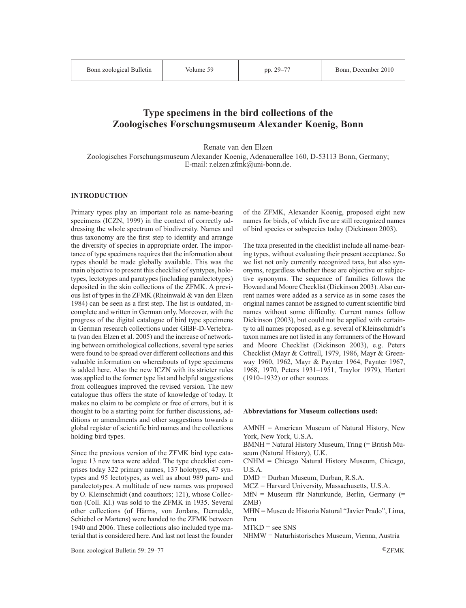# **Type specimens in the bird collections of the Zoologisches Forschungsmuseum Alexander Koenig, Bonn**

Renate van den Elzen

Zoologisches Forschungsmuseum Alexander Koenig, Adenauerallee 160, D-53113 Bonn, Germany; E-mail: r.elzen.zfmk@uni-bonn.de.

### **INTRODUCTION**

Primary types play an important role as name-bearing specimens (ICZN, 1999) in the context of correctly addressing the whole spectrum of biodiversity. Names and thus taxonomy are the first step to identify and arrange the diversity of species in appropriate order. The importance of type specimens requires that the information about types should be made globally available. This was the main objective to present this checklist of syntypes, holotypes, lectotypes and paratypes (including paralectotypes) deposited in the skin collections of the ZFMK. A previous list of types in the ZFMK (Rheinwald & van den Elzen 1984) can be seen as a first step. The list is outdated, incomplete and written in German only. Moreover, with the progress of the digital catalogue of bird type specimens in German research collections under GIBF-D-Vertebrata (van den Elzen et al. 2005) and the increase of networking between ornithological collections, several type series were found to be spread over different collections and this valuable information on whereabouts of type specimens is added here. Also the new ICZN with its stricter rules was applied to the former type list and helpful suggestions from colleagues improved the revised version. The new catalogue thus offers the state of knowledge of today. It makes no claim to be complete or free of errors, but it is thought to be a starting point for further discussions, additions or amendments and other suggestions towards a global register of scientific bird names and the collections holding bird types.

Since the previous version of the ZFMK bird type catalogue 13 new taxa were added. The type checklist comprises today 322 primary names, 137 holotypes, 47 syntypes and 95 lectotypes, as well as about 989 para- and paralectotypes. A multitude of new names was proposed by O. Kleinschmidt (and coauthors; 121), whose Collection (Coll. Kl.) was sold to the ZFMK in 1935. Several other collections (of Härms, von Jordans, Dernedde, Schiebel or Martens) were handed to the ZFMK between 1940 and 2006. These collections also included type material that is considered here. And last not least the founder

of the ZFMK, Alexander Koenig, proposed eight new names for birds, of which five are still recognized names of bird species or subspecies today (Dickinson 2003).

The taxa presented in the checklist include all name-bearing types, without evaluating their present acceptance. So we list not only currently recognized taxa, but also synonyms, regardless whether these are objective or subjective synonyms. The sequence of families follows the Howard and Moore Checklist (Dickinson 2003). Also current names were added as a service as in some cases the original names cannot be assigned to current scientific bird names without some difficulty. Current names follow Dickinson (2003), but could not be applied with certainty to all names proposed, as e.g. several of Kleinschmidt's taxon names are not listed in any forrunners of the Howard and Moore Checklist (Dickinson 2003), e.g. Peters Checklist (Mayr & Cottrell, 1979, 1986, Mayr & Greenway 1960, 1962, Mayr & Paynter 1964, Paynter 1967, 1968, 1970, Peters 1931–1951, Traylor 1979), Hartert (1910–1932) or other sources.

### **Abbreviations for Museum collections used:**

AMNH = American Museum of Natural History, New York, New York, U.S.A.

BMNH = Natural History Museum, Tring (= British Museum (Natural History), U.K.

CNHM = Chicago Natural History Museum, Chicago, U.S.A.

DMD = Durban Museum, Durban, R.S.A.

MCZ = Harvard University, Massachusetts, U.S.A.

MfN = Museum für Naturkunde, Berlin, Germany (= ZMB)

MHN = Museo de Historia Natural "Javier Prado", Lima, Peru

 $MTKD =$  see SNS

NHMW = Naturhistorisches Museum, Vienna, Austria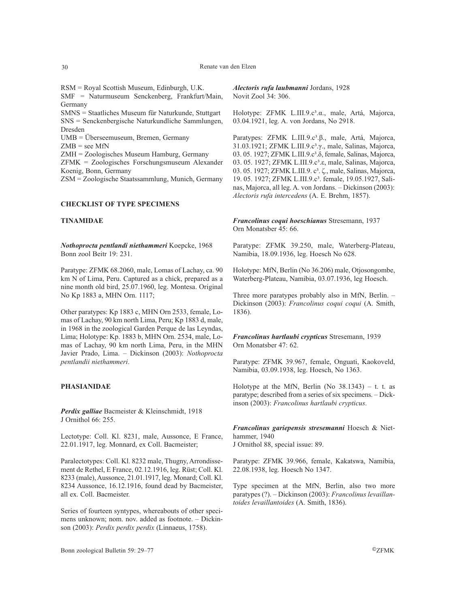RSM = Royal Scottish Museum, Edinburgh, U.K. SMF = Naturmuseum Senckenberg, Frankfurt/Main, Germany

SMNS = Staatliches Museum für Naturkunde, Stuttgart SNS = Senckenbergische Naturkundliche Sammlungen, Dresden

UMB = Überseemuseum, Bremen, Germany

 $ZMB =$  see MfN

ZMH = Zoologisches Museum Hamburg, Germany

ZFMK = Zoologisches Forschungsmuseum Alexander Koenig, Bonn, Germany

ZSM = Zoologische Staatssammlung, Munich, Germany

### **CHECKLIST OF TYPE SPECIMENS**

### **TINAMIDAE**

*Nothoprocta pentlandi niethammeri* Koepcke, 1968 Bonn zool Beitr 19: 231.

Paratype: ZFMK 68.2060, male, Lomas of Lachay, ca. 90 km N of Lima, Peru. Captured as a chick, prepared as a nine month old bird, 25.07.1960, leg. Montesa. Original No Kp 1883 a, MHN Orn. 1117;

Other paratypes: Kp 1883 c, MHN Orn 2533, female, Lomas of Lachay, 90 km north Lima, Peru; Kp 1883 d, male, in 1968 in the zoological Garden Perque de las Leyndas, Lima; Holotype: Kp. 1883 b, MHN Orn. 2534, male, Lomas of Lachay, 90 km north Lima, Peru, in the MHN Javier Prado, Lima. – Dickinson (2003): *Nothoprocta pentlandii niethammeri*.

### **PHASIANIDAE**

*Perdix galliae* Bacmeister & Kleinschmidt, 1918 J Ornithol 66: 255.

Lectotype: Coll. Kl. 8231, male, Aussonce, E France, 22.01.1917, leg. Monnard, ex Coll. Bacmeister;

Paralectotypes: Coll. Kl. 8232 male, Thugny, Arrondissement de Rethel, E France, 02.12.1916, leg. Rüst; Coll. Kl. 8233 (male), Aussonce, 21.01.1917, leg. Monard; Coll. Kl. 8234 Aussonce, 16.12.1916, found dead by Bacmeister, all ex. Coll. Bacmeister.

Series of fourteen syntypes, whereabouts of other specimens unknown; nom. nov. added as footnote. – Dickinson (2003): *Perdix perdix perdix* (Linnaeus, 1758).

*Alectoris rufa laubmanni* Jordans, 1928 Novit Zool 34: 306.

Holotype: ZFMK L.III.9.c<sup>3</sup>.α., male, Artá, Majorca, 03.04.1921, leg. A. von Jordans, No 2918.

Paratypes: ZFMK L.III.9.c<sup>3</sup>.β., male, Artá, Majorca, 31.03.1921; ZFMK L.III.9.c<sup>3</sup>.γ., male, Salinas, Majorca, 03. 05. 1927; ZFMK L.III.9.c<sup>3</sup>.δ, female, Salinas, Majorca, 03. 05. 1927; ZFMK L.III.9.c<sup>3</sup>.ε, male, Salinas, Majorca, 03. 05. 1927; ΖFMK L.III.9. c<sup>3</sup>. ζ., male, Salinas, Majorca, 19. 05. 1927; ZFMK L.III.9.c<sup>3</sup>. female, 19.05.1927, Salinas, Majorca, all leg. A. von Jordans. – Dickinson (2003): *Alectoris rufa intercedens* (A. E. Brehm, 1857).

*Francolinus coqui hoeschianus* Stresemann, 1937 Orn Monatsber 45: 66.

Paratype: ZFMK 39.250, male, Waterberg-Plateau, Namibia, 18.09.1936, leg. Hoesch No 628.

Holotype: MfN, Berlin (No 36.206) male, Otjosongombe, Waterberg-Plateau, Namibia, 03.07.1936, leg Hoesch.

Three more paratypes probably also in MfN, Berlin. – Dickinson (2003): *Francolinus coqui coqui* (A. Smith, 1836).

*Francolinus hartlaubi crypticus* Stresemann, 1939 Orn Monatsber 47: 62.

Paratype: ZFMK 39.967, female, Onguati, Kaokoveld, Namibia, 03.09.1938, leg. Hoesch, No 1363.

Holotype at the MfN, Berlin (No  $38.1343$ ) – t. t. as paratype; described from a series of six specimens. – Dickinson (2003): *Francolinus hartlaubi crypticus*.

*Francolinus gariepensis stresemanni* Hoesch & Niethammer, 1940 J Ornithol 88, special issue: 89.

Paratype: ZFMK 39.966, female, Kakatswa, Namibia, 22.08.1938, leg. Hoesch No 1347.

Type specimen at the MfN, Berlin, also two more paratypes (?). – Dickinson (2003): *Francolinus levaillantoides levaillantoides* (A. Smith, 1836).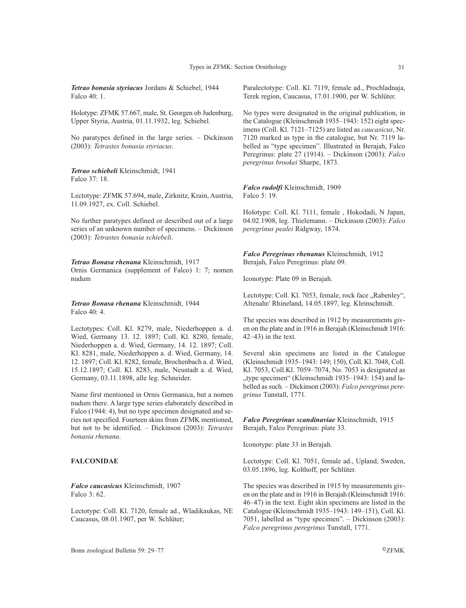*Tetrao bonasia styriacus* Jordans & Schiebel, 1944 Falco 40: 1.

Holotype: ZFMK 57.667, male, St. Georgen ob Judenburg, Upper Styria, Austria, 01.11.1932, leg. Schiebel.

No paratypes defined in the large series. – Dickinson (2003): *Tetrastes bonasia styriacus*.

*Tetrao schiebeli* Kleinschmidt, 1941 Falco 37: 18.

Lectotype: ZFMK 57.694, male, Zirknitz, Krain, Austria, 11.09.1927, ex. Coll. Schiebel.

No further paratypes defined or described out of a large series of an unknown number of specimens. – Dickinson (2003): *Tetrastes bonasia schiebeli*.

*Tetrao Bonasa rhenana* Kleinschmidt, 1917 Ornis Germanica (supplement of Falco) 1: 7; nomen nudum

*Tetrao Bonasa rhenana* Kleinschmidt, 1944 Falco 40: 4.

Lectotypes: Coll. Kl. 8279, male, Niederhoppen a. d. Wied, Germany 13. 12. 1897; Coll. Kl. 8280, female, Niederhoppen a. d. Wied, Germany, 14. 12. 1897; Coll. Kl. 8281, male, Niederhoppen a. d. Wied, Germany, 14. 12. 1897; Coll. Kl. 8282, female, Brochenbach a. d. Wied, 15.12.1897; Coll. Kl. 8283, male, Neustadt a. d. Wied, Germany, 03.11.1898, alle leg. Schneider.

Name first mentioned in Ornis Germanica, but a nomen nudum there. A large type series elaborately described in Falco (1944: 4), but no type specimen designated and series not specified. Fourteen skins from ZFMK mentioned, but not to be identified. – Dickinson (2003): *Tetrastes bonasia rhenana*.

### **FALCONIDAE**

*Falco caucasicus* Kleinschmidt, 1907 Falco 3: 62.

Lectotype: Coll. Kl. 7120, female ad., Wladikaukas, NE Caucasus, 08.01.1907, per W. Schlüter;

Paralectotype: Coll. Kl. 7119, female ad., Prochladnaja, Terek region, Caucasus, 17.01.1900, per W. Schlüter.

No types were designated in the original publication, in the Catalogue (Kleinschmidt 1935–1943: 152) eight specimens (Coll. Kl. 7121–7125) are listed as *caucasicus*, Nr. 7120 marked as type in the catalogue, but Nr. 7119 labelled as "type specimen". Illustrated in Berajah, Falco Peregrinus: plate 27 (1914). – Dickinson (2003): *Falco peregrinus brookei* Sharpe, 1873.

*Falco rudolfi* Kleinschmidt, 1909 Falco 5: 19.

Holotype: Coll. Kl. 7111, female , Hokodadi, N Japan, 04.02.1908, leg. Thielemann. – Dickinson (2003): *Falco peregrinus pealei* Ridgway, 1874.

*Falco Peregrinus rhenanus* Kleinschmidt, 1912 Berajah, Falco Peregrinus: plate 09.

Iconotype: Plate 09 in Berajah.

Lectotype: Coll. Kl. 7053, female, rock face "Rabenley", Altenahr/ Rhineland, 14.05.1897, leg. Kleinschmidt.

The species was described in 1912 by measurements given on the plate and in 1916 in Berajah (Kleinschmidt 1916: 42–43) in the text.

Several skin specimens are listed in the Catalogue (Kleinschmidt 1935–1943: 149; 150), Coll. Kl. 7048, Coll. Kl. 7053, Coll.Kl. 7059–7074, No. 7053 is designated as "type specimen" (Kleinschmidt 1935–1943: 154) and labelled as such. – Dickinson (2003): *Falco peregrinus peregrinus* Tunstall, 1771.

*Falco Peregrinus scandinaviae* Kleinschmidt, 1915 Berajah, Falco Peregrinus: plate 33.

Iconotype: plate 33 in Berajah.

Lectotype: Coll. Kl. 7051, female ad., Upland, Sweden, 03.05.1896, leg. Kolthoff, per Schlüter.

The species was described in 1915 by measurements given on the plate and in 1916 in Berajah (Kleinschmidt 1916: 46–47) in the text. Eight skin specimens are listed in the Catalogue (Kleinschmidt 1935–1943: 149–151), Coll. Kl. 7051, labelled as "type specimen". – Dickinson (2003): *Falco peregrinus peregrinus* Tunstall, 1771.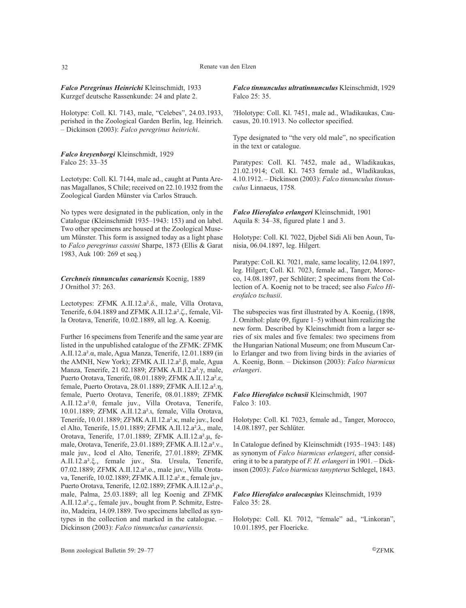*Falco Peregrinus Heinrichi* Kleinschmidt, 1933 Kurzgef deutsche Rassenkunde: 24 and plate 2.

Holotype: Coll. Kl. 7143, male, "Celebes", 24.03.1933, perished in the Zoological Garden Berlin, leg. Heinrich. – Dickinson (2003): *Falco peregrinus heinrichi*.

*Falco kreyenborgi* Kleinschmidt, 1929 Falco 25: 33–35

Lectotype: Coll. Kl. 7144, male ad., caught at Punta Arenas Magallanos, S Chile; received on 22.10.1932 from the Zoological Garden Münster via Carlos Strauch.

No types were designated in the publication, only in the Catalogue (Kleinschmidt 1935–1943: 153) and on label. Two other specimens are housed at the Zoological Museum Münster. This form is assigned today as a light phase to *Falco peregrinus cassini* Sharpe, 1873 (Ellis & Garat 1983, Auk 100: 269 et seq.)

*Cerchneis tinnunculus canariensis* Koenig, 1889 J Ornithol 37: 263.

Lectotypes: ZFMK A.II.12.a².δ., male, Villa Orotava, Tenerife, 6.04.1889 and ZFMK A.II.12.a².ζ., female, Villa Orotava, Tenerife, 10.02.1889, all leg. A. Koenig.

Further 16 specimens from Tenerife and the same year are listed in the unpublished catalogue of the ZFMK: ZFMK A.II.12.a².α, male, Agua Manza, Tenerife, 12.01.1889 (in the AMNH, New York); ZFMK A.II.12.a².β, male, Agua Manza, Tenerife, 21 02.1889; ZFMK A.II.12.a².γ, male, Puerto Orotava, Tenerife, 08.01.1889; ZFMK A.II.12.a².ε, female, Puerto Orotava, 28.01.1889; ZFMK A.II.12.a².η, female, Puerto Orotava, Tenerife, 08.01.1889; ZFMK A.II.12.a².θ, female juv., Villa Orotava, Tenerife, 10.01.1889; ZFMK A.II.12.a².ι, female, Villa Orotava, Tenerife, 10.01.1889; ZFMK A.II.12.a².κ, male juv., Icod el Alto, Tenerife, 15.01.1889; ZFMK A.II.12.a².λ., male, Orotava, Tenerife, 17.01.1889; ZFMK A.II.12.a².µ, female, Orotava, Tenerife, 23.01.1889; ZFMK A.II.12.a².ν., male juv., Icod el Alto, Tenerife, 27.01.1889; ZFMK A.II.12.a².ξ., female juv., Sta. Ursula, Tenerife, 07.02.1889; ZFMK A.II.12.a².ο., male juv., Villa Orotava, Tenerife, 10.02.1889; ZFMK A.II.12.a².π., female juv., Puerto Orotava, Tenerife, 12.02.1889; ZFMK A.II.12.a².ρ., male, Palma, 25.03.1889; all leg Koenig and ZFMK A.II.12.a².ς., female juv., bought from P. Schmitz, Estreito, Madeira, 14.09.1889. Two specimens labelled as syntypes in the collection and marked in the catalogue. – Dickinson (2003): *Falco tinnunculus canariensis.*

*Falco tinnunculus ultratinnunculus* Kleinschmidt, 1929 Falco 25: 35.

?Holotype: Coll. Kl. 7451, male ad., Wladikaukas, Caucasus, 20.10.1913. No collector specified.

Type designated to "the very old male", no specification in the text or catalogue.

Paratypes: Coll. Kl. 7452, male ad., Wladikaukas, 21.02.1914; Coll. Kl. 7453 female ad., Wladikaukas, 4.10.1912. – Dickinson (2003): *Falco tinnunculus tinnunculus* Linnaeus, 1758*.*

*Falco Hierofalco erlangeri* Kleinschmidt, 1901 Aquila 8: 34–38, figured plate 1 and 3.

Holotype: Coll. Kl. 7022, Djebel Sidi Ali ben Aoun, Tunisia, 06.04.1897, leg. Hilgert.

Paratype: Coll. Kl. 7021, male, same locality, 12.04.1897, leg. Hilgert; Coll. Kl. 7023, female ad., Tanger, Morocco, 14.08.1897, per Schlüter; 2 specimens from the Collection of A. Koenig not to be traced; see also *Falco Hierofalco tschusii*.

The subspecies was first illustrated by A. Koenig, (1898, J. Ornithol: plate 09, figure 1–5) without him realizing the new form. Described by Kleinschmidt from a larger series of six males and five females: two specimens from the Hungarian National Museum; one from Museum Carlo Erlanger and two from living birds in the aviaries of A. Koenig, Bonn. – Dickinson (2003): *Falco biarmicus erlangeri*.

# *Falco Hierofalco tschusii* Kleinschmidt, 1907 Falco 3: 103.

Holotype: Coll. Kl. 7023, female ad., Tanger, Morocco, 14.08.1897, per Schlüter.

In Catalogue defined by Kleinschmidt (1935–1943: 148) as synonym of *Falco biarmicus erlangeri*, after considering it to be a paratype of *F. H. erlangeri* in 1901. – Dickinson (2003): *Falco biarmicus tanypterus* Schlegel, 1843.

# *Falco Hierofalco aralocaspius* Kleinschmidt, 1939 Falco 35: 28.

Holotype: Coll. Kl. 7012, "female" ad., "Linkoran", 10.01.1895, per Floericke.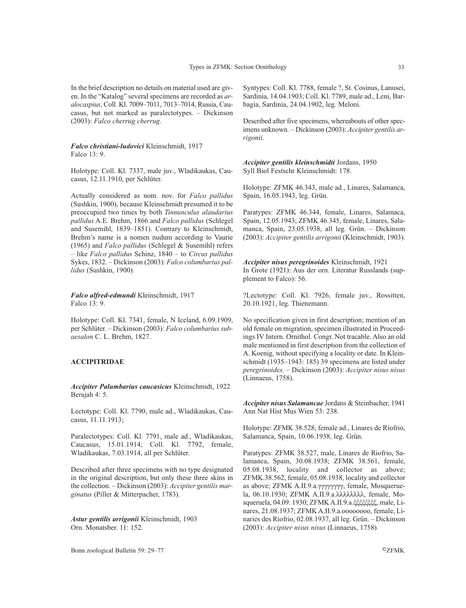*Falco christiani-ludovici* Kleinschmidt, 1917 Falco 13: 9.

(2003): *Falco cherrug cherrug*.

Holotype: Coll. Kl. 7337, male juv., Wladikaukas, Caucasus, 12.11.1910, per Schlüter.

Actually considered as nom. nov. for *Falco pallidus* (Sushkin, 1900), because Kleinschmidt presumed it to be preoccupied two times by both *Tinnunculus alaudarius pallidus* A.E. Brehm, 1866 and *Falco pallidus* (Schlegel and Susemihl, 1839–1851). Contrary to Kleinschmidt, Brehm's name is a nomen nudum according to Vaurie (1965) and *Falco pallidus* (Schlegel & Susemihl) refers – like *Falco pallidus* Schinz, 1840 – to *Circus pallidus* Sykes, 1832. – Dickinson (2003): *Falco columbarius pallidus* (Sushkin, 1900)*.*

*Falco alfred-edmundi* Kleinschmidt, 1917 Falco 13: 9.

Holotype: Coll. Kl. 7341, female, N Iceland, 6.09.1909, per Schlüter. – Dickinson (2003): *Falco columbarius subaesalon* C. L. Brehm, 1827.

#### **ACCIPITRIDAE**

*Accipiter Palumbarius caucasicus* Kleinschmidt, 1922 Berajah 4: 5.

Lectotype: Coll. Kl. 7790, male ad., Wladikaukas, Caucasus, 11.11.1913;

Paralectotypes: Coll. Kl. 7791, male ad., Wladikaukas, Caucasus, 15.01.1914; Coll. Kl. 7792, female, Wladikaukas, 7.03.1914, all per Schlüter.

Described after three specimens with no type designated in the original description, but only these three skins in the collection. – Dickinson (2003): *Accipiter gentilis marginatus* (Piller & Mitterpacher, 1783)*.*

*Astur gentilis arrigonii* Kleinschmidt, 1903 Orn. Monatsber. 11: 152.

Syntypes: Coll. Kl. 7788, female ?, St. Cosinus, Lanusei, Sardinia, 14.04.1903; Coll. Kl. 7789, male ad., Leni, Barbagia, Sardinia, 24.04.1902, leg. Meloni.

Described after five specimens, whereabouts of other specimens unknown. – Dickinson (2003): *Accipiter gentilis arrigonii*.

*Accipiter gentilis kleinschmidti* Jordans, 1950 Syll Biol Festschr Kleinschmidt: 178.

Holotype: ZFMK 46.343, male ad., Linares, Salamanca, Spain, 16.05.1943, leg. Grün.

Paratypes: ZFMK 46.344, female, Linares, Salamaca, Spain, 12.05.1943; ZFMK 46.345, female, Linares, Salamanca, Spain, 23.05.1938, all leg. Grün. – Dickinson (2003): *Accipiter gentilis arrigonii* (Kleinschmidt, 1903).

*Accipiter nisus peregrinoides* Kleinschmidt, 1921 In Grote (1921): Aus der orn. Literatur Russlands (supplement to Falco): 56.

?Lectotype: Coll. Kl. 7926, female juv., Rossitten, 20.10.1921, leg. Thienemann.

No specification given in first description; mention of an old female on migration, specimen illustrated in Proceedings IV Intern. Ornithol. Congr. Not tracable. Also an old male mentioned in first description from the collection of A. Koenig, without specifying a locality or date. In Kleinschmidt (1935–1943: 185) 39 specimens are listed under *peregrinoides*. – Dickinson (2003): *Accipiter nisus nisus* (Linnaeus, 1758).

*Accipiter nisus Salamancae* Jordans & Steinbacher, 1941 Ann Nat Hist Mus Wien 53: 238.

Holotype: ZFMK 38.528, female ad., Linares de Riofrio, Salamanca, Spain, 10.06.1938, leg. Grün.

Paratypes: ZFMK 38.527, male, Linares de Riofrio, Salamanca, Spain, 30.08.1938; ZFMK 38.561, female, 05.08.1938, locality and collector as above; ZFMK.38.562, female, 05.08.1938, locality and collector as above; ZFMK A.II.9.a.γγγγγγγγ, female, Mosqueruela, 06.10.1930; ZFMK A.II.9.a.λλλλλλλλ, female, Mosqueruela, 04.09. 1930; ZFMK A.II.9.a.ξξξξξξξξ, male, Linares, 21.08.1937; ZFMK A.II.9.a.οοοοοοοο, female, Linaries des Riofrio, 02.08.1937, all leg. Grün. – Dickinson (2003): *Accipiter nisus nisus* (Linnaeus, 1758)*.*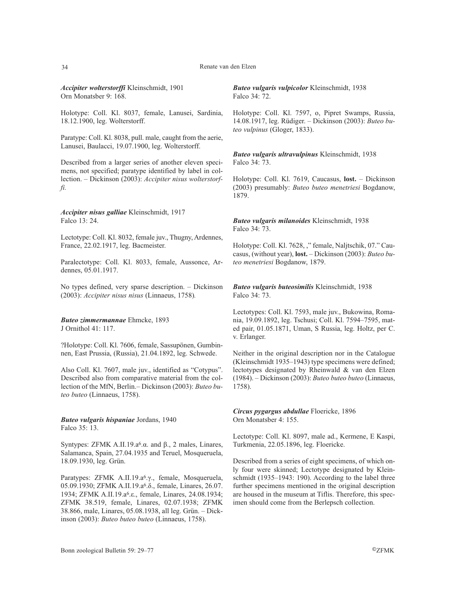#### 34 Renate van den Elzen

*Accipiter wolterstorffi* Kleinschmidt, 1901 Orn Monatsber 9: 168.

Holotype: Coll. Kl. 8037, female, Lanusei, Sardinia, 18.12.1900, leg. Wolterstorff.

Paratype: Coll. Kl. 8038, pull. male, caught from the aerie, Lanusei, Baulacci, 19.07.1900, leg. Wolterstorff.

Described from a larger series of another eleven specimens, not specified; paratype identified by label in collection. – Dickinson (2003): *Accipiter nisus wolterstorffi.*

*Accipiter nisus galliae* Kleinschmidt, 1917 Falco 13: 24.

Lectotype: Coll. Kl. 8032, female juv., Thugny, Ardennes, France, 22.02.1917, leg. Bacmeister.

Paralectotype: Coll. Kl. 8033, female, Aussonce, Ardennes, 05.01.1917.

No types defined, very sparse description. – Dickinson (2003): *Accipiter nisus nisus* (Linnaeus, 1758)*.*

*Buteo zimmermannae* Ehmcke, 1893 J Ornithol 41: 117.

?Holotype: Coll. Kl. 7606, female, Sassupönen, Gumbinnen, East Prussia, (Russia), 21.04.1892, leg. Schwede.

Also Coll. Kl. 7607, male juv., identified as "Cotypus". Described also from comparative material from the collection of the MfN, Berlin.– Dickinson (2003): *Buteo buteo buteo* (Linnaeus, 1758).

*Buteo vulgaris hispaniae* Jordans, 1940 Falco 35: 13.

Syntypes: ZFMK A.II.19.a<sup>6</sup>.α. and  $β$ ., 2 males, Linares, Salamanca, Spain, 27.04.1935 and Teruel, Mosqueruela, 18.09.1930, leg. Grün.

Paratypes: ZFMK A.II.19.a6.γ., female, Mosqueruela, 05.09.1930; ZFMK A.II.19.a6.δ., female, Linares, 26.07. 1934; ZFMK A.II.19.a6.ε., female, Linares, 24.08.1934; ZFMK 38.519, female, Linares, 02.07.1938; ZFMK 38.866, male, Linares, 05.08.1938, all leg. Grün. – Dickinson (2003): *Buteo buteo buteo* (Linnaeus, 1758).

*Buteo vulgaris vulpicolor* Kleinschmidt, 1938 Falco 34: 72.

Holotype: Coll. Kl. 7597, o, Pipret Swamps, Russia, 14.08.1917, leg. Rüdiger. – Dickinson (2003): *Buteo buteo vulpinus* (Gloger, 1833).

*Buteo vulgaris ultravulpinus* Kleinschmidt, 1938 Falco 34: 73.

Holotype: Coll. Kl. 7619, Caucasus, **lost.** – Dickinson (2003) presumably: *Buteo buteo menetriesi* Bogdanow, 1879.

*Buteo vulgaris milanoides* Kleinschmidt, 1938 Falco 34: 73.

Holotype: Coll. Kl. 7628, ," female, Naljtschik, 07." Caucasus, (without year), **lost.** – Dickinson (2003): *Buteo buteo menetriesi* Bogdanow, 1879.

*Buteo vulgaris buteosimilis* Kleinschmidt, 1938 Falco 34: 73.

Lectotypes: Coll. Kl. 7593, male juv., Bukowina, Romania, 19.09.1892, leg. Tschusi; Coll. Kl. 7594–7595, mated pair, 01.05.1871, Uman, S Russia, leg. Holtz, per C. v. Erlanger.

Neither in the original description nor in the Catalogue (Kleinschmidt 1935–1943) type specimens were defined; lectotypes designated by Rheinwald & van den Elzen (1984). – Dickinson (2003): *Buteo buteo buteo* (Linnaeus, 1758).

*Circus pygargus abdullae* Floericke, 1896 Orn Monatsber 4: 155.

Lectotype: Coll. Kl. 8097, male ad., Kermene, E Kaspi, Turkmenia, 22.05.1896, leg. Floericke.

Described from a series of eight specimens, of which only four were skinned; Lectotype designated by Kleinschmidt (1935–1943: 190). According to the label three further specimens mentioned in the original description are housed in the museum at Tiflis. Therefore, this specimen should come from the Berlepsch collection.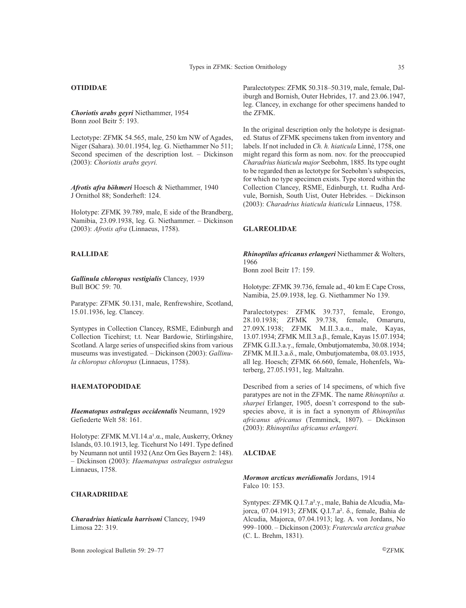# **OTIDIDAE**

*Choriotis arabs geyri* Niethammer, 1954 Bonn zool Beitr 5: 193.

Lectotype: ZFMK 54.565, male, 250 km NW of Agades, Niger (Sahara). 30.01.1954, leg. G. Niethammer No 511; Second specimen of the description lost. – Dickinson (2003): *Choriotis arabs geyri.*

*Afrotis afra böhmeri* Hoesch & Niethammer, 1940 J Ornithol 88; Sonderheft: 124.

Holotype: ZFMK 39.789, male, E side of the Brandberg, Namibia, 23.09.1938, leg. G. Niethammer. – Dickinson (2003): *Afrotis afra* (Linnaeus, 1758).

# **RALLIDAE**

*Gallinula chloropus vestigialis* Clancey, 1939 Bull BOC 59: 70.

Paratype: ZFMK 50.131, male, Renfrewshire, Scotland, 15.01.1936, leg. Clancey.

Syntypes in Collection Clancey, RSME, Edinburgh and Collection Ticehirst; t.t. Near Bardowie, Stirlingshire, Scotland. A large series of unspecified skins from various museums was investigated. – Dickinson (2003): *Gallinula chloropus chloropus* (Linnaeus, 1758).

# **HAEMATOPODIDAE**

*Haematopus ostralegus occidentalis* Neumann, 1929 Gefiederte Welt 58: 161.

Holotype: ZFMK M.VI.14.a<sup>1</sup>.α., male, Auskerry, Orkney Islands, 03.10.1913, leg. Ticehurst No 1491. Type defined by Neumann not until 1932 (Anz Orn Ges Bayern 2: 148). – Dickinson (2003): *Haematopus ostralegus ostralegus* Linnaeus, 1758.

### **CHARADRIIDAE**

*Charadrius hiaticula harrisoni* Clancey, 1949 Limosa 22: 319.

Bonn zoological Bulletin 59: 29–77 ©ZFMK

Paralectotypes: ZFMK 50.318–50.319, male, female, Daliburgh and Bornish, Outer Hebrides, 17. and 23.06.1947, leg. Clancey, in exchange for other specimens handed to the ZFMK.

In the original description only the holotype is designated. Status of ZFMK specimens taken from inventory and labels. If not included in *Ch. h. hiaticula* Linné, 1758, one might regard this form as nom. nov. for the preoccupied *Charadrius hiaticula major* Seebohm, 1885. Its type ought to be regarded then as lectotype for Seebohm's subspecies, for which no type specimen exists. Type stored within the Collection Clancey, RSME, Edinburgh, t.t. Rudha Ardvule, Bornish, South Uist, Outer Hebrides. – Dickinson (2003): *Charadrius hiaticula hiaticula* Linnaeus, 1758.

### **GLAREOLIDAE**

*Rhinoptilus africanus erlangeri* Niethammer & Wolters, 1966 Bonn zool Beitr 17: 159.

Holotype: ZFMK 39.736, female ad., 40 km E Cape Cross, Namibia, 25.09.1938, leg. G. Niethammer No 139.

Paralectotypes: ZFMK 39.737, female, Erongo, 28.10.1938; ZFMK 39.738, female, Omaruru, 27.09X.1938; ZFMK M.II.3.a.α., male, Kayas, 13.07.1934; ZFMK M.II.3.a.β., female, Kayas 15.07.1934; ZFMK G.II.3.a.γ., female, Ombutjomatemba, 30.08.1934; ZFMK M.II.3.a.δ., male, Ombutjomatemba, 08.03.1935, all leg. Hoesch; ZFMK 66.660, female, Hohenfels, Waterberg, 27.05.1931, leg. Maltzahn.

Described from a series of 14 specimens, of which five paratypes are not in the ZFMK. The name *Rhinoptilus a. sharpei* Erlanger, 1905, doesn't correspond to the subspecies above, it is in fact a synonym of *Rhinoptilus africanus africanus* (Temminck, 1807). – Dickinson (2003): *Rhinoptilus africanus erlangeri.*

# **ALCIDAE**

*Mormon arcticus meridionalis* Jordans, 1914 Falco 10: 153.

Syntypes: ZFMK Q.I.7.a².γ., male, Bahia de Alcudia, Majorca, 07.04.1913; ZFMK Q.I.7.a². δ., female, Bahia de Alcudia, Majorca, 07.04.1913; leg. A. von Jordans, No 999–1000. – Dickinson (2003): *Fratercula arctica grabae* (C. L. Brehm, 1831).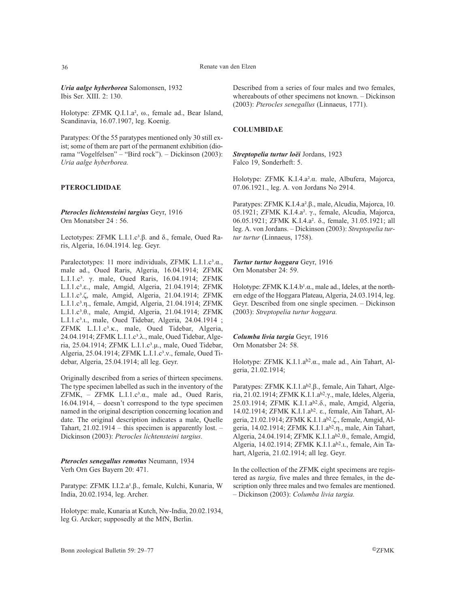*Uria aalge hyberborea* Salomonsen, 1932 Ibis Ser. XIII. 2: 130.

Holotype: ZFMK Q.I.1.a², ω., female ad., Bear Island, Scandinavia, 16.07.1907, leg. Koenig.

Paratypes: Of the 55 paratypes mentioned only 30 still exist; some of them are part of the permanent exhibition (diorama "Vogelfelsen" – "Bird rock"). – Dickinson (2003): *Uria aalge hyberborea.*

# **PTEROCLIDIDAE**

*Pterocles lichtensteini targius* Geyr, 1916 Orn Monatsber 24 : 56.

Lectotypes: ZFMK L.I.1.c<sup>3</sup>.β. and δ., female, Oued Raris, Algeria, 16.04.1914. leg. Geyr.

Paralectotypes: 11 more individuals, ZFMK L.I.1.c<sup>3</sup>.α., male ad., Oued Raris, Algeria, 16.04.1914; ZFMK L.I.1.c<sup>3</sup>. γ. male, Oued Raris, 16.04.1914; ZFMK L.I.1.c3.ε., male, Amgid, Algeria, 21.04.1914; ΖFMK L.I.1.c³.ζ, male, Amgid, Algeria, 21.04.1914; ZFMK L.I.1.c3.η., female, Amgid, Algeria, 21.04.1914; ΖFMK L.I.1.c<sup>3</sup>.θ., male, Amgid, Algeria, 21.04.1914; ZFMK L.I.1.c<sup>3</sup>.u., male, Oued Tidebar, Algeria, 24.04.1914 ; ZFMK L.I.1.c³.κ., male, Oued Tidebar, Algeria, 24.04.1914; ZFMK L.I.1.c<sup>3</sup>.λ., male, Oued Tidebar, Algeria, 25.04.1914; ZFMK L.I.1.c³.µ., male, Oued Tidebar, Algeria, 25.04.1914; ZFMK L.I.1.c<sup>3</sup>.v., female, Oued Tidebar, Algeria, 25.04.1914; all leg. Geyr.

Originally described from a series of thirteen specimens. The type specimen labelled as such in the inventory of the ZFMK, – ZFMK L.I.1. $c^3$ . $\alpha$ ., male ad., Oued Raris, 16.04.1914, – doesn't correspond to the type specimen named in the original description concerning location and date. The original description indicates a male, Quelle Tahart, 21.02.1914 – this specimen is apparently lost. – Dickinson (2003): *Pterocles lichtensteini targius*.

*Pterocles senegallus remotus* Neumann, 1934 Verh Orn Ges Bayern 20: 471.

Paratype: ZFMK I.I.2.a<sup>1</sup>.β., female, Kulchi, Kunaria, W India, 20.02.1934, leg. Archer.

Holotype: male, Kunaria at Kutch, Nw-India, 20.02.1934, leg G. Arcker; supposedly at the MfN, Berlin.

Described from a series of four males and two females, whereabouts of other specimens not known. – Dickinson (2003): *Pterocles senegallus* (Linnaeus, 1771).

### **COLUMBIDAE**

*Streptopelia turtur loëi* Jordans, 1923 Falco 19, Sonderheft: 5.

Holotype: ZFMK K.I.4.a².α. male, Albufera, Majorca, 07.06.1921., leg. A. von Jordans No 2914.

Paratypes: ZFMK K.I.4.a².β., male, Alcudia, Majorca, 10. 05.1921; ZFMK K.I.4.a². γ., female, Alcudia, Majorca, 06.05.1921; ZFMK K.I.4.a². δ., female, 31.05.1921; all leg. A. von Jordans. – Dickinson (2003): *Streptopelia turtur turtur* (Linnaeus, 1758).

*Turtur turtur hoggara* Geyr, 1916 Orn Monatsber 24: 59.

Holotype:  $ZFMK K.I.4.b<sup>1</sup>. $\alpha$ ., male ad., Ideles, at the north$ ern edge of the Hoggara Plateau, Algeria, 24.03.1914, leg. Geyr. Described from one single specimen. – Dickinson (2003): *Streptopelia turtur hoggara.*

*Columba livia targia* Geyr, 1916 Orn Monatsber 24: 58.

Holotype: ZFMK K.I.1.ab2.α., male ad., Ain Tahart, Algeria, 21.02.1914;

Paratypes: ZFMK K.I.1.ab2.β., female, Ain Tahart, Algeria, 21.02.1914; ZFMK K.I.1.ab2.γ., male, Ideles, Algeria, 25.03.1914; ZFMK K.I.1.ab2.δ., male, Amgid, Algeria, 14.02.1914; ZFMK K.I.1.ab2. ε., female, Ain Tahart, Algeria, 21.02.1914; ZFMK K.I.1.ab2.ζ., female, Amgid, Algeria, 14.02.1914; ZFMK K.I.1.ab2.η., male, Ain Tahart, Algeria, 24.04.1914; ZFMK K.I.1.ab2.θ., female, Amgid, Algeria, 14.02.1914; ZFMK K.I.1.ab2.ι., female, Ain Tahart, Algeria, 21.02.1914; all leg. Geyr.

In the collection of the ZFMK eight specimens are registered as *targia,* five males and three females, in the description only three males and two females are mentioned. – Dickinson (2003): *Columba livia targia.*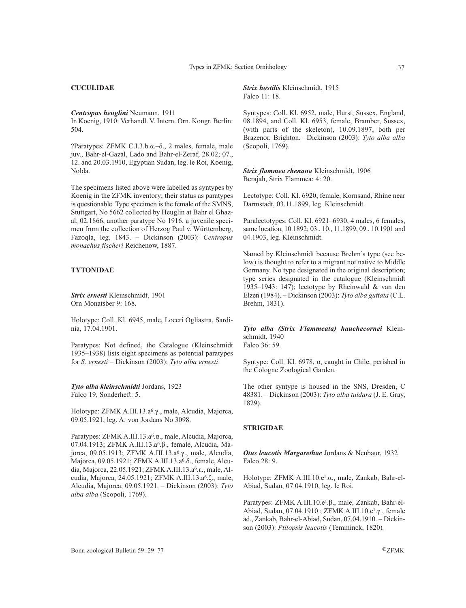# **CUCULIDAE**

*Centropus heuglini* Neumann, 1911 In Koenig, 1910: Verhandl. V. Intern. Orn. Kongr. Berlin: 504.

?Paratypes: ZFMK C.I.3.b.α.–δ., 2 males, female, male juv., Bahr-el-Gazal, Lado and Bahr-el-Zeraf, 28.02; 07., 12. and 20.03.1910, Egyptian Sudan, leg. le Roi, Koenig, Nolda.

The specimens listed above were labelled as syntypes by Koenig in the ZFMK inventory; their status as paratypes is questionable. Type specimen is the female of the SMNS, Stuttgart, No 5662 collected by Heuglin at Bahr el Ghazal, 02.1866, another paratype No 1916, a juvenile specimen from the collection of Herzog Paul v. Württemberg, Fazoqla, leg. 1843. – Dickinson (2003): *Centropus monachus fischeri* Reichenow, 1887.

# **TYTONIDAE**

*Strix ernesti* Kleinschmidt, 1901 Orn Monatsber 9: 168.

Holotype: Coll. Kl. 6945, male, Loceri Ogliastra, Sardinia, 17.04.1901.

Paratypes: Not defined, the Catalogue (Kleinschmidt 1935–1938) lists eight specimens as potential paratypes for *S. ernesti* – Dickinson (2003): *Tyto alba ernesti*.

*Tyto alba kleinschmidti* Jordans, 1923 Falco 19, Sonderheft: 5.

Holotype: ZFMK A.III.13.a6.γ., male, Alcudia, Majorca, 09.05.1921, leg. A. von Jordans No 3098.

Paratypes: ZFMK A.III.13.a6.α., male, Alcudia, Majorca, 07.04.1913; ZFMK A.III.13.a6.β., female, Alcudia, Majorca, 09.05.1913; ZFMK A.III.13.a6.γ., male, Alcudia, Majorca, 09.05.1921; ZFMK A.III.13.a<sup>6</sup>.δ., female, Alcudia, Majorca, 22.05.1921; ZFMK A.III.13.a6.ε., male, Alcudia, Majorca, 24.05.1921; ZFMK A.III.13.a6.ζ., male, Alcudia, Majorca, 09.05.1921. – Dickinson (2003): *Tyto alba alba* (Scopoli, 1769).

*Strix hostilis* Kleinschmidt, 1915 Falco 11: 18.

Syntypes: Coll. Kl. 6952, male, Hurst, Sussex, England, 08.1894, and Coll. Kl. 6953, female, Bramber, Sussex, (with parts of the skeleton), 10.09.1897, both per Brazenor, Brighton. –Dickinson (2003): *Tyto alba alba* (Scopoli, 1769)*.*

*Strix flammea rhenana* Kleinschmidt, 1906 Berajah, Strix Flammea: 4: 20.

Lectotype: Coll. Kl. 6920, female, Kornsand, Rhine near Darmstadt, 03.11.1899, leg. Kleinschmidt.

Paralectotypes: Coll. Kl. 6921–6930, 4 males, 6 females, same location, 10.1892; 03., 10., 11.1899, 09., 10.1901 and 04.1903, leg. Kleinschmidt.

Named by Kleinschmidt because Brehm's type (see below) is thought to refer to a migrant not native to Middle Germany. No type designated in the original description; type series designated in the catalogue (Kleinschmidt 1935–1943: 147); lectotype by Rheinwald & van den Elzen (1984). – Dickinson (2003): *Tyto alba guttata* (C.L. Brehm, 1831).

*Tyto alba (Strix Flammeata) hauchecornei* Kleinschmidt, 1940 Falco 36: 59.

Syntype: Coll. Kl. 6978, o, caught in Chile, perished in the Cologne Zoological Garden.

The other syntype is housed in the SNS, Dresden, C 48381. – Dickinson (2003): *Tyto alba tuidara* (J. E. Gray, 1829).

# **STRIGIDAE**

*Otus leucotis Margarethae* Jordans & Neubaur, 1932 Falco 28: 9.

Holotype: ZFMK A.III.10.e<sup>1</sup>.α., male, Zankab, Bahr-el-Abiad, Sudan, 07.04.1910, leg. le Roi.

Paratypes: ZFMK A.III.10.e<sup>1</sup>.β., male, Zankab, Bahr-el-Abiad, Sudan, 07.04.1910 ; ZFMK A.III.10.e<sup>1</sup>.γ., female ad., Zankab, Bahr-el-Abiad, Sudan, 07.04.1910. – Dickinson (2003): *Ptilopsis leucotis* (Temminck, 1820)*.*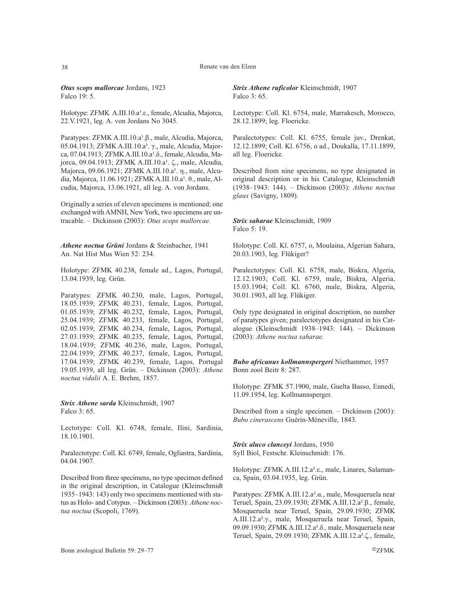*Otus scops mallorcae* Jordans, 1923 Falco 19: 5.

Holotype: ZFMK A.III.10.a<sup>1</sup>.ε., female, Alcudia, Majorca, 22.V.1921, leg. A. von Jordans No 3045.

Paratypes: ZFMK A.III.10.a<sup>1</sup>.β., male, Alcudia, Majorca, 05.04.1913; ZFMK A.III.10.a<sup>1</sup>. γ., male, Alcudia, Majorca, 07.04.1913; ΖFMK A.III.10.a<sup>1</sup>.δ., female, Alcudia, Majorca, 09.04.1913; ZFMK A.III.10.a<sup>1</sup>. ζ., male, Alcudia, Majorca, 09.06.1921; ΖFMK A.III.10.a<sup>1</sup>. η., male, Alcudia, Majorca, 11.06.1921; ΖFMK A.III.10.a<sup>1</sup>. θ., male, Alcudia, Majorca, 13.06.1921, all leg. A. von Jordans.

Originally a series of eleven specimens is mentioned; one exchanged with AMNH, New York, two specimens are untracable. – Dickinson (2003): *Otus scops mallorcae.*

*Athene noctua Grüni* Jordans & Steinbacher, 1941 An. Nat Hist Mus Wien 52: 234.

Holotype: ZFMK 40.238, female ad., Lagos, Portugal, 13.04.1939, leg. Grün.

Paratypes: ZFMK 40.230, male, Lagos, Portugal, 18.05.1939; ZFMK 40.231, female, Lagos, Portugal, 01.05.1939; ZFMK 40.232, female, Lagos, Portugal, 25.04.1939; ZFMK 40.233, female, Lagos, Portugal, 02.05.1939; ZFMK 40.234, female, Lagos, Portugal, 27.03.1939; ZFMK 40.235, female, Lagos, Portugal, 18.04.1939; ZFMK 40.236, male, Lagos, Portugal, 22.04.1939; ZFMK 40.237, female, Lagos, Portugal, 17.04.1939; ZFMK 40.239, female, Lagos, Portugal 19.05.1939, all leg. Grün. – Dickinson (2003): *Athene noctua vidalii* A. E. Brehm, 1857.

*Strix Athene sarda* Kleinschmidt, 1907 Falco 3: 65.

Lectotype: Coll. Kl. 6748, female, Ilini, Sardinia, 18.10.1901.

Paralectotype: Coll. Kl. 6749, female, Ogliastra, Sardinia, 04.04.1907.

Described from three specimens, no type specimen defined in the original description, in Catalogue (Kleinschmidt 1935–1943: 143) only two specimens mentioned with status as Holo- and Cotypus. – Dickinson (2003): *Athene noctua noctua* (Scopoli, 1769).

*Strix Athene ruficolor* Kleinschmidt, 1907 Falco 3: 65.

Lectotype: Coll. Kl. 6754, male, Marrakesch, Morocco, 28.12.1899; leg. Floericke.

Paralectotypes: Coll. Kl. 6755, female juv., Drenkat, 12.12.1899; Coll. Kl. 6756, o ad., Doukalla, 17.11.1899, all leg. Floericke.

Described from nine specimens, no type designated in original description or in his Catalogue, Kleinschmidt (1938–1943: 144). – Dickinson (2003): *Athene noctua glaux* (Savigny, 1809).

*Strix saharae* Kleinschmidt, 1909 Falco 5: 19.

Holotype: Coll. Kl. 6757, o, Moulaina, Algerian Sahara, 20.03.1903, leg. Flükiger?

Paralectotypes: Coll. Kl. 6758, male, Biskra, Algeria, 12.12.1903; Coll. Kl. 6759, male, Biskra, Algeria, 15.03.1904; Coll. Kl. 6760, male, Biskra, Algeria, 30.01.1903, all leg. Flükiger.

Only type designated in original description, no number of paratypes given; paralectotypes designated in his Catalogue (Kleinschmidt 1938–1943: 144). – Dickinson (2003): *Athene noctua saharae.*

*Bubo africanus kollmannspergeri* Niethammer, 1957 Bonn zool Beitr 8: 287.

Holotype: ZFMK 57.1900, male, Guelta Basso, Ennedi, 11.09.1954, leg. Kollmannsperger.

Described from a single specimen. – Dickinson (2003): *Bubo cinerascens* Guérin-Méneville, 1843.

*Strix aluco clanceyi* Jordans, 1950 Syll Biol, Festschr. Kleinschmidt: 176.

Holotype: ZFMK A.III.12.a².ε., male, Linares, Salamanca, Spain, 03.04.1935, leg. Grün.

Paratypes: ZFMK A.III.12.a².α., male, Mosqueruela near Teruel, Spain, 23.09.1930; ZFMK A.III.12.a².β., female, Mosqueruela near Teruel, Spain, 29.09.1930; ZFMK A.III.12.a².γ., male, Mosqueruela near Teruel, Spain, 09.09.1930; ZFMK A.III.12.a².δ., male, Mosqueruela near Teruel, Spain, 29.09.1930; ZFMK A.III.12.a².ζ., female,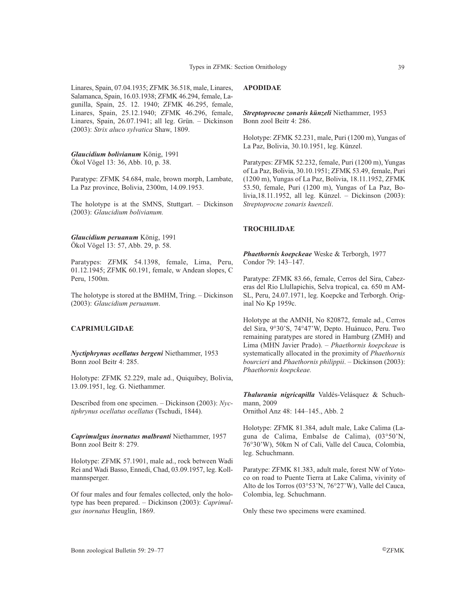Linares, Spain, 07.04.1935; ZFMK 36.518, male, Linares, Salamanca, Spain, 16.03.1938; ZFMK 46.294, female, Lagunilla, Spain, 25. 12. 1940; ZFMK 46.295, female, Linares, Spain, 25.12.1940; ZFMK 46.296, female, Linares, Spain, 26.07.1941; all leg. Grün. – Dickinson (2003): *Strix aluco sylvatica* Shaw, 1809.

*Glaucidium bolivianum* König, 1991 Ökol Vögel 13: 36, Abb. 10, p. 38.

Paratype: ZFMK 54.684, male, brown morph, Lambate, La Paz province, Bolivia, 2300m, 14.09.1953.

The holotype is at the SMNS, Stuttgart. – Dickinson (2003): *Glaucidium bolivianum.*

*Glaucidium peruanum* König, 1991 Ökol Vögel 13: 57, Abb. 29, p. 58.

Paratypes: ZFMK 54.1398, female, Lima, Peru, 01.12.1945; ZFMK 60.191, female, w Andean slopes, C Peru, 1500m.

The holotype is stored at the BMHM, Tring. – Dickinson (2003): *Glaucidium peruanum*.

# **CAPRIMULGIDAE**

*Nyctiphrynus ocellatus bergeni* Niethammer, 1953 Bonn zool Beitr 4: 285.

Holotype: ZFMK 52.229, male ad., Quiquibey, Bolivia, 13.09.1951, leg. G. Niethammer.

Described from one specimen. – Dickinson (2003): *Nyctiphrynus ocellatus ocellatus* (Tschudi, 1844).

*Caprimulgus inornatus malbranti* Niethammer, 1957 Bonn zool Beitr 8: 279.

Holotype: ZFMK 57.1901, male ad., rock between Wadi Rei and Wadi Basso, Ennedi, Chad, 03.09.1957, leg. Kollmannsperger.

Of four males and four females collected, only the holotype has been prepared. – Dickinson (2003): *Caprimulgus inornatus* Heuglin, 1869.

# **APODIDAE**

*Streptoprocne zonaris künzeli* Niethammer, 1953 Bonn zool Beitr 4: 286.

Holotype: ZFMK 52.231, male, Puri (1200 m), Yungas of La Paz, Bolivia, 30.10.1951, leg. Künzel.

Paratypes: ZFMK 52.232, female, Puri (1200 m), Yungas of La Paz, Bolivia, 30.10.1951; ZFMK 53.49, female, Puri (1200 m), Yungas of La Paz, Bolivia, 18.11.1952, ZFMK 53.50, female, Puri (1200 m), Yungas of La Paz, Bolivia,18.11.1952, all leg. Künzel. – Dickinson (2003): *Streptoprocne zonaris kuenzeli*.

### **TROCHILIDAE**

*Phaethornis koepckeae* Weske & Terborgh, 1977 Condor 79: 143–147.

Paratype: ZFMK 83.66, female, Cerros del Sira, Cabezeras del Rio Llullapichis, Selva tropical, ca. 650 m AM-SL, Peru, 24.07.1971, leg. Koepcke and Terborgh. Original No Kp 1959c.

Holotype at the AMNH, No 820872, female ad., Cerros del Sira, 9°30'S, 74°47'W, Depto. Huánuco, Peru. Two remaining paratypes are stored in Hamburg (ZMH) and Lima (MHN Javier Prado). – *Phaethornis koepckeae* is systematically allocated in the proximity of *Phaethornis bourcieri* and *Phaethornis philippii*. – Dickinson (2003): *Phaethornis koepckeae.*

*Thalurania nigricapilla* Valdés-Velásquez & Schuchmann, 2009

Ornithol Anz 48: 144–145., Abb. 2

Holotype: ZFMK 81.384, adult male, Lake Calima (Laguna de Calima, Embalse de Calima), (03°50'N, 76°30'W), 50km N of Cali, Valle del Cauca, Colombia, leg. Schuchmann.

Paratype: ZFMK 81.383, adult male, forest NW of Yotoco on road to Puente Tierra at Lake Calima, vivinity of Alto de los Torros (03°53'N, 76°27'W), Valle del Cauca, Colombia, leg. Schuchmann.

Only these two specimens were examined.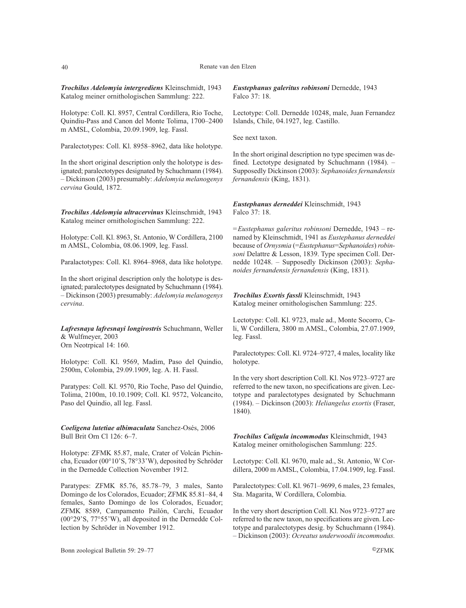*Trochilus Adelomyia intergrediens* Kleinschmidt, 1943 Katalog meiner ornithologischen Sammlung: 222.

Holotype: Coll. Kl. 8957, Central Cordillera, Rio Toche, Quindiu-Pass and Canon del Monte Tolima, 1700–2400 m AMSL, Colombia, 20.09.1909, leg. Fassl.

Paralectotypes: Coll. Kl. 8958–8962, data like holotype.

In the short original description only the holotype is designated; paralectotypes designated by Schuchmann (1984). – Dickinson (2003) presumably: *Adelomyia melanogenys cervina* Gould, 1872.

*Trochilus Adelomyia ultracervinus* Kleinschmidt, 1943 Katalog meiner ornithologischen Sammlung: 222.

Holotype: Coll. Kl. 8963, St. Antonio, W Cordillera, 2100 m AMSL, Colombia, 08.06.1909, leg. Fassl.

Paralactotypes: Coll. Kl. 8964–8968, data like holotype.

In the short original description only the holotype is designated; paralectotypes designated by Schuchmann (1984). – Dickinson (2003) presumably: *Adelomyia melanogenys cervina*.

*Lafresnaya lafresnayi longirostris* Schuchmann, Weller & Wulfmeyer, 2003 Orn Neotrpical 14: 160.

Holotype: Coll. Kl. 9569, Madim, Paso del Quindio, 2500m, Colombia, 29.09.1909, leg. A. H. Fassl.

Paratypes: Coll. Kl. 9570, Rio Toche, Paso del Quindio, Tolima, 2100m, 10.10.1909; Coll. Kl. 9572, Volcancito, Paso del Quindio, all leg. Fassl.

*Coeligena lutetiae albimaculata* Sanchez-Osés, 2006 Bull Brit Orn Cl 126: 6–7.

Holotype: ZFMK 85.87, male, Crater of Volcán Pichincha, Ecuador (00°10'S, 78°33'W), deposited by Schröder in the Dernedde Collection November 1912.

Paratypes: ZFMK 85.76, 85.78–79, 3 males, Santo Domingo de los Colorados, Ecuador; ZFMK 85.81–84, 4 females, Santo Domingo de los Colorados, Ecuador; ZFMK 8589, Campamento Pailón, Carchi, Ecuador (00°29'S, 77°55'W), all deposited in the Dernedde Collection by Schröder in November 1912.

*Eustephanus galeritus robinsoni* Dernedde, 1943 Falco 37: 18.

Lectotype: Coll. Dernedde 10248, male, Juan Fernandez Islands, Chile, 04.1927, leg. Castillo.

See next taxon.

In the short original description no type specimen was defined. Lectotype designated by Schuchmann (1984). – Supposedly Dickinson (2003): *Sephanoides fernandensis fernandensis* (King, 1831).

### *Eustephanus derneddei* Kleinschmidt, 1943 Falco 37: 18.

*=Eustephanus galeritus robinsoni* Dernedde, 1943 – renamed by Kleinschmidt, 1941 as *Eustephanus derneddei* because of *Ornysmia* (=*Eustephanus*=*Sephanoides*) *robinsoni* Delattre & Lesson, 1839. Type specimen Coll. Dernedde 10248. – Supposedly Dickinson (2003): *Sephanoides fernandensis fernandensis* (King, 1831).

*Trochilus Exortis fassli* Kleinschmidt, 1943 Katalog meiner ornithologischen Sammlung: 225.

Lectotype: Coll. Kl. 9723, male ad., Monte Socorro, Cali, W Cordillera, 3800 m AMSL, Colombia, 27.07.1909, leg. Fassl.

Paralectotypes: Coll. Kl. 9724–9727, 4 males, locality like holotype.

In the very short description Coll. Kl. Nos 9723–9727 are referred to the new taxon, no specifications are given. Lectotype and paralectotypes designated by Schuchmann (1984). – Dickinson (2003): *Heliangelus exortis* (Fraser, 1840).

*Trochilus Caligula incommodus* Kleinschmidt, 1943 Katalog meiner ornithologischen Sammlung: 225.

Lectotype: Coll. Kl. 9670, male ad., St. Antonio, W Cordillera, 2000 m AMSL, Colombia, 17.04.1909, leg. Fassl.

Paralectotypes: Coll. Kl. 9671–9699, 6 males, 23 females, Sta. Magarita, W Cordillera, Colombia.

In the very short description Coll. Kl. Nos 9723–9727 are referred to the new taxon, no specifications are given. Lectotype and paralectotypes desig. by Schuchmann (1984). – Dickinson (2003): *Ocreatus underwoodii incommodus.*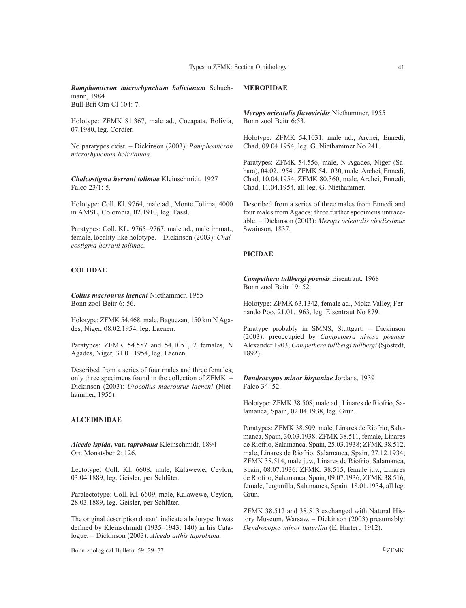*Ramphomicron microrhynchum bolivianum* Schuchmann, 1984

Bull Brit Orn Cl 104: 7.

Holotype: ZFMK 81.367, male ad., Cocapata, Bolivia, 07.1980, leg. Cordier.

No paratypes exist. – Dickinson (2003): *Ramphomicron microrhynchum bolivianum.*

*Chalcostigma herrani tolimae* Kleinschmidt, 1927 Falco 23/1: 5.

Holotype: Coll. Kl. 9764, male ad., Monte Tolima, 4000 m AMSL, Colombia, 02.1910, leg. Fassl.

Paratypes: Coll. KL. 9765–9767, male ad., male immat., female, locality like holotype. – Dickinson (2003): *Chalcostigma herrani tolimae.*

# **COLIIDAE**

*Colius macrourus laeneni* Niethammer, 1955 Bonn zool Beitr 6: 56.

Holotype: ZFMK 54.468, male, Baguezan, 150 km N Agades, Niger, 08.02.1954, leg. Laenen.

Paratypes: ZFMK 54.557 and 54.1051, 2 females, N Agades, Niger, 31.01.1954, leg. Laenen.

Described from a series of four males and three females; only three specimens found in the collection of ZFMK. – Dickinson (2003): *Urocolius macrourus laeneni* (Niethammer, 1955)*.*

# **ALCEDINIDAE**

*Alcedo ispida***, var.** *taprobana* Kleinschmidt, 1894 Orn Monatsber 2: 126.

Lectotype: Coll. Kl. 6608, male, Kalawewe, Ceylon, 03.04.1889, leg. Geisler, per Schlüter.

Paralectotype: Coll. Kl. 6609, male, Kalawewe, Ceylon, 28.03.1889, leg. Geisler, per Schlüter.

The original description doesn't indicate a holotype. It was defined by Kleinschmidt (1935–1943: 140) in his Catalogue. – Dickinson (2003): *Alcedo atthis taprobana.*

Bonn zoological Bulletin 59: 29–77 ©ZFMK

# **MEROPIDAE**

*Merops orientalis flavoviridis* Niethammer, 1955 Bonn zool Beitr 6:53.

Holotype: ZFMK 54.1031, male ad., Archei, Ennedi, Chad, 09.04.1954, leg. G. Niethammer No 241.

Paratypes: ZFMK 54.556, male, N Agades, Niger (Sahara), 04.02.1954 ; ZFMK 54.1030, male, Archei, Ennedi, Chad, 10.04.1954; ZFMK 80.360, male, Archei, Ennedi, Chad, 11.04.1954, all leg. G. Niethammer.

Described from a series of three males from Ennedi and four males from Agades; three further specimens untraceable. – Dickinson (2003): *Merops orientalis viridissimus* Swainson, 1837.

# **PICIDAE**

*Campethera tullbergi poensis* Eisentraut, 1968 Bonn zool Beitr 19: 52.

Holotype: ZFMK 63.1342, female ad., Moka Valley, Fernando Poo, 21.01.1963, leg. Eisentraut No 879.

Paratype probably in SMNS, Stuttgart. – Dickinson (2003): preoccupied by *Campethera nivosa poensis* Alexander 1903; *Campethera tullbergi tullbergi* (Sjöstedt, 1892).

*Dendrocopus minor hispaniae* Jordans, 1939 Falco 34: 52.

Holotype: ZFMK 38.508, male ad., Linares de Riofrio, Salamanca, Spain, 02.04.1938, leg. Grün.

Paratypes: ZFMK 38.509, male, Linares de Riofrio, Salamanca, Spain, 30.03.1938; ZFMK 38.511, female, Linares de Riofrio, Salamanca, Spain, 25.03.1938; ZFMK 38.512, male, Linares de Riofrio, Salamanca, Spain, 27.12.1934; ZFMK 38.514, male juv., Linares de Riofrio, Salamanca, Spain, 08.07.1936; ZFMK. 38.515, female juv., Linares de Riofrio, Salamanca, Spain, 09.07.1936; ZFMK 38.516, female, Lagunilla, Salamanca, Spain, 18.01.1934, all leg. Grün.

ZFMK 38.512 and 38.513 exchanged with Natural History Museum, Warsaw. – Dickinson (2003) presumably: *Dendrocopos minor buturlini* (E. Hartert, 1912).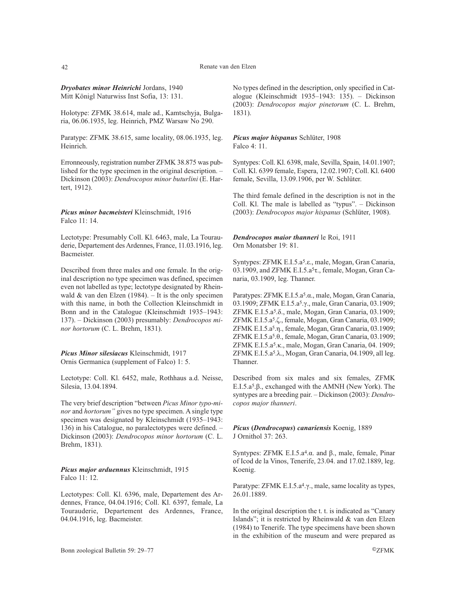#### 42 Renate van den Elzen

*Dryobates minor Heinrichi* Jordans, 1940 Mitt Königl Naturwiss Inst Sofia, 13: 131.

Holotype: ZFMK 38.614, male ad., Kamtschyja, Bulgaria, 06.06.1935, leg. Heinrich, PMZ Warsaw No 290.

Paratype: ZFMK 38.615, same locality, 08.06.1935, leg. Heinrich.

Erronneously, registration number ZFMK 38.875 was published for the type specimen in the original description. – Dickinson (2003): *Dendrocopos minor buturlini* (E. Hartert, 1912).

*Picus minor bacmeisteri* Kleinschmidt, 1916 Falco 11: 14.

Lectotype: Presumably Coll. Kl. 6463, male, La Tourauderie, Departement des Ardennes, France, 11.03.1916, leg. Bacmeister.

Described from three males and one female. In the original description no type specimen was defined, specimen even not labelled as type; lectotype designated by Rheinwald  $&$  van den Elzen (1984). – It is the only specimen with this name, in both the Collection Kleinschmidt in Bonn and in the Catalogue (Kleinschmidt 1935–1943: 137). – Dickinson (2003) presumably: *Dendrocopos minor hortorum* (C. L. Brehm, 1831).

*Picus Minor silesiacus* Kleinschmidt, 1917 Ornis Germanica (supplement of Falco) 1: 5.

Lectotype: Coll. Kl. 6452, male, Rothhaus a.d. Neisse, Silesia, 13.04.1894.

The very brief description "between *Picus Minor typo-minor* and *hortorum"* gives no type specimen. A single type specimen was designated by Kleinschmidt (1935–1943: 136) in his Catalogue, no paralectotypes were defined. – Dickinson (2003): *Dendrocopos minor hortorum* (C. L. Brehm, 1831).

*Picus major arduennus* Kleinschmidt, 1915 Falco 11: 12.

Lectotypes: Coll. Kl. 6396, male, Departement des Ardennes, France, 04.04.1916; Coll. Kl. 6397, female, La Tourauderie, Departement des Ardennes, France, 04.04.1916, leg. Bacmeister.

No types defined in the description, only specified in Catalogue (Kleinschmidt 1935–1943: 135). – Dickinson (2003): *Dendrocopos major pinetorum* (C. L. Brehm, 1831).

*Picus major hispanus* Schlüter, 1908 Falco 4: 11.

Syntypes: Coll. Kl. 6398, male, Sevilla, Spain, 14.01.1907; Coll. Kl. 6399 female, Espera, 12.02.1907; Coll. Kl. 6400 female, Sevilla, 13.09.1906, per W. Schlüter.

The third female defined in the description is not in the Coll. Kl. The male is labelled as "typus". – Dickinson (2003): *Dendrocopos major hispanus* (Schlüter, 1908).

*Dendrocopos maior thanneri* le Roi, 1911 Orn Monatsber 19: 81.

Syntypes: ZFMK E.I.5.a5.ε., male, Mogan, Gran Canaria, 03.1909, and ZFMK E.I.5.a5τ., female, Mogan, Gran Canaria, 03.1909, leg. Thanner.

Paratypes: ZFMK E.I.5.a5.α., male, Mogan, Gran Canaria, 03.1909; ZFMK E.I.5.a5.γ., male, Gran Canaria, 03.1909; ZFMK E.I.5.a5.δ., male, Mogan, Gran Canaria, 03.1909; ZFMK E.I.5.a5.ζ., female, Mogan, Gran Canaria, 03.1909; ZFMK E.I.5.a5.η., female, Mogan, Gran Canaria, 03.1909; ZFMK E.I.5.a5.θ., female, Mogan, Gran Canaria, 03.1909; ZFMK E.I.5.a5.κ., male, Mogan, Gran Canaria, 04. 1909; ZFMK E.I.5.a5.λ., Mogan, Gran Canaria, 04.1909, all leg. Thanner.

Described from six males and six females, ZFMK E.I.5.a5.β., exchanged with the AMNH (New York). The syntypes are a breeding pair. – Dickinson (2003): *Dendrocopos major thanneri*.

*Picus* **(***Dendrocopus***)** *canariensis* Koenig, 1889 J Ornithol 37: 263.

Syntypes: ZFMK E.I.5.a4.α. and β., male, female, Pinar of Icod de la Vinos, Tenerife, 23.04. and 17.02.1889, leg. Koenig.

Paratype: ZFMK E.I.5.a<sup>4</sup>.γ., male, same locality as types, 26.01.1889.

In the original description the t. t. is indicated as "Canary Islands"; it is restricted by Rheinwald & van den Elzen (1984) to Tenerife. The type specimens have been shown in the exhibition of the museum and were prepared as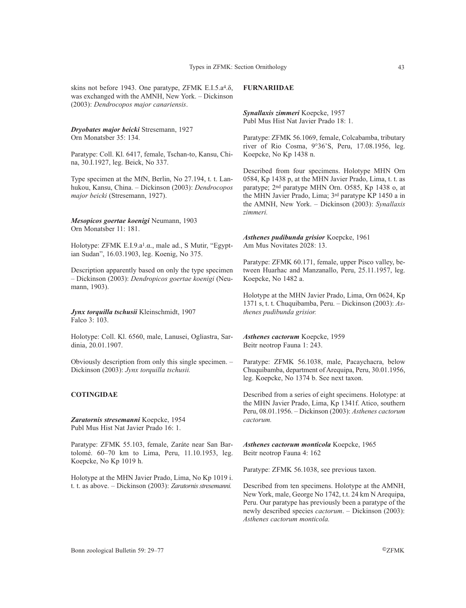skins not before 1943. One paratype, ZFMK E.I.5.a4.δ, was exchanged with the AMNH, New York. – Dickinson (2003): *Dendrocopos major canariensis*.

*Dryobates major beicki* Stresemann, 1927 Orn Monatsber 35: 134.

Paratype: Coll. Kl. 6417, female, Tschan-to, Kansu, China, 30.I.1927, leg. Beick, No 337.

Type specimen at the MfN, Berlin, No 27.194, t. t. Lanhukou, Kansu, China. – Dickinson (2003): *Dendrocopos major beicki* (Stresemann, 1927).

*Mesopicos goertae koenigi* Neumann, 1903 Orn Monatsber 11: 181.

Holotype: ZFMK E.I.9.a1.α., male ad., S Mutir, "Egyptian Sudan", 16.03.1903, leg. Koenig, No 375.

Description apparently based on only the type specimen – Dickinson (2003): *Dendropicos goertae koenigi* (Neumann, 1903).

*Jynx torquilla tschusii* Kleinschmidt, 1907 Falco 3: 103.

Holotype: Coll. Kl. 6560, male, Lanusei, Ogliastra, Sardinia, 20.01.1907.

Obviously description from only this single specimen. – Dickinson (2003): *Jynx torquilla tschusii.*

### **COTINGIDAE**

*Zaratornis stresemanni* Koepcke, 1954 Publ Mus Hist Nat Javier Prado 16: 1.

Paratype: ZFMK 55.103, female, Zaráte near San Bartolomé. 60–70 km to Lima, Peru, 11.10.1953, leg. Koepcke, No Kp 1019 h.

Holotype at the MHN Javier Prado, Lima, No Kp 1019 i. t. t. as above. – Dickinson (2003): *Zaratornis stresemanni.*

# **FURNARIIDAE**

*Synallaxis zimmeri* Koepcke, 1957 Publ Mus Hist Nat Javier Prado 18: 1.

Paratype: ZFMK 56.1069, female, Colcabamba, tributary river of Rio Cosma, 9°36'S, Peru, 17.08.1956, leg. Koepcke, No Kp 1438 n.

Described from four specimens. Holotype MHN Orn 0584, Kp 1438 p, at the MHN Javier Prado, Lima, t. t. as paratype; 2nd paratype MHN Orn. O585, Kp 1438 o, at the MHN Javier Prado, Lima; 3rd paratype KP 1450 a in the AMNH, New York. – Dickinson (2003): *Synallaxis zimmeri.*

*Asthenes pudibunda grisior* Koepcke, 1961 Am Mus Novitates 2028: 13.

Paratype: ZFMK 60.171, female, upper Pisco valley, between Huarhac and Manzanallo, Peru, 25.11.1957, leg. Koepcke, No 1482 a.

Holotype at the MHN Javier Prado, Lima, Orn 0624, Kp 1371 s, t. t. Chuquibamba, Peru. – Dickinson (2003): *Asthenes pudibunda grisior.*

*Asthenes cactorum* Koepcke, 1959 Beitr neotrop Fauna 1: 243.

Paratype: ZFMK 56.1038, male, Pacaychacra, below Chuquibamba, department of Arequipa, Peru, 30.01.1956, leg. Koepcke, No 1374 b. See next taxon.

Described from a series of eight specimens. Holotype: at the MHN Javier Prado, Lima, Kp 1341f. Atico, southern Peru, 08.01.1956. – Dickinson (2003): *Asthenes cactorum cactorum.*

*Asthenes cactorum monticola* Koepcke, 1965 Beitr neotrop Fauna 4: 162

Paratype: ZFMK 56.1038, see previous taxon.

Described from ten specimens. Holotype at the AMNH, New York, male, George No 1742, t.t. 24 km N Arequipa, Peru. Our paratype has previously been a paratype of the newly described species *cactorum*. – Dickinson (2003): *Asthenes cactorum monticola.*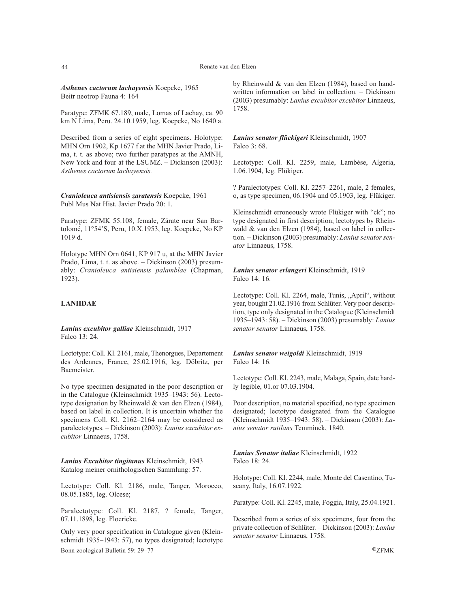*Asthenes cactorum lachayensis* Koepcke, 1965 Beitr neotrop Fauna 4: 164

Paratype: ZFMK 67.189, male, Lomas of Lachay, ca. 90 km N Lima, Peru. 24.10.1959, leg. Koepcke, No 1640 a.

Described from a series of eight specimens. Holotype: MHN Orn 1902, Kp 1677 f at the MHN Javier Prado, Lima, t. t. as above; two further paratypes at the AMNH, New York and four at the LSUMZ. – Dickinson (2003): *Asthenes cactorum lachayensis.*

*Cranioleuca antisiensis zaratensis* Koepcke, 1961 Publ Mus Nat Hist. Javier Prado 20: 1.

Paratype: ZFMK 55.108, female, Zárate near San Bartolomé, 11°54'S, Peru, 10.X.1953, leg. Koepcke, No KP 1019 d.

Holotype MHN Orn 0641, KP 917 u, at the MHN Javier Prado, Lima, t. t. as above. – Dickinson (2003) presumably: *Cranioleuca antisiensis palamblae* (Chapman, 1923).

# **LANIIDAE**

*Lanius excubitor galliae* Kleinschmidt, 1917 Falco 13: 24.

Lectotype: Coll. Kl. 2161, male, Thenorgues, Departement des Ardennes, France, 25.02.1916, leg. Döbritz, per Bacmeister.

No type specimen designated in the poor description or in the Catalogue (Kleinschmidt 1935–1943: 56). Lectotype designation by Rheinwald & van den Elzen (1984), based on label in collection. It is uncertain whether the specimens Coll. Kl. 2162–2164 may be considered as paralectotypes. – Dickinson (2003): *Lanius excubitor excubitor* Linnaeus, 1758.

*Lanius Excubitor tingitanus* Kleinschmidt, 1943 Katalog meiner ornithologischen Sammlung: 57.

Lectotype: Coll. Kl. 2186, male, Tanger, Morocco, 08.05.1885, leg. Olcese;

Paralectotype: Coll. Kl. 2187, ? female, Tanger, 07.11.1898, leg. Floericke.

Only very poor specification in Catalogue given (Kleinschmidt 1935–1943: 57), no types designated; lectotype Bonn zoological Bulletin 59: 29–77 ©ZFMK

by Rheinwald & van den Elzen (1984), based on handwritten information on label in collection. – Dickinson (2003) presumably: *Lanius excubitor excubitor* Linnaeus, 1758.

*Lanius senator flückigeri* Kleinschmidt, 1907 Falco 3: 68.

Lectotype: Coll. Kl. 2259, male, Lambèse, Algeria, 1.06.1904, leg. Flükiger.

? Paralectotypes: Coll. Kl. 2257–2261, male, 2 females, o, as type specimen, 06.1904 and 05.1903, leg. Flükiger.

Kleinschmidt erroneously wrote Flükiger with "ck"; no type designated in first description; lectotypes by Rheinwald & van den Elzen (1984), based on label in collection. – Dickinson (2003) presumably: *Lanius senator senator* Linnaeus, 1758.

*Lanius senator erlangeri* Kleinschmidt, 1919 Falco 14: 16.

Lectotype: Coll. Kl. 2264, male, Tunis, "April", without year, bought 21.02.1916 from Schlüter. Very poor description, type only designated in the Catalogue (Kleinschmidt 1935–1943: 58). – Dickinson (2003) presumably: *Lanius senator senator* Linnaeus, 1758.

*Lanius senator weigoldi* Kleinschmidt, 1919 Falco 14: 16.

Lectotype: Coll. Kl. 2243, male, Malaga, Spain, date hardly legible, 01.or 07.03.1904.

Poor description, no material specified, no type specimen designated; lectotype designated from the Catalogue (Kleinschmidt 1935–1943: 58). – Dickinson (2003): *Lanius senator rutilans* Temminck, 1840.

*Lanius Senator italiae* Kleinschmidt, 1922 Falco 18: 24.

Holotype: Coll. Kl. 2244, male, Monte del Casentino, Tuscany, Italy, 16.07.1922.

Paratype: Coll. Kl. 2245, male, Foggia, Italy, 25.04.1921.

Described from a series of six specimens, four from the private collection of Schlüter. – Dickinson (2003): *Lanius senator senator* Linnaeus, 1758.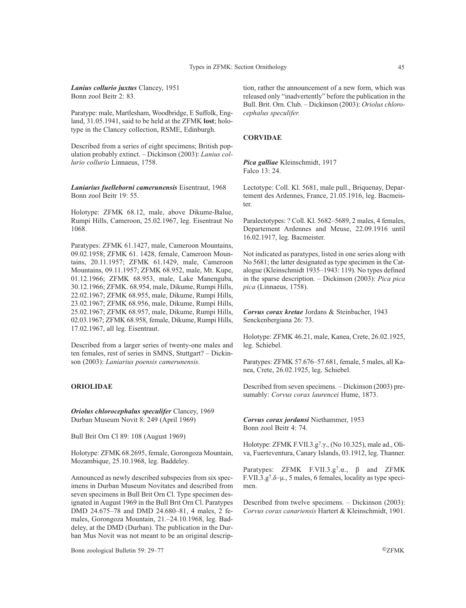*Lanius collurio juxtus* Clancey, 1951 Bonn zool Beitr 2: 83.

Paratype: male, Martlesham, Woodbridge, E Suffolk, England, 31.05.1941, said to be held at the ZFMK **lost**; holotype in the Clancey collection, RSME, Edinburgh.

Described from a series of eight specimens; British population probably extinct. – Dickinson (2003): *Lanius collurio collurio* Linnaeus, 1758.

*Laniarius fuelleborni camerunensis* Eisentraut, 1968 Bonn zool Beitr 19: 55.

Holotype: ZFMK 68.12, male, above Dikume-Balue, Rumpi Hills, Cameroon, 25.02.1967, leg. Eisentraut No 1068.

Paratypes: ZFMK 61.1427, male, Cameroon Mountains, 09.02.1958; ZFMK 61. 1428, female, Cameroon Mountains, 20.11.1957; ZFMK 61.1429, male, Cameroon Mountains, 09.11.1957; ZFMK 68.952, male, Mt. Kupe, 01.12.1966; ZFMK 68.953, male, Lake Manenguba, 30.12.1966; ZFMK. 68.954, male, Dikume, Rumpi Hills, 22.02.1967; ZFMK 68.955, male, Dikume, Rumpi Hills, 23.02.1967; ZFMK 68.956, male, Dikume, Rumpi Hills, 25.02.1967; ZFMK 68.957, male, Dikume, Rumpi Hills, 02.03.1967; ZFMK 68.958, female, Dikume, Rumpi Hills, 17.02.1967, all leg. Eisentraut.

Described from a larger series of twenty-one males and ten females, rest of series in SMNS, Stuttgart? – Dickinson (2003): *Laniarius poensis camerunensis.*

# **ORIOLIDAE**

*Oriolus chlorocephalus speculifer* Clancey, 1969 Durban Museum Novit 8: 249 (April 1969)

Bull Brit Orn Cl 89: 108 (August 1969)

Holotype: ZFMK 68.2695, female, Gorongoza Mountain, Mozambique, 25.10.1968, leg. Baddeley.

Announced as newly described subspecies from six specimens in Durban Museum Novitates and described from seven specimens in Bull Brit Orn Cl. Type specimen designated in August 1969 in the Bull Brit Orn Cl. Paratypes DMD 24.675–78 and DMD 24.680–81, 4 males, 2 females, Gorongoza Mountain, 21.–24.10.1968, leg. Baddeley, at the DMD (Durban). The publication in the Durban Mus Novit was not meant to be an original descrip-

tion, rather the announcement of a new form, which was released only "inadvertently" before the publication in the Bull. Brit. Orn. Club. – Dickinson (2003): *Oriolus chlorocephalus speculifer.*

### **CORVIDAE**

*Pica galliae* Kleinschmidt, 1917 Falco 13: 24.

Lectotype: Coll. Kl. 5681, male pull., Briquenay, Departement des Ardennes, France, 21.05.1916, leg. Bacmeister.

Paralectotypes: ? Coll. Kl. 5682–5689, 2 males, 4 females, Departement Ardennes and Meuse, 22.09.1916 until 16.02.1917, leg. Bacmeister.

Not indicated as paratypes, listed in one series along with No 5681; the latter designated as type specimen in the Catalogue (Kleinschmidt 1935–1943: 119). No types defined in the sparse description. – Dickinson (2003): *Pica pica pica* (Linnaeus, 1758).

*Corvus corax kretae* Jordans & Steinbacher, 1943 Senckenbergiana 26: 73.

Holotype: ZFMK 46.21, male, Kanea, Crete, 26.02.1925, leg. Schiebel.

Paratypes: ZFMK 57.676–57.681, female, 5 males, all Kanea, Crete, 26.02.1925, leg. Schiebel.

Described from seven specimens. – Dickinson (2003) presumably: *Corvus corax laurencei* Hume, 1873.

*Corvus corax jordansi* Niethammer, 1953 Bonn zool Beitr 4: 74.

Holotype: ZFMK F.VII.3.g7.γ., (No 10.325), male ad., Oliva, Fuerteventura, Canary Islands, 03.1912, leg. Thanner.

Paratypes: ZFMK F.VII.3.g7.α., β and ZFMK F.VII.3.g<sup>7</sup>. $\delta$ - $\mu$ ., 5 males, 6 females, locality as type specimen.

Described from twelve specimens. – Dickinson (2003): *Corvus corax canariensis* Hartert & Kleinschmidt, 1901.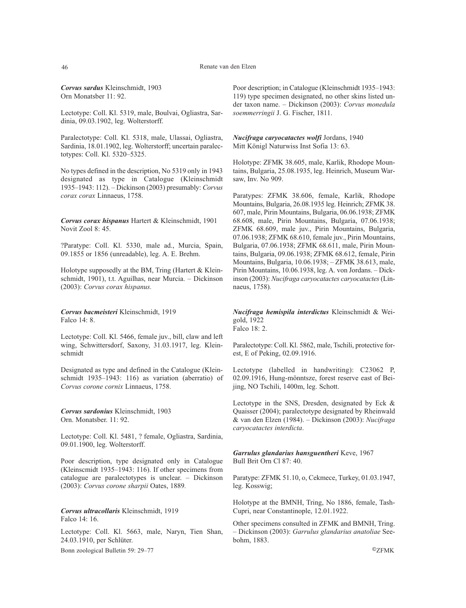*Corvus sardus* Kleinschmidt, 1903 Orn Monatsber 11: 92.

Lectotype: Coll. Kl. 5319, male, Boulvai, Ogliastra, Sardinia, 09.03.1902, leg. Wolterstorff.

Paralectotype: Coll. Kl. 5318, male, Ulassai, Ogliastra, Sardinia, 18.01.1902, leg. Wolterstorff; uncertain paralectotypes: Coll. Kl. 5320–5325.

No types defined in the description, No 5319 only in 1943 designated as type in Catalogue (Kleinschmidt 1935–1943: 112). – Dickinson (2003) presumably: *Corvus corax corax* Linnaeus, 1758.

*Corvus corax hispanus* Hartert & Kleinschmidt, 1901 Novit Zool 8: 45.

?Paratype: Coll. Kl. 5330, male ad., Murcia, Spain, 09.1855 or 1856 (unreadable), leg. A. E. Brehm.

Holotype supposedly at the BM, Tring (Hartert & Kleinschmidt, 1901), t.t. Aguilhas, near Murcia. – Dickinson (2003): *Corvus corax hispanus.*

*Corvus bacmeisteri* Kleinschmidt, 1919 Falco 14: 8.

Lectotype: Coll. Kl. 5466, female juv., bill, claw and left wing, Schwittersdorf, Saxony, 31.03.1917, leg. Kleinschmidt

Designated as type and defined in the Catalogue (Kleinschmidt 1935–1943: 116) as variation (aberratio) of *Corvus corone cornix* Linnaeus, 1758.

*Corvus sardonius* Kleinschmidt, 1903 Orn. Monatsber. 11: 92.

Lectotype: Coll. Kl. 5481, ? female, Ogliastra, Sardinia, 09.01.1900, leg. Wolterstorff.

Poor description, type designated only in Catalogue (Kleinscmidt 1935–1943: 116). If other specimens from catalogue are paralectotypes is unclear. – Dickinson (2003): *Corvus corone sharpii* Oates, 1889*.*

*Corvus ultracollaris* Kleinschmidt, 1919 Falco 14: 16.

Lectotype: Coll. Kl. 5663, male, Naryn, Tien Shan, 24.03.1910, per Schlüter.

Bonn zoological Bulletin 59: 29–77 ©ZFMK

Poor description; in Catalogue (Kleinschmidt 1935–1943: 119) type specimen designated, no other skins listed under taxon name. – Dickinson (2003): *Corvus monedula soemmerringii* J. G. Fischer, 1811.

*Nucifraga caryocatactes wolfi* Jordans, 1940 Mitt Königl Naturwiss Inst Sofia 13: 63.

Holotype: ZFMK 38.605, male, Karlik, Rhodope Mountains, Bulgaria, 25.08.1935, leg. Heinrich, Museum Warsaw, Inv. No 909.

Paratypes: ZFMK 38.606, female, Karlik, Rhodope Mountains, Bulgaria, 26.08.1935 leg. Heinrich; ZFMK 38. 607, male, Pirin Mountains, Bulgaria, 06.06.1938; ZFMK 68.608, male, Pirin Mountains, Bulgaria, 07.06.1938; ZFMK 68.609, male juv., Pirin Mountains, Bulgaria, 07.06.1938; ZFMK 68.610, female juv., Pirin Mountains, Bulgaria, 07.06.1938; ZFMK 68.611, male, Pirin Mountains, Bulgaria, 09.06.1938; ZFMK 68.612, female, Pirin Mountains, Bulgaria, 10.06.1938; – ZFMK 38.613, male, Pirin Mountains, 10.06.1938, leg. A. von Jordans. – Dickinson (2003): *Nucifraga caryocatactes caryocatactes* (Linnaeus, 1758)*.*

*Nucifraga hemispila interdictus* Kleinschmidt & Weigold, 1922 Falco 18: 2.

Paralectotype: Coll. Kl. 5862, male, Tschili, protective forest, E of Peking, 02.09.1916.

Lectotype (labelled in handwriting): C23062 P, 02.09.1916, Hung-mönntsze, forest reserve east of Beijing, NO Tschili, 1400m, leg. Schott.

Lectotype in the SNS, Dresden, designated by Eck & Quaisser (2004); paralectotype designated by Rheinwald & van den Elzen (1984). – Dickinson (2003): *Nucifraga caryocatactes interdicta*.

*Garrulus glandarius hansguentheri* Keve, 1967 Bull Brit Orn Cl 87: 40.

Paratype: ZFMK 51.10, o, Cekmece, Turkey, 01.03.1947, leg. Kosswig;

Holotype at the BMNH, Tring, No 1886, female, Tash-Cupri, near Constantinople, 12.01.1922.

Other specimens consulted in ZFMK and BMNH, Tring. – Dickinson (2003): *Garrulus glandarius anatoliae* Seebohm, 1883.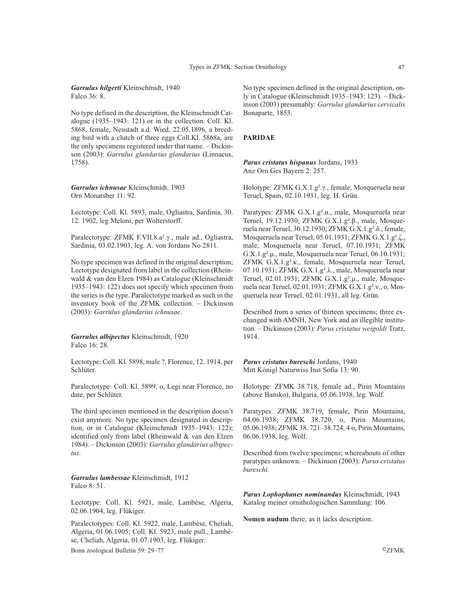*Garrulus hilgerti* Kleinschmidt, 1940 Falco 36: 8.

No type defined in the description, the Kleinschmidt Catalogue  $(1935-1943: 121)$  or in the collection. Coll. Kl. 5868, female, Neustadt a.d. Wied, 22.05.1896, a breeding bird with a clutch of three eggs Coll.Kl. 5868a, are the only specimens registered under that name. – Dickinson (2003): *Garrulus glandarius glandarius* (Linnaeus, 1758).

*Garrulus ichnusae* Kleinschmidt, 1903 Orn Monatsber 11: 92.

Lectotype: Coll. Kl. 5893, male, Ogliastra, Sardinia, 30. 12. 1902, leg Meloni, per Wolterstorff.

Paralectotype: ZFMK F.VII.8.a1.γ., male ad., Ogliastra, Sardinia, 03.02.1903, leg. A. von Jordans No 2811.

No type specimen was defined in the original description; Lectotype designated from label in the collection (Rheinwald & van den Elzen 1984) as Catalogue (Kleinschmidt 1935–1943: 122) does not specify which specimen from the series is the type. Paralectotype marked as such in the inventory book of the ZFMK collection. – Dickinson (2003): *Garrulus glandarius ichnusae*.

*Garrulus albipectus* Kleinschmidt, 1920 Falco 16: 28.

Lectotype: Coll. Kl. 5898, male ?, Florence, 12. 1914, per Schlüter.

Paralectotype: Coll. Kl. 5899, o, Legi near Florence, no date, per Schlüter.

The third specimen mentioned in the description doesn't exist anymore. No type specimen designated in description, or in Catalogue (Kleinschmidt 1935–1943: 122); identified only from label (Rheinwald & van den Elzen 1984). – Dickinson (2003): *Garrulus glandarius albipectus.*

*Garrulus lambessae* Kleinschmidt, 1912 Falco 8: 51.

Lectotype: Coll. Kl. 5921, male, Lambèse, Algeria, 02.06.1904, leg. Flükiger.

Paralectotypes: Coll. Kl. 5922, male, Lambèse, Cheliah, Algeria, 01.06.1905; Coll. Kl. 5923, male pull., Lambèse, Cheliah, Algeria, 01.07.1903, leg. Flükiger.

Bonn zoological Bulletin 59: 29–77 ©ZFMK

No type specimen defined in the original description, only in Catalogue (Kleinschmidt 1935–1943: 123). – Dickinson (2003) presumably: *Garrulus glandarius cervicalis* Bonaparte, 1853.

### **PARIDAE**

*Parus cristatus hispanus* Jordans, 1933 Anz Orn Ges Bayern 2: 257.

Holotype: ZFMK G.X.1.g².γ., female, Mosqueruela near Teruel, Spain, 02.10.1931, leg. H. Grün.

Paratypes: ZFMK G.X.1.g².α., male, Mosqueruela near Teruel, 19.12.1930; ZFMK G.X.1.g².β., male, Mosqueruela near Teruel, 30.12.1930; ZFMK G.X.1.g².δ., female, Mosqueruela near Teruel, 05.01.1931; ZFMK G.X.1.g².ζ., male, Mosqueruela near Teruel, 07.10.1931; ZFMK G.X.1.g².µ., male, Mosqueruela near Teruel, 06.10.1931; ZFMK G.X.1.g².κ., female, Mosqueruela near Teruel, 07.10.1931; ZFMK G.X.1.g².λ., male, Mosqueruela near Teruel, 02.01.1931; ZFMK G.X.1.g².µ., male, Mosqueruela near Teruel, 02.01.1931; ZFMK G.X.1.g².ν., o, Mosqueruela near Teruel, 02.01.1931, all leg. Grün.

Described from a series of thirteen specimens; three exchanged with AMNH, New York and an illegible institution. – Dickinson (2003): *Parus cristatus weigoldi* Tratz, 1914.

*Parus cristatus bureschi* Jordans, 1940 Mitt Königl Naturwiss Inst Sofia 13: 90.

Holotype: ZFMK 38.718, female ad., Pirin Mountains (above Bansko), Bulgaria, 05.06.1938, leg. Wolf.

Paratypes: ZFMK 38.719, female, Pirin Mountains, 04.06.1938; ZFMK 38.720, o, Pirin Mountains, 05.06.1938; ZFMK 38. 721–38.724, 4 o, Pirin Mountains, 06.06.1938, leg. Wolf.

Described from twelve specimens; whereabouts of other paratypes unknown. – Dickinson (2003): *Parus cristatus bureschi.*

*Parus Lophophanes nominandus* Kleinschmidt, 1943 Katalog meiner ornithologischen Sammlung: 106.

**Nomen nudum** there, as it lacks description.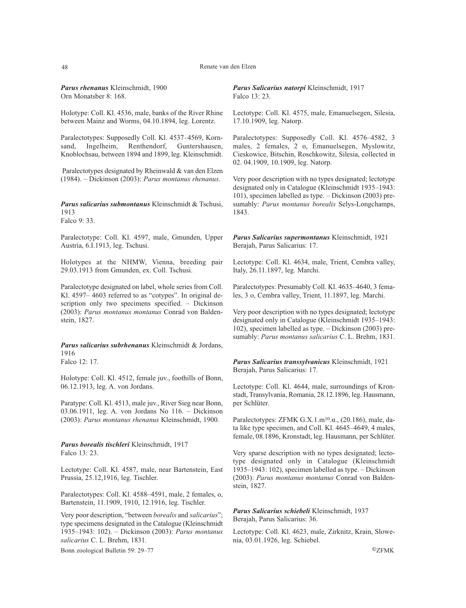#### 48 Renate van den Elzen

*Parus rhenanus* Kleinschmidt, 1900 Orn Monatsber 8: 168.

Holotype: Coll. Kl. 4536, male, banks of the River Rhine between Mainz and Worms, 04.10.1894, leg. Lorentz.

Paralectotypes: Supposedly Coll. Kl. 4537–4569, Korn-Ingelheim, Renthendorf, Guntershausen, Knoblochsau, between 1894 and 1899, leg. Kleinschmidt.

Paralectotypes designated by Rheinwald & van den Elzen (1984). – Dickinson (2003): *Parus montanus rhenanus*.

*Parus salicarius submontanus* Kleinschmidt & Tschusi, 1913 Falco 9: 33.

Paralectotype: Coll. Kl. 4597, male, Gmunden, Upper Austria, 6.I.1913, leg. Tschusi.

Holotypes at the NHMW, Vienna, breeding pair 29.03.1913 from Gmunden, ex. Coll. Tschusi.

Paralectotype designated on label, whole series from Coll. Kl. 4597– 4603 referred to as "cotypes". In original description only two specimens specified. – Dickinson (2003): *Parus montanus montanus* Conrad von Baldenstein, 1827.

*Parus salicarius subrhenanus* Kleinschmidt & Jordans, 1916 Falco 12: 17.

Holotype: Coll. Kl. 4512, female juv., foothills of Bonn, 06.12.1913, leg. A. von Jordans.

Paratype: Coll. Kl. 4513, male juv., River Sieg near Bonn, 03.06.1911, leg. A. von Jordans No 116. – Dickinson (2003): *Parus montanus rhenanus* Kleinschmidt, 1900*.*

*Parus borealis tischleri* Kleinschmidt, 1917 Falco 13: 23.

Lectotype: Coll. Kl. 4587, male, near Bartenstein, East Prussia, 25.12,1916, leg. Tischler.

Paralectotypes: Coll. Kl. 4588–4591, male, 2 females, o, Bartenstein, 11.1909, 1910, 12.1916, leg. Tischler.

Very poor description, "between *borealis* and *salicarius*"; type specimens designated in the Catalogue (Kleinschmidt 1935–1943: 102). – Dickinson (2003): *Parus montanus salicarius* C. L. Brehm, 1831*.*

Bonn zoological Bulletin 59: 29–77 ©ZFMK

*Parus Salicarius natorpi* Kleinschmidt, 1917 Falco 13: 23.

Lectotype: Coll. Kl. 4575, male, Emanuelsegen, Silesia, 17.10.1909, leg. Natorp.

Paralectotypes: Supposedly Coll. Kl. 4576–4582, 3 males, 2 females, 2 o, Emanuelsegen, Myslowitz, Cieskowice, Bitschin, Roschkowitz, Silesia, collected in 02. 04.1909, 10.1909, leg. Natorp.

Very poor description with no types designated; lectotype designated only in Catalogue (Kleinschmidt 1935–1943: 101), specimen labelled as type. – Dickinson (2003) presumably: *Parus montanus borealis* Selys-Longchamps, 1843.

*Parus Salicarius supermontanus* Kleinschmidt, 1921 Berajah, Parus Salicarius: 17.

Lectotype: Coll. Kl. 4634, male, Trient, Cembra valley, Italy, 26.11.1897, leg. Marchi.

Paralectotypes: Presumably Coll. Kl. 4635–4640, 3 females, 3 o, Cembra valley, Trient, 11.1897, leg. Marchi.

Very poor description with no types designated; lectotype designated only in Catalogue (Kleinschmidt 1935–1943: 102), specimen labelled as type. – Dickinson (2003) presumably: *Parus montanus salicarius* C. L. Brehm, 1831.

*Parus Salicarius transsylvanicus* Kleinschmidt, 1921 Berajah, Parus Salicarius: 17.

Lectotype: Coll. Kl. 4644, male, surroundings of Kronstadt, Transylvania, Romania, 28.12.1896, leg. Hausmann, per Schlüter.

Paralectotypes: ZFMK G.X.1.m10.α., (20.186), male, data like type specimen, and Coll. Kl. 4645–4649, 4 males, female, 08.1896, Kronstadt, leg. Hausmann, per Schlüter.

Very sparse description with no types designated; lectotype designated only in Catalogue (Kleinschmidt 1935–1943: 102), specimen labelled as type. – Dickinson (2003): *Parus montanus montanus* Conrad von Baldenstein, 1827.

*Parus Salicarius schiebeli* Kleinschmidt, 1937 Berajah, Parus Salicarius: 36.

Lectotype: Coll. Kl. 4623, male, Zirknitz, Krain, Slowenia, 03.01.1926, leg. Schiebel.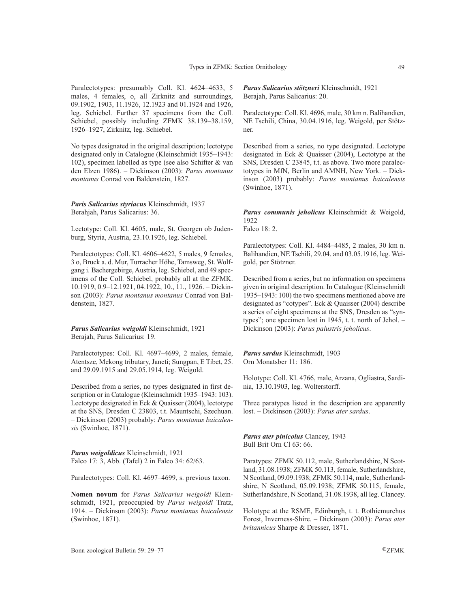Paralectotypes: presumably Coll. Kl. 4624–4633, 5 males, 4 females, o, all Zirknitz and surroundings, 09.1902, 1903, 11.1926, 12.1923 and 01.1924 and 1926, leg. Schiebel. Further 37 specimens from the Coll. Schiebel, possibly including ZFMK 38.139–38.159, 1926–1927, Zirknitz, leg. Schiebel.

No types designated in the original description; lectotype designated only in Catalogue (Kleinschmidt 1935–1943: 102), specimen labelled as type (see also Schifter & van den Elzen 1986). – Dickinson (2003): *Parus montanus montanus* Conrad von Baldenstein, 1827.

*Paris Salicarius styriacus* Kleinschmidt, 1937 Berahjah, Parus Salicarius: 36.

Lectotype: Coll. Kl. 4605, male, St. Georgen ob Judenburg, Styria, Austria, 23.10.1926, leg. Schiebel.

Paralectotypes: Coll. Kl. 4606–4622, 5 males, 9 females, 3 o, Bruck a. d. Mur, Turracher Höhe, Tamsweg, St. Wolfgang i. Bachergebirge, Austria, leg. Schiebel, and 49 specimens of the Coll. Schiebel, probably all at the ZFMK. 10.1919, 0.9–12.1921, 04.1922, 10., 11., 1926. – Dickinson (2003): *Parus montanus montanus* Conrad von Baldenstein, 1827.

*Parus Salicarius weigoldi* Kleinschmidt, 1921 Berajah, Parus Salicarius: 19.

Paralectotypes: Coll. Kl. 4697–4699, 2 males, female, Atentsze, Mekong tributary, Janeti; Sungpan, E Tibet, 25. and 29.09.1915 and 29.05.1914, leg. Weigold.

Described from a series, no types designated in first description or in Catalogue (Kleinschmidt 1935–1943: 103). Lectotype designated in Eck & Quaisser (2004), lectotype at the SNS, Dresden C 23803, t.t. Mauntschi, Szechuan. – Dickinson (2003) probably: *Parus montanus baicalensis* (Swinhoe, 1871).

*Parus weigoldicus* Kleinschmidt, 1921 Falco 17: 3, Abb. (Tafel) 2 in Falco 34: 62/63.

Paralectotypes: Coll. Kl. 4697–4699, s. previous taxon.

**Nomen novum** for *Parus Salicarius weigoldi* Kleinschmidt, 1921, preoccupied by *Parus weigoldi* Tratz, 1914. – Dickinson (2003): *Parus montanus baicalensis* (Swinhoe, 1871).

*Parus Salicarius stötzneri* Kleinschmidt, 1921 Berajah, Parus Salicarius: 20.

Paralectotype: Coll. Kl. 4696, male, 30 km n. Balihandien, NE Tschili, China, 30.04.1916, leg. Weigold, per Stötzner.

Described from a series, no type designated. Lectotype designated in Eck & Quaisser (2004), Lectotype at the SNS, Dresden C 23845, t.t. as above. Two more paralectotypes in MfN, Berlin and AMNH, New York. – Dickinson (2003) probably: *Parus montanus baicalensis* (Swinhoe, 1871).

*Parus communis jeholicus* Kleinschmidt & Weigold, 1922

Falco 18: 2.

Paralectotypes: Coll. Kl. 4484–4485, 2 males, 30 km n. Balihandien, NE Tschili, 29.04. and 03.05.1916, leg. Weigold, per Stötzner.

Described from a series, but no information on specimens given in original description. In Catalogue (Kleinschmidt 1935–1943: 100) the two specimens mentioned above are designated as "cotypes". Eck & Quaisser (2004) describe a series of eight specimens at the SNS, Dresden as "syntypes"; one specimen lost in 1945, t. t. north of Jehol. – Dickinson (2003): *Parus palustris jeholicus*.

*Parus sardus* Kleinschmidt, 1903 Orn Monatsber 11: 186.

Holotype: Coll. Kl. 4766, male, Arzana, Ogliastra, Sardinia, 13.10.1903, leg. Wolterstorff.

Three paratypes listed in the description are apparently lost. – Dickinson (2003): *Parus ater sardus*.

*Parus ater pinicolus* Clancey, 1943 Bull Brit Orn Cl 63: 66.

Paratypes: ZFMK 50.112, male, Sutherlandshire, N Scotland, 31.08.1938; ZFMK 50.113, female, Sutherlandshire, N Scotland, 09.09.1938; ZFMK 50.114, male, Sutherlandshire, N Scotland, 05.09.1938; ZFMK 50.115, female, Sutherlandshire, N Scotland, 31.08.1938, all leg. Clancey.

Holotype at the RSME, Edinburgh, t. t. Rothiemurchus Forest, Inverness-Shire. – Dickinson (2003): *Parus ater britannicus* Sharpe & Dresser, 1871.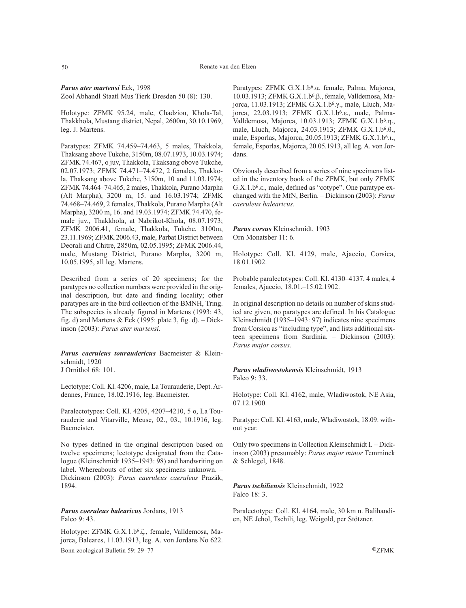*Parus ater martensi* Eck, 1998 Zool Abhandl Staatl Mus Tierk Dresden 50 (8): 130.

Holotype: ZFMK 95.24, male, Chadziou, Khola-Tal, Thakkhola, Mustang district, Nepal, 2600m, 30.10.1969, leg. J. Martens.

Paratypes: ZFMK 74.459–74.463, 5 males, Thakkola, Thaksang above Tukche, 3150m, 08.07.1973, 10.03.1974; ZFMK 74.467, o juv, Thakkola, Tkaksang obove Tukche, 02.07.1973; ZFMK 74.471–74.472, 2 females, Thakkola, Thaksang above Tukche, 3150m, 10 and 11.03.1974; ZFMK 74.464–74.465, 2 males, Thakkola, Purano Marpha (Alt Marpha), 3200 m, 15. and 16.03.1974; ZFMK 74.468–74.469, 2 females, Thakkola, Purano Marpha (Alt Marpha), 3200 m, 16. and 19.03.1974; ZFMK 74.470, female juv., Thakkhola, at Nabrikot-Khola, 08.07.1973; ZFMK 2006.41, female, Thakkola, Tukche, 3100m, 23.11.1969; ZFMK 2006.43, male, Parbat District between Deorali and Chitre, 2850m, 02.05.1995; ZFMK 2006.44, male, Mustang District, Purano Marpha, 3200 m, 10.05.1995, all leg. Martens.

Described from a series of 20 specimens; for the paratypes no collection numbers were provided in the original description, but date and finding locality; other paratypes are in the bird collection of the BMNH, Tring. The subspecies is already figured in Martens (1993: 43, fig. d) and Martens & Eck (1995: plate 3, fig. d).  $-$  Dickinson (2003): *Parus ater martensi.*

*Parus caeruleus touraudericus* Bacmeister & Kleinschmidt, 1920 J Ornithol 68: 101.

Lectotype: Coll. Kl. 4206, male, La Tourauderie, Dept. Ardennes, France, 18.02.1916, leg. Bacmeister.

Paralectotypes: Coll. Kl. 4205, 4207–4210, 5 o, La Tourauderie and Vitarville, Meuse, 02., 03., 10.1916, leg. Bacmeister.

No types defined in the original description based on twelve specimens; lectotype designated from the Catalogue (Kleinschmidt 1935–1943: 98) and handwriting on label. Whereabouts of other six specimens unknown. – Dickinson (2003): *Parus caeruleus caeruleus* Prazák, 1894.

*Parus coeruleus balearicus* Jordans, 1913 Falco 9: 43.

Holotype: ZFMK G.X.1.b6.ζ., female, Valldemosa, Majorca, Baleares, 11.03.1913, leg. A. von Jordans No 622. Bonn zoological Bulletin 59: 29–77 ©ZFMK

Paratypes: ZFMK G.X.1.b6.α. female, Palma, Majorca, 10.03.1913; ZFMK G.X.1.b6.β., female, Valldemosa, Majorca, 11.03.1913; ZFMK G.X.1.b6.γ., male, Lluch, Majorca, 22.03.1913; ZFMK G.X.1.b6.ε., male, Palma-Valldemosa, Majorca, 10.03.1913; ZFMK G.X.1.b6.η., male, Lluch, Majorca, 24.03.1913; ZFMK G.X.1.b<sup>6</sup>.θ., male, Esporlas, Majorca, 20.05.1913; ZFMK G.X.1.b<sup>6</sup>.t., female, Esporlas, Majorca, 20.05.1913, all leg. A. von Jordans.

Obviously described from a series of nine specimens listed in the inventory book of the ZFMK, but only ZFMK G.X.1.b6.ε., male, defined as "cotype". One paratype exchanged with the MfN, Berlin. – Dickinson (2003): *Parus caeruleus balearicus.*

*Parus corsus* Kleinschmidt, 1903 Orn Monatsber 11: 6.

Holotype: Coll. Kl. 4129, male, Ajaccio, Corsica, 18.01.1902.

Probable paralectotypes: Coll. Kl. 4130–4137, 4 males, 4 females, Ajaccio, 18.01.–15.02.1902.

In original description no details on number of skins studied are given, no paratypes are defined. In his Catalogue Kleinschmidt (1935–1943: 97) indicates nine specimens from Corsica as "including type", and lists additional sixteen specimens from Sardinia. – Dickinson (2003): *Parus major corsus.*

*Parus wladiwostokensis* Kleinschmidt, 1913 Falco 9: 33.

Holotype: Coll. Kl. 4162, male, Wladiwostok, NE Asia, 07.12.1900.

Paratype: Coll. Kl. 4163, male, Wladiwostok, 18.09. without year.

Only two specimens in Collection Kleinschmidt I. – Dickinson (2003) presumably: *Parus major minor* Temminck & Schlegel, 1848.

*Parus tschiliensis* Kleinschmidt, 1922 Falco 18: 3.

Paralectotype: Coll. Kl. 4164, male, 30 km n. Balihandien, NE Jehol, Tschili, leg. Weigold, per Stötzner.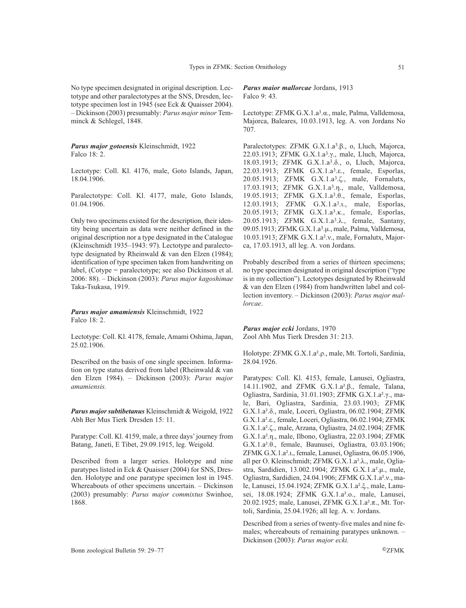No type specimen designated in original description. Lectotype and other paralectotypes at the SNS, Dresden, lectotype specimen lost in 1945 (see Eck & Quaisser 2004). – Dickinson (2003) presumably: *Parus major minor* Temminck & Schlegel, 1848.

*Parus major gotoensis* Kleinschmidt, 1922 Falco 18: 2.

Lectotype: Coll. Kl. 4176, male, Goto Islands, Japan, 18.04.1906.

Paralectotype: Coll. Kl. 4177, male, Goto Islands, 01.04.1906.

Only two specimens existed for the description, their identity being uncertain as data were neither defined in the original description nor a type designated in the Catalogue (Kleinschmidt 1935–1943: 97). Lectotype and paralectotype designated by Rheinwald & van den Elzen (1984); identification of type specimen taken from handwriting on label, (Cotype = paralectotype; see also Dickinson et al. 2006: 88). – Dickinson (2003): *Parus major kagoshimae* Taka-Tsukasa, 1919.

*Parus major amamiensis* Kleinschmidt, 1922 Falco 18: 2.

Lectotype: Coll. Kl. 4178, female, Amami Oshima, Japan, 25.02.1906.

Described on the basis of one single specimen. Information on type status derived from label (Rheinwald & van den Elzen 1984). – Dickinson (2003): *Parus major amamiensis.*

*Parus major subtibetanus* Kleinschmidt & Weigold, 1922 Abh Ber Mus Tierk Dresden 15: 11.

Paratype: Coll. Kl. 4159, male, a three days' journey from Batang, Janeti, E Tibet, 29.09.1915, leg. Weigold.

Described from a larger series. Holotype and nine paratypes listed in Eck & Quaisser (2004) for SNS, Dresden. Holotype and one paratype specimen lost in 1945. Whereabouts of other specimens uncertain. – Dickinson (2003) presumably: *Parus major commixtus* Swinhoe, 1868.

# *Parus maior mallorcae* Jordans, 1913 Falco 9: 43.

Lectotype: ZFMK G.X.1.a3.α., male, Palma, Valldemosa, Majorca, Baleares, 10.03.1913, leg. A. von Jordans No 707.

Paralectotypes: ZFMK G.X.1.a3.β., o, Lluch, Majorca, 22.03.1913; ZFMK G.X.1.a3.γ., male, Lluch, Majorca, 18.03.1913; ZFMK G.X.1.a3.δ., o, Lluch, Majorca, 22.03.1913; ZFMK G.X.1.a3.ε., female, Esporlas, 20.05.1913; ZFMK G.X.1.a3.ζ., male, Fornalutx, 17.03.1913; ZFMK G.X.1.a3.η., male, Valldemosa, 19.05.1913; ZFMK G.X.1.a3.θ., female, Esporlas, 12.03.1913; ZFMK G.X.1.a<sup>3</sup>.1., male, Esporlas, 20.05.1913; ZFMK G.X.1.a3.κ., female, Esporlas, 20.05.1913; ZFMK G.X.1.a3.λ., female, Santany, 09.05.1913; ZFMK G.X.1.a3.µ., male, Palma, Valldemosa, 10.03.1913; ZFMK G.X.1.a3.ν., male, Fornalutx, Majorca, 17.03.1913, all leg. A. von Jordans.

Probably described from a series of thirteen specimens; no type specimen designated in original description ("type is in my collection"). Lectotypes designated by Rheinwald & van den Elzen (1984) from handwritten label and collection inventory. – Dickinson (2003): *Parus major mallorcae*.

*Parus major ecki* Jordans, 1970 Zool Abh Mus Tierk Dresden 31: 213.

Holotype: ZFMK G.X.1.a².ρ., male, Mt. Tortoli, Sardinia, 28.04.1926.

Paratypes: Coll. Kl. 4153, female, Lanusei, Ogliastra, 14.11.1902, and ZFMK G.X.1.a².β., female, Talana, Ogliastra, Sardinia, 31.01.1903; ZFMK G.X.1.a².γ., male, Bari, Ogliastra, Sardinia, 23.03.1903; ZFMK G.X.1.a².δ., male, Loceri, Ogliastra, 06.02.1904; ZFMK G.X.1.a².ε., female, Loceri, Ogliastra, 06.02.1904; ZFMK G.X.1.a².ζ., male, Arzana, Ogliastra, 24.02.1904; ZFMK G.X.1.a².η., male, Ilbono, Ogliastra, 22.03.1904; ZFMK G.X.1.a².θ., female, Baunusei, Ogliastra, 03.03.1906; ZFMK G.X.1.a².ι., female, Lanusei, Ogliastra, 06.05.1906, all per O. Kleinschmidt; ZFMK G.X.1.a².λ., male, Ogliastra, Sardidien, 13.002.1904; ZFMK G.X.1.a².µ., male, Ogliastra, Sardidien, 24.04.1906; ZFMK G.X.1.a².ν., male, Lanusei, 15.04.1924; ZFMK G.X.1.a².ξ., male, Lanusei, 18.08.1924; ZFMK G.X.1.a².ο., male, Lanusei, 20.02.1925; male, Lanusei, ZFMK G.X.1.a².π., Mt. Tortoli, Sardinia, 25.04.1926; all leg. A. v. Jordans.

Described from a series of twenty-five males and nine females; whereabouts of remaining paratypes unknown. – Dickinson (2003): *Parus major ecki.*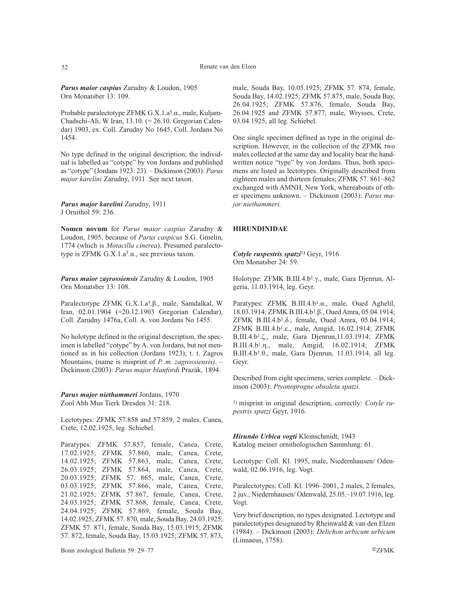*Parus maior caspius* Zarudny & Loudon, 1905 Orn Monatsber 13: 109.

Probable paralectotype ZFMK G.X.1.a5.α., male, Kuljam-Chadschi-Ali, W Iran, 13.10. (= 26.10. Gregorian Calendar) 1903, ex. Coll. Zarudny No 1645, Coll. Jordans No 1454.

No type defined in the original description; the individual is labelled as "cotype" by von Jordans and published as "cotype" (Jordans 1923: 23). – Dickinson (2003): *Parus major karelini* Zarudny, 1911. See next taxon.

*Parus major karelini* Zarudny, 1911 J Ornithol 59: 236.

**Nomen novum** for *Parus maior caspius* Zarudny & Loudon, 1905, because of *Parus caspicus* S.G. Gmelin, 1774 (which is *Motacilla cinerea*). Presumed paralectotype is ZFMK G.X.1.a5.α., see previous taxon.

*Parus maior zayrossiensis* Zarudny & Loudon, 1905 Orn Monatsber 13: 108.

Paralectotype ZFMK G.X.1.a5.β., male, Samdalkal, W Iran, 02.01.1904 (=20.12.1903 Gregorian Calendar), Coll. Zarudny 1476a, Coll. A. von Jordans No 1455.

No holotype defined in the original description, the specimen is labelled "cotype" by A. von Jordans, but not mentioned as in his collection (Jordans 1923); t. t. Zagros Mountains, (name is misprint of *P. m. zagrossiensis)*. – Dickinson (2003): *Parus major blanfordi* Prazák, 1894.

*Parus major niethammeri* Jordans, 1970 Zool Abh Mus Tierk Dresden 31: 218.

Lectotypes: ZFMK 57.858 and 57.859, 2 males, Canea, Crete, 12.02.1925, leg. Schiebel.

Paratypes: ZFMK 57.857, female, Canea, Crete, 17.02.1925; ZFMK 57.860, male, Canea, Crete, 14.02.1925; ZFMK 57.863, male, Canea, Crete, 26.03.1925; ZFMK 57.864, male, Canea, Crete, 20.03.1925; ZFMK 57. 865, male, Canea, Crete, 03.03.1925; ZFMK 57.866, male, Canea, Crete, 21.02.1925; ZFMK 57.867, female, Canea, Crete, 24.03.1925; ZFMK 57.868, female, Canea, Crete, 24.04.1925; ZFMK 57.869, female, Souda Bay, 14.02.1925; ZFMK 57. 870, male, Souda Bay, 24.03.1925; ZFMK 57. 871, female, Souda Bay, 15.03.1915; ZFMK 57. 872, female, Souda Bay, 15.03.1925; ZFMK 57. 873,

male, Souda Bay, 10.05.1925; ZFMK 57. 874, female, Souda Bay, 14.02.1925; ZFMK 57.875, male, Souda Bay, 26.04.1925; ZFMK 57.876, female, Souda Bay, 26.04.1925 and ZFMK 57.877, male, Wrysses, Crete, 03.04.1925, all leg. Schiebel.

One single specimen defined as type in the original description. However, in the collection of the ZFMK two males collected at the same day and locality bear the handwritten notice "type" by von Jordans. Thus, both specimens are listed as lectotypes. Originally described from eighteen males and thirteen females; ZFMK 57. 861–862 exchanged with AMNH, New York, whereabouts of other specimens unknown. – Dickinson (2003): *Parus major niethammeri.*

### **HIRUNDINIDAE**

*Cotyle ruspestris spatzi*<sup>1</sup>**)** Geyr, 1916 Orn Monatsber 24: 59.

Holotype: ZFMK B.III.4.b1.γ., male, Gara Djenrun, Algeria, 11.03.1914, leg. Geyr.

Paratypes: ZFMK B.III.4.b1.α., male, Oued Aghelil, 18.03.1914; ZFMK B.III.4.b1.β., Oued Amra, 05.04.1914; ZFMK B.III.4.b1.δ., female, Oued Amra, 05.04.1914; ZFMK B.III.4.b1.ε., male, Amgid, 16.02.1914; ZFMK B.III.4.b1.ζ., male, Gara Djenrun,11.03.1914; ZFMK B.III.4.b1.η., male, Amgid, 16.02.1914; ZFMK B.III.4.b1.θ., male, Gara Djenrun, 11.03.1914, all leg. Geyr.

Described from eight specimens, series complete. – Dickinson (2003): *Ptyonoprogne obsoleta spatzi.*

1) misprint in original description, correctly: *Cotyle rupestris spatzi* Geyr, 1916.

*Hirundo Urbica vogti* Kleinschmidt, 1943 Katalog meiner ornithologischen Sammlung: 61.

Lectotype: Coll. Kl. 1995, male, Niedernhausen/ Odenwald, 02.06.1916, leg. Vogt.

Paralectotypes: Coll. Kl. 1996–2001, 2 males, 2 females, 2 juv., Niedernhausen/ Odenwald, 25.05.–19.07.1916, leg. Vogt.

Very brief description, no types designated. Lectotype and paralectotypes designated by Rheinwald & van den Elzen (1984). – Dickinson (2003): *Delichon urbicum urbicum* (Linnaeus, 1758).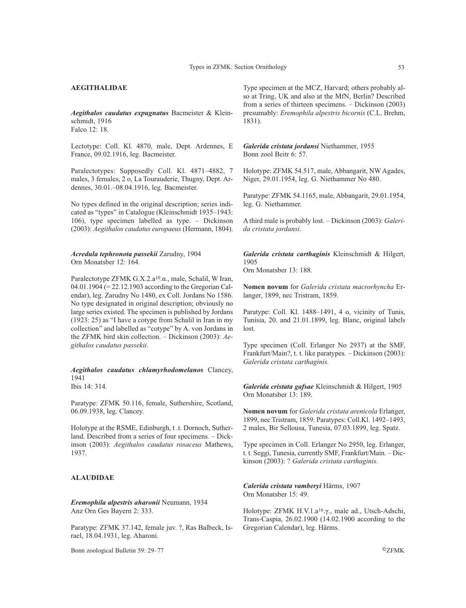# **AEGITHALIDAE**

*Aegithalos caudatus expugnatus* Bacmeister & Kleinschmidt, 1916 Falco 12: 18.

Lectotype: Coll. Kl. 4870, male, Dept. Ardennes, E France, 09.02.1916, leg. Bacmeister.

Paralectotypes: Supposedly Coll. Kl. 4871–4882, 7 males, 3 females, 2 o, La Tourauderie, Thugny, Dept. Ardennes, 30.01.–08.04.1916, leg. Bacmeister.

No types defined in the original description; series indicated as "types" in Catalogue (Kleinschmidt 1935–1943: 106), type specimen labelled as type. – Dickinson (2003): *Aegithalos caudatus europaeus* (Hermann, 1804).

*Acredula tephronota passekii* Zarudny, 1904 Orn Monatsber 12: 164.

Paralectotype ZFMK G.X.2.a<sup>10</sup>.α., male, Schalil, W Iran, 04.01.1904 (= 22.12.1903 according to the Gregorian Calendar), leg. Zarudny No 1480, ex Coll. Jordans No 1586. No type designated in original description; obviously no large series existed. The specimen is published by Jordans (1923: 25) as "I have a cotype from Schalil in Iran in my collection" and labelled as "cotype" by A. von Jordans in the ZFMK bird skin collection. – Dickinson (2003): *Aegithalos caudatus passekii*.

*Aegithalos caudatus chlamyrhodomelanos* Clancey, 1941 Ibis 14: 314.

Paratype: ZFMK 50.116, female, Suthershire, Scotland, 06.09.1938, leg. Clancey.

Holotype at the RSME, Edinburgh, t .t. Dornoch, Sutherland. Described from a series of four specimens. – Dickinson (2003): *Aegithalos caudatus rosaceus* Mathews, 1937.

### **ALAUDIDAE**

*Eremophila alpestris aharonii* Neumann, 1934 Anz Orn Ges Bayern 2: 333.

Paratype: ZFMK 37.142, female juv. ?, Ras Balbeck, Israel, 18.04.1931, leg. Aharoni.

Bonn zoological Bulletin 59: 29–77 ©ZFMK

Type specimen at the MCZ, Harvard; others probably also at Tring, UK and also at the MfN, Berlin? Described from a series of thirteen specimens. – Dickinson (2003) presumably: *Eremophila alpestris bicornis* (C.L. Brehm, 1831).

*Galerida cristata jordansi* Niethammer, 1955 Bonn zool Beitr 6: 57.

Holotype: ZFMK 54.517, male, Abbangarit, NW Agades, Niger, 29.01.1954, leg. G. Niethammer No 480.

Paratype: ZFMK 54.1165, male, Abbangarit, 29.01.1954, leg. G. Niethammer.

A third male is probably lost. – Dickinson (2003): *Galerida cristata jordansi.*

*Galerida cristata carthaginis* Kleinschmidt & Hilgert, 1905 Orn Monatsber 13: 188.

**Nomen novum** for *Galerida cristata macrorhyncha* Erlanger, 1899, nec Tristram, 1859.

Paratype: Coll. Kl. 1488–1491, 4 o, vicinity of Tunis, Tunisia, 20. and 21.01.1899, leg. Blanc, original labels lost.

Type specimen (Coll. Erlanger No 2937) at the SMF, Frankfurt/Main?, t. t. like paratypes. – Dickinson (2003): *Galerida cristata carthaginis.*

*Galerida cristata gafsae* Kleinschmidt & Hilgert, 1905 Orn Monatsber 13: 189.

**Nomen novum** for *Galerida cristata arenicola* Erlanger, 1899, nec Tristram, 1859. Paratypes: Coll.Kl. 1492–1493, 2 males, Bir Sellousa, Tunesia, 07.03.1899, leg. Spatz.

Type specimen in Coll. Erlanger No 2950, leg. Erlanger, t. t. Seggi, Tunesia, currently SMF, Frankfurt/Main. – Dickinson (2003): ? *Galerida cristata carthaginis.*

*Calerida cristata vamberyi* Härms, 1907 Orn Monatsber 15: 49.

Holotype: ZFMK H.V.1.a16.γ., male ad., Utsch-Adschi, Trans-Caspia, 26.02.1900 (14.02.1900 according to the Gregorian Calendar), leg. Härms.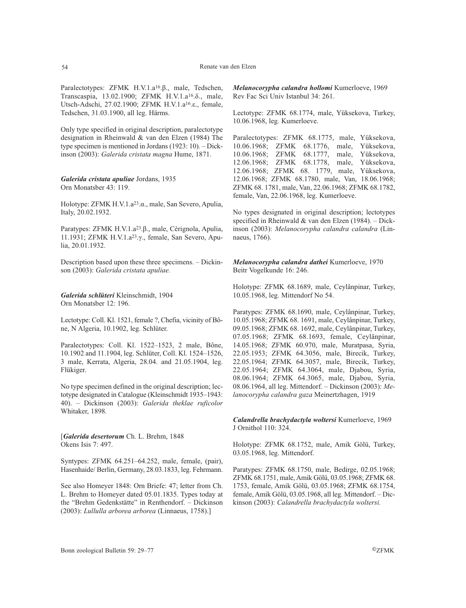Paralectotypes: ZFMK H.V.1.a16.β., male, Tedschen, Transcaspia, 13.02.1900; ZFMK H.V.1.a16.δ., male, Utsch-Adschi, 27.02.1900; ZFMK H.V.1.a16.ε., female, Tedschen, 31.03.1900, all leg. Härms.

Only type specified in original description, paralectotype designation in Rheinwald & van den Elzen (1984) The type specimen is mentioned in Jordans (1923: 10). – Dickinson (2003): *Galerida cristata magna* Hume, 1871.

### *Galerida cristata apuliae* Jordans, 1935 Orn Monatsber 43: 119.

Holotype: ZFMK H.V.1.a23.α., male, San Severo, Apulia, Italy, 20.02.1932.

Paratypes: ZFMK H.V.1.a23.β., male, Cèrignola, Apulia, 11.1931; ZFMK H.V.1.a23.γ., female, San Severo, Apulia, 20.01.1932.

Description based upon these three specimens. – Dickinson (2003): *Galerida cristata apuliae.*

*Galerida schlüteri* Kleinschmidt, 1904 Orn Monatsber 12: 196.

Lectotype: Coll. Kl. 1521, female ?, Chefia, vicinity of Bône, N Algeria, 10.1902, leg. Schlüter.

Paralectotypes: Coll. Kl. 1522–1523, 2 male, Bône, 10.1902 and 11.1904, leg. Schlüter, Coll. Kl. 1524–1526, 3 male, Kerrata, Algeria, 28.04. and 21.05.1904, leg. Flükiger.

No type specimen defined in the original description; lectotype designated in Catalogue (Kleinschmidt 1935–1943: 40). – Dickinson (2003): *Galerida theklae ruficolor* Whitaker, 1898*.*

[*Galerida desertorum* Ch. L. Brehm, 1848 Okens Isis 7: 497.

Syntypes: ZFMK 64.251–64.252, male, female, (pair), Hasenhaide/ Berlin, Germany, 28.03.1833, leg. Fehrmann.

See also Homeyer 1848: Orn Briefe: 47; letter from Ch. L. Brehm to Homeyer dated 05.01.1835. Types today at the "Brehm Gedenkstätte" in Renthendorf. – Dickinson (2003): *Lullulla arborea arborea* (Linnaeus, 1758).]

*Melanocorypha calandra hollomi* Kumerloeve, 1969 Rev Fac Sci Univ Istanbul 34: 261.

Lectotype: ZFMK 68.1774, male, Yüksekova, Turkey, 10.06.1968, leg. Kumerloeve.

Paralectotypes: ZFMK 68.1775, male, Yüksekova, 10.06.1968; ZFMK 68.1776, male, Yüksekova, 10.06.1968; ZFMK 68.1777, male, Yüksekova, 12.06.1968; ZFMK 68.1778, male, Yüksekova, 12.06.1968; ZFMK 68. 1779, male, Yüksekova, 12.06.1968; ZFMK 68.1780, male, Van, 18.06.1968; ZFMK 68. 1781, male, Van, 22.06.1968; ZFMK 68.1782, female, Van, 22.06.1968, leg. Kumerloeve.

No types designated in original description; lectotypes specified in Rheinwald & van den Elzen (1984). – Dickinson (2003): *Melanocorypha calandra calandra* (Linnaeus, 1766).

*Melanocorypha calandra dathei* Kumerloeve, 1970 Beitr Vogelkunde 16: 246.

Holotype: ZFMK 68.1689, male, Ceylânpinar, Turkey, 10.05.1968, leg. Mittendorf No 54.

Paratypes: ZFMK 68.1690, male, Ceylânpinar, Turkey, 10.05.1968; ZFMK 68. 1691, male, Ceylânpinar, Turkey, 09.05.1968; ZFMK 68. 1692, male, Ceylânpinar, Turkey, 07.05.1968; ZFMK 68.1693, female, Ceylânpinar, 14.05.1968; ZFMK 60.970, male, Muratpasa, Syria, 22.05.1953; ZFMK 64.3056, male, Birecik, Turkey, 22.05.1964; ZFMK 64.3057, male, Birecik, Turkey, 22.05.1964; ZFMK 64.3064, male, Djabou, Syria, 08.06.1964; ZFMK 64.3065, male, Djabou, Syria, 08.06.1964, all leg. Mittendorf. – Dickinson (2003): *Melanocorypha calandra gaza* Meinertzhagen, 1919

*Calandrella brachydactyla woltersi* Kumerloeve, 1969 J Ornithol 110: 324.

Holotype: ZFMK 68.1752, male, Amik Gölü, Turkey, 03.05.1968, leg. Mittendorf.

Paratypes: ZFMK 68.1750, male, Bedirge, 02.05.1968; ZFMK 68.1751, male, Amik Gölü, 03.05.1968; ZFMK 68. 1753, female, Amik Gölü, 03.05.1968; ZFMK 68.1754, female, Amik Gölü, 03.05.1968, all leg. Mittendorf. – Dickinson (2003): *Calandrella brachydactyla woltersi.*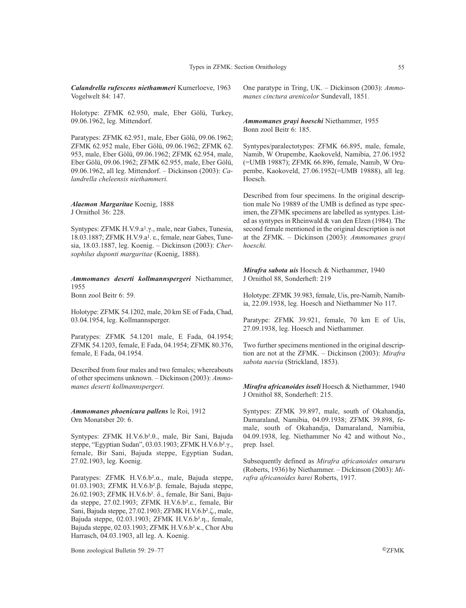*Calandrella rufescens niethammeri* Kumerloeve, 1963 Vogelwelt 84: 147.

Holotype: ZFMK 62.950, male, Eber Gölü, Turkey, 09.06.1962, leg. Mittendorf.

Paratypes: ZFMK 62.951, male, Eber Gölü, 09.06.1962; ZFMK 62.952 male, Eber Gölü, 09.06.1962; ZFMK 62. 953, male, Eber Gölü, 09.06.1962; ZFMK 62.954, male, Eber Gölü, 09.06.1962; ZFMK 62.955, male, Eber Gölü, 09.06.1962, all leg. Mittendorf. – Dickinson (2003): *Calandrella cheleensis niethammeri.*

#### *Alaemon Margaritae* Koenig, 1888 J Ornithol 36: 228.

Syntypes: ZFMK H.V.9.a1.γ., male, near Gabes, Tunesia, 18.03.1887; ZFMK H.V.9.a1. ε., female, near Gabes, Tunesia, 18.03.1887, leg. Koenig. – Dickinson (2003): *Chersophilus duponti margaritae* (Koenig, 1888).

# *Ammomanes deserti kollmannspergeri* Niethammer, 1955

Bonn zool Beitr 6: 59.

Holotype: ZFMK 54.1202, male, 20 km SE of Fada, Chad, 03.04.1954, leg. Kollmannsperger.

Paratypes: ZFMK 54.1201 male, E Fada, 04.1954; ZFMK 54.1203, female, E Fada, 04.1954; ZFMK 80.376, female, E Fada, 04.1954.

Described from four males and two females; whereabouts of other specimens unknown. – Dickinson (2003): *Ammomanes deserti kollmannspergeri.*

*Ammomanes phoenicura pallens* le Roi, 1912 Orn Monatsber 20: 6.

Syntypes: ZFMK H.V.6.b².θ., male, Bir Sani, Bajuda steppe, "Egyptian Sudan", 03.03.1903; ZFMK H.V.6.b².γ., female, Bir Sani, Bajuda steppe, Egyptian Sudan, 27.02.1903, leg. Koenig.

Paratypes: ZFMK H.V.6.b².α., male, Bajuda steppe, 01.03.1903; ZFMK H.V.6.b².β. female, Bajuda steppe, 26.02.1903; ZFMK H.V.6.b². δ., female, Bir Sani, Bajuda steppe, 27.02.1903; ZFMK H.V.6.b².ε., female, Bir Sani, Bajuda steppe, 27.02.1903; ZFMK H.V.6.b².ζ., male, Bajuda steppe, 02.03.1903; ZFMK H.V.6.b².η., female, Bajuda steppe, 02.03.1903; ZFMK H.V.6.b².κ., Chor Abu Harrasch, 04.03.1903, all leg. A. Koenig.

One paratype in Tring, UK. – Dickinson (2003): *Ammomanes cinctura arenicolor* Sundevall, 1851*.*

### *Ammomanes grayi hoeschi* Niethammer, 1955 Bonn zool Beitr 6: 185.

Syntypes/paralectotypes: ZFMK 66.895, male, female, Namib, W Orupembe, Kaokoveld, Namibia, 27.06.1952 (=UMB 19887); ZFMK 66.896, female, Namib, W Orupembe, Kaokoveld, 27.06.1952(=UMB 19888), all leg. Hoesch.

Described from four specimens. In the original description male No 19889 of the UMB is defined as type specimen, the ZFMK specimens are labelled as syntypes. Listed as syntypes in Rheinwald & van den Elzen (1984). The second female mentioned in the original description is not at the ZFMK. – Dickinson (2003): *Ammomanes grayi hoeschi.*

*Mirafra sabota uis* Hoesch & Niethammer, 1940 J Ornithol 88, Sonderheft: 219

Holotype: ZFMK 39.983, female, Uis, pre-Namib, Namibia, 22.09.1938, leg. Hoesch and Niethammer No 117.

Paratype: ZFMK 39.921, female, 70 km E of Uis, 27.09.1938, leg. Hoesch and Niethammer.

Two further specimens mentioned in the original description are not at the ZFMK. – Dickinson (2003): *Mirafra sabota naevia* (Strickland, 1853).

*Mirafra africanoides isseli* Hoesch & Niethammer, 1940 J Ornithol 88, Sonderheft: 215.

Syntypes: ZFMK 39.897, male, south of Okahandja, Damaraland, Namibia, 04.09.1938; ZFMK 39.898, female, south of Okahandja, Damaraland, Namibia, 04.09.1938, leg. Niethammer No 42 and without No., prep. Issel.

Subsequently defined as *Mirafra africanoides omaruru* (Roberts, 1936) by Niethammer. – Dickinson (2003): *Mirafra africanoides harei* Roberts, 1917.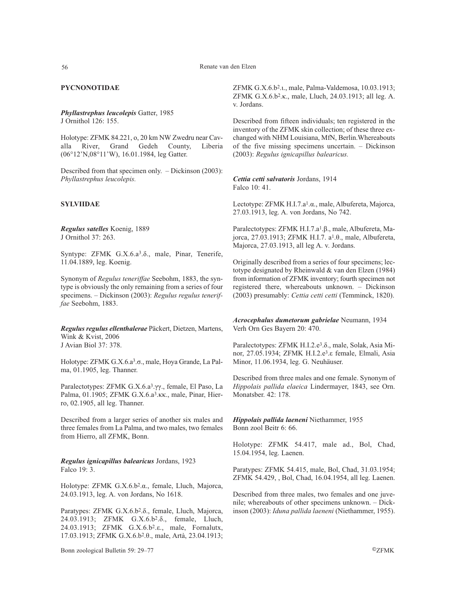# **PYCNONOTIDAE**

*Phyllastrephus leucolepis* Gatter, 1985 J Ornithol 126: 155.

Holotype: ZFMK 84.221, o, 20 km NW Zwedru near Cav-<br>alla River, Grand Gedeh County. Liberia River, Grand Gedeh County, Liberia (06°12'N,08°11'W), 16.01.1984, leg Gatter.

Described from that specimen only. – Dickinson (2003): *Phyllastrephus leucolepis.*

# **SYLVIIDAE**

*Regulus satelles* Koenig, 1889 J Ornithol 37: 263.

Syntype: ZFMK G.X.6.a3.δ., male, Pinar, Tenerife, 11.04.1889, leg. Koenig.

Synonym of *Regulus teneriffae* Seebohm, 1883, the syntype is obviously the only remaining from a series of four specimens. – Dickinson (2003): *Regulus regulus teneriffae* Seebohm, 1883.

*Regulus regulus ellenthalerae* Päckert, Dietzen, Martens, Wink & Kvist, 2006 J Avian Biol 37: 378.

Holotype: ZFMK G.X.6.a3.σ., male, Hoya Grande, La Palma, 01.1905, leg. Thanner.

Paralectotypes: ZFMK G.X.6.a3.γγ., female, El Paso, La Palma, 01.1905; ZFMK G.X.6.a3.κκ., male, Pinar, Hierro, 02.1905, all leg. Thanner.

Described from a larger series of another six males and three females from La Palma, and two males, two females from Hierro, all ZFMK, Bonn.

*Regulus ignicapillus balearicus* Jordans, 1923 Falco 19: 3.

Holotype: ZFMK G.X.6.b2.α., female, Lluch, Majorca, 24.03.1913, leg. A. von Jordans, No 1618.

Paratypes: ZFMK G.X.6.b2.δ., female, Lluch, Majorca, 24.03.1913; ZFMK G.X.6.b2.δ., female, Lluch, 24.03.1913; ZFMK G.X.6.b2.ε., male, Fornalutx, 17.03.1913; ZFMK G.X.6.b2.θ., male, Artà, 23.04.1913;

Bonn zoological Bulletin 59: 29–77 ©ZFMK

ZFMK G.X.6.b2.ι., male, Palma-Valdemosa, 10.03.1913; ZFMK G.X.6.b2.κ., male, Lluch, 24.03.1913; all leg. A. v. Jordans.

Described from fifteen individuals; ten registered in the inventory of the ZFMK skin collection; of these three exchanged with NHM Louisiana, MfN, Berlin.Whereabouts of the five missing specimens uncertain. – Dickinson (2003): *Regulus ignicapillus balearicus.*

*Cettia cetti salvatoris* Jordans, 1914 Falco 10: 41.

Lectotype: ZFMK H.I.7.a1.α., male, Albufereta, Majorca, 27.03.1913, leg. A. von Jordans, No 742.

Paralectotypes: ZFMK H.I.7.a1.β., male, Albufereta, Majorca, 27.03.1913; ZFMK H.I.7. a1.θ., male, Albufereta, Majorca, 27.03.1913, all leg A. v. Jordans.

Originally described from a series of four specimens; lectotype designated by Rheinwald & van den Elzen (1984) from information of ZFMK inventory; fourth specimen not registered there, whereabouts unknown. – Dickinson (2003) presumably: *Cettia cetti cetti* (Temminck, 1820).

*Acrocephalus dumetorum gabrielae* Neumann, 1934 Verh Orn Ges Bayern 20: 470.

Paralectotypes: ZFMK H.I.2.e3.δ., male, Solak, Asia Minor, 27.05.1934; ZFMK H.I.2.e3.ε female, Elmali, Asia Minor, 11.06.1934, leg. G. Neuhäuser.

Described from three males and one female. Synonym of *Hippolais pallida elaeica* Lindermayer, 1843, see Orn. Monatsber. 42: 178.

*Hippolais pallida laeneni* Niethammer, 1955 Bonn zool Beitr 6: 66.

Holotype: ZFMK 54.417, male ad., Bol, Chad, 15.04.1954, leg. Laenen.

Paratypes: ZFMK 54.415, male, Bol, Chad, 31.03.1954; ZFMK 54.429, , Bol, Chad, 16.04.1954, all leg. Laenen.

Described from three males, two females and one juvenile; whereabouts of other specimens unknown. – Dickinson (2003): *Iduna pallida laeneni* (Niethammer, 1955).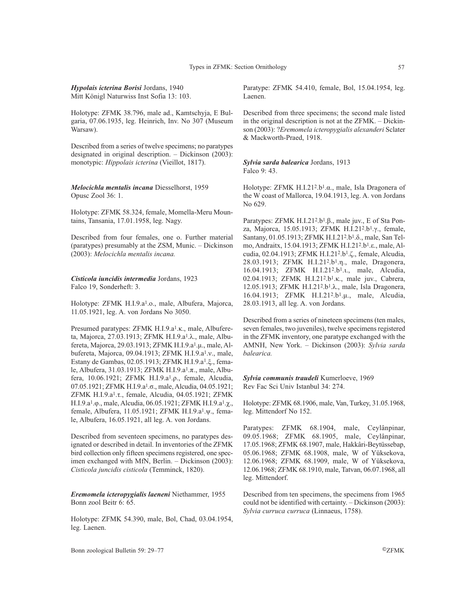# *Hypolais icterina Borisi* Jordans, 1940 Mitt Königl Naturwiss Inst Sofia 13: 103.

Holotype: ZFMK 38.796, male ad., Kamtschyja, E Bulgaria, 07.06.1935, leg. Heinrich, Inv. No 307 (Museum Warsaw).

Described from a series of twelve specimens; no paratypes designated in original description. – Dickinson (2003): monotypic: *Hippolais icterina* (Vieillot, 1817).

*Melocichla mentalis incana* Diesselhorst, 1959 Opusc Zool 36: 1.

Holotype: ZFMK 58.324, female, Momella-Meru Mountains, Tansania, 17.01.1958, leg. Nagy.

Described from four females, one o. Further material (paratypes) presumably at the ZSM, Munic. – Dickinson (2003): *Melocichla mentalis incana.*

*Cisticola iuncidis intermedia* Jordans, 1923 Falco 19, Sonderheft: 3.

Holotype: ZFMK H.I.9.a1.ο., male, Albufera, Majorca, 11.05.1921, leg. A. von Jordans No 3050.

Presumed paratypes: ZFMK H.I.9.a1.κ., male, Albufereta, Majorca, 27.03.1913; ZFMK H.I.9.a1.λ., male, Albufereta, Majorca, 29.03.1913; ZFMK H.I.9.a1.µ., male, Albufereta, Majorca, 09.04.1913; ZFMK H.I.9.a<sup>1</sup>.v., male, Estany de Gambas, 02.05.1913; ZFMK H.I.9.a1.ξ., female, Albufera, 31.03.1913; ZFMK H.I.9.a1.π., male, Albufera, 10.06.1921; ZFMK H.I.9.a1.ρ., female, Alcudia, 07.05.1921; ZFMK H.I.9.a1.σ., male, Alcudia, 04.05.1921; ZFMK H.I.9.a1.τ., female, Alcudia, 04.05.1921; ZFMK H.I.9.a1.φ., male, Alcudia, 06.05.1921; ZFMK H.I.9.a1.χ., female, Albufera, 11.05.1921; ZFMK H.I.9.a1.ψ., female, Albufera, 16.05.1921, all leg. A. von Jordans.

Described from seventeen specimens, no paratypes designated or described in detail. In inventories of the ZFMK bird collection only fifteen specimens registered, one specimen exchanged with MfN, Berlin. – Dickinson (2003): *Cisticola juncidis cisticola* (Temminck, 1820).

*Eremomela icteropygialis laeneni* Niethammer, 1955 Bonn zool Beitr 6: 65.

Holotype: ZFMK 54.390, male, Bol, Chad, 03.04.1954, leg. Laenen.

Paratype: ZFMK 54.410, female, Bol, 15.04.1954, leg. Laenen.

Described from three specimens; the second male listed in the original description is not at the ZFMK. – Dickinson (2003): ?*Eremomela icteropygialis alexanderi* Sclater & Mackworth-Praed, 1918.

*Sylvia sarda balearica* Jordans, 1913 Falco 9: 43.

Holotype: ZFMK H.I.212.b1.α., male, Isla Dragonera of the W coast of Mallorca, 19.04.1913, leg. A. von Jordans No 629.

Paratypes: ZFMK H.I.212.b1.β., male juv., E of Sta Ponza, Majorca, 15.05.1913; ZFMK H.I.212.b1.γ., female, Santany, 01.05.1913; ZFMK H.I.212.b1.δ., male, San Telmo, Andraitx, 15.04.1913; ZFMK H.I.21<sup>2</sup>.b<sup>1</sup>.ε., male, Alcudia, 02.04.1913; ZFMK H.I.212.b1.ζ., female, Alcudia, 28.03.1913; ZFMK H.I.212.b1.η., male, Dragonera, 16.04.1913; ZFMK H.I.21<sup>2</sup>.b<sup>1</sup>.t., male, Alcudia, 02.04.1913; ZFMK H.I.212.b1.κ., male juv., Cabrera, 12.05.1913; ZFMK H.I.212.b1.λ., male, Isla Dragonera, 16.04.1913; ZFMK H.I.212.b1.µ., male, Alcudia, 28.03.1913, all leg. A. von Jordans.

Described from a series of nineteen specimens (ten males, seven females, two juveniles), twelve specimens registered in the ZFMK inventory, one paratype exchanged with the AMNH, New York. – Dickinson (2003): *Sylvia sarda balearica.*

*Sylvia communis traudeli* Kumerloeve, 1969 Rev Fac Sci Univ Istanbul 34: 274.

Holotype: ZFMK 68.1906, male, Van, Turkey, 31.05.1968, leg. Mittendorf No 152.

Paratypes: ZFMK 68.1904, male, Ceylânpinar, 09.05.1968; ZFMK 68.1905, male, Ceylânpinar, 17.05.1968; ZFMK 68.1907, male, Hakkâri-Beytüssebap, 05.06.1968; ZFMK 68.1908, male, W of Yüksekova, 12.06.1968; ZFMK 68.1909, male, W of Yüksekova, 12.06.1968; ZFMK 68.1910, male, Tatvan, 06.07.1968, all leg. Mittendorf.

Described from ten specimens, the specimens from 1965 could not be identified with certainty. – Dickinson (2003): *Sylvia curruca curruca* (Linnaeus, 1758).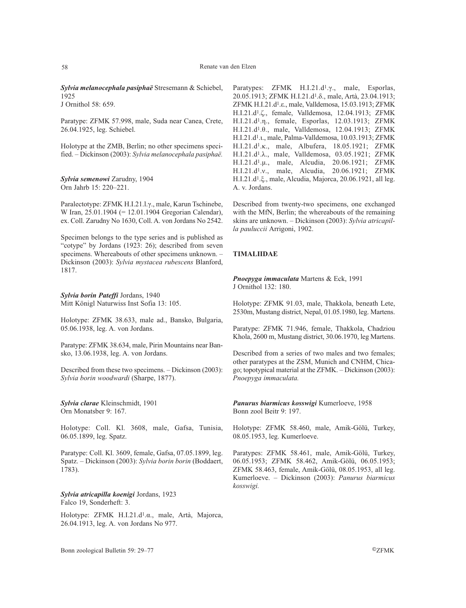*Sylvia melanocephala pasiphaë* Stresemann & Schiebel, 1925

J Ornithol 58: 659.

Paratype: ZFMK 57.998, male, Suda near Canea, Crete, 26.04.1925, leg. Schiebel.

Holotype at the ZMB, Berlin; no other specimens specified. – Dickinson (2003): *Sylvia melanocephala pasiphaë.*

*Sylvia semenowi* Zarudny, 1904 Orn Jahrb 15: 220–221.

Paralectotype: ZFMK H.I.21.l.γ., male, Karun Tschinebe, W Iran, 25.01.1904 (= 12.01.1904 Gregorian Calendar), ex. Coll. Zarudny No 1630, Coll. A. von Jordans No 2542.

Specimen belongs to the type series and is published as "cotype" by Jordans (1923: 26); described from seven specimens. Whereabouts of other specimens unknown. – Dickinson (2003): *Sylvia mystacea rubescens* Blanford, 1817.

*Sylvia borin Pateffi* Jordans, 1940 Mitt Königl Naturwiss Inst Sofia 13: 105.

Holotype: ZFMK 38.633, male ad., Bansko, Bulgaria, 05.06.1938, leg. A. von Jordans.

Paratype: ZFMK 38.634, male, Pirin Mountains near Bansko, 13.06.1938, leg. A. von Jordans.

Described from these two specimens. – Dickinson (2003): *Sylvia borin woodwardi* (Sharpe, 1877).

*Sylvia clarae* Kleinschmidt, 1901 Orn Monatsber 9: 167.

Holotype: Coll. Kl. 3608, male, Gafsa, Tunisia, 06.05.1899, leg. Spatz.

Paratype: Coll. Kl. 3609, female, Gafsa, 07.05.1899, leg. Spatz. – Dickinson (2003): *Sylvia borin borin* (Boddaert, 1783).

*Sylvia atricapilla koenigi* Jordans, 1923 Falco 19, Sonderheft: 3.

Holotype: ZFMK H.I.21.d1.α., male, Artà, Majorca, 26.04.1913, leg. A. von Jordans No 977.

Paratypes: ZFMK H.I.21.d1.γ., male, Esporlas, 20.05.1913; ZFMK H.I.21.d1.δ., male, Artà, 23.04.1913; ZFMK H.I.21.d1.ε., male, Valldemosa, 15.03.1913; ZFMK H.I.21.d1.ζ., female, Valldemosa, 12.04.1913; ZFMK H.I.21.d1.η., female, Esporlas, 12.03.1913; ZFMK H.I.21.d1.θ., male, Valldemosa, 12.04.1913; ZFMK H.I.21.d<sup>1</sup>.t., male, Palma-Valldemosa, 10.03.1913; ZFMK H.I.21.d1.κ., male, Albufera, 18.05.1921; ZFMK H.I.21.d1.λ., male, Valldemosa, 03.05.1921; ZFMK H.I.21.d1.µ., male, Alcudia, 20.06.1921; ZFMK H.I.21.d1.ν., male, Alcudia, 20.06.1921; ZFMK H.I.21.d1.ξ., male, Alcudia, Majorca, 20.06.1921, all leg. A. v. Jordans.

Described from twenty-two specimens, one exchanged with the MfN, Berlin; the whereabouts of the remaining skins are unknown. – Dickinson (2003): *Sylvia atricapilla pauluccii* Arrigoni, 1902.

# **TIMALIIDAE**

*Pnoepyga immaculata* Martens & Eck, 1991 J Ornithol 132: 180.

Holotype: ZFMK 91.03, male, Thakkola, beneath Lete, 2530m, Mustang district, Nepal, 01.05.1980, leg. Martens.

Paratype: ZFMK 71.946, female, Thakkola, Chadziou Khola, 2600 m, Mustang district, 30.06.1970, leg Martens.

Described from a series of two males and two females; other paratypes at the ZSM, Munich and CNHM, Chicago; topotypical material at the ZFMK. – Dickinson (2003): *Pnoepyga immaculata.*

*Panurus biarmicus kosswigi* Kumerloeve, 1958 Bonn zool Beitr 9: 197.

Holotype: ZFMK 58.460, male, Amik-Gölü, Turkey, 08.05.1953, leg. Kumerloeve.

Paratypes: ZFMK 58.461, male, Amik-Gölü, Turkey, 06.05.1953; ZFMK 58.462, Amik-Gölü, 06.05.1953; ZFMK 58.463, female, Amik-Gölü, 08.05.1953, all leg. Kumerloeve. – Dickinson (2003): *Panurus biarmicus kosswigi.*

Bonn zoological Bulletin 59: 29–77 ©ZFMK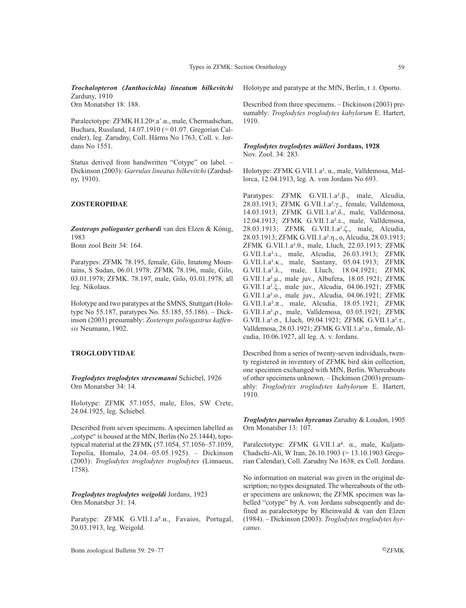*Trochalopteron (Janthocichla) lineatum bilkevitchi* Zarduny, 1910

Orn Monatsber 18: 188.

Paralectotype: ZFMK H.I.20a.a'.α., male, Chermadschan, Buchara, Russland, 14.07.1910 (= 01.07. Gregorian Calender), leg. Zarudny, Coll. Härms No 1763, Coll. v. Jordans No 1551.

Status derived from handwritten "Cotype" on label. – Dickinson (2003): *Garrulax lineatus bilkevitchi* (Zardudny, 1910).

### **ZOSTEROPIDAE**

*Zosterops poliogaster gerhardi* van den Elzen & König, 1983 Bonn zool Beitr 34: 164.

Paratypes: ZFMK 78.195, female, Gilo, Imatong Mountains, S Sudan, 06.01.1978; ZFMK 78.196, male, Gilo, 03.01.1978; ZFMK. 78.197, male, Gilo, 03.01.1978, all leg. Nikolaus.

Holotype and two paratypes at the SMNS, Stuttgart (Holotype No 55.187, paratypes No. 55.185, 55.186). – Dickinson (2003) presumably: *Zosterops poliogastrus kaffensis* Neumann, 1902.

# **TROGLODYTIDAE**

*Troglodytes troglodytes stresemanni* Schiebel, 1926 Orn Monatsber 34: 14.

Holotype: ZFMK 57.1055, male, Elos, SW Crete, 24.04.1925, leg. Schiebel.

Described from seven specimens. A specimen labelled as "cotype" is housed at the MfN, Berlin (No 25.1444), topotypical material at the ZFMK (57.1054, 57.1056–57.1059, Topolia, Homalo, 24.04.–05.05.1925). – Dickinson (2003): *Troglodytes troglodytes troglodytes* (Linnaeus, 1758).

*Troglodytes troglodytes weigoldi* Jordans, 1923 Orn Monatsber 31: 14.

Paratype: ZFMK G.VII.1.a5.α., Favaios, Portugal, 20.03.1913, leg. Weigold.

Holotype and paratype at the MfN, Berlin, t .t. Oporto.

Described from three specimens. – Dickinson (2003) presumably: *Troglodytes troglodytes kabylorum* E. Hartert, 1910.

### *Troglodytes troglodytes mülleri* **Jordans, 1928** Nov. Zool. 34: 283.

Holotype: ZFMK G.VII.1.a². α., male, Valldemosa, Mallorca, 12.04.1913, leg. A. von Jordans No 693.

Paratypes: ZFMK G.VII.1.a².β., male, Alcudia, 28.03.1913; ZFMK G.VII.1.a².γ., female, Valldemosa, 14.03.1913; ZFMK G.VII.1.a².δ., male, Valldemosa, 12.04.1913; ZFMK G.VII.1.a².ε., male, Valldemosa, 28.03.1913; ZFMK G.VII.1.a².ζ., male, Alcudia, 28.03.1913; ZFMK G.VII.1.a².η., o, Alcudia, 28.03.1913; ZFMK G.VII.1.a².θ., male, Lluch, 22.03.1913; ZFMK G.VII.1.a².ι., male, Alcudia, 26.03.1913; ZFMK G.VII.1.a².κ., male, Santany, 05.04.1913; ZFMK G.VII.1.a².λ., male, Lluch, 18.04.1921; ZFMK G.VII.1.a².µ., male juv., Albufera, 18.05.1921; ZFMK G.VII.1.a².ξ., male juv., Alcudia, 04.06.1921; ZFMK G.VII.1.a².ο., male juv., Alcudia, 04.06.1921; ZFMK G.VII.1.a².π., male, Alcudia, 18.05.1921; ZFMK G.VII.1.a².ρ., male, Valldemosa, 03.05.1921; ZFMK G.VII.1.a².σ., Lluch, 09.04.1921; ZFMK G.VII.1.a².τ., Valldemosa, 28.03.1921; ZFMK G.VII.1.a².υ., female, Alcudia, 10.06.1927, all leg. A. v. Jordans.

Described from a series of twenty-seven individuals, twenty registered in inventory of ZFMK bird skin collection, one specimen exchanged with MfN, Berlin. Whereabouts of other specimens unknown. – Dickinson (2003) presumably: *Troglodytes troglodytes kabylorum* E. Hartert, 1910.

*Troglodytes parvulus hyrcanus* Zarudny & Loudon, 1905 Orn Monatsber 13: 107.

Paralectotype: ZFMK G.VII.1.a4. α., male, Kuljam-Chadschi-Ali, W Iran, 26.10.1903 (= 13.10.1903 Gregorian Calendar), Coll. Zarudny No 1638, ex Coll. Jordans.

No information on material was given in the original description; no types designated. The whereabouts of the other specimens are unknown; the ZFMK specimen was labelled "cotype" by A. von Jordans subsequently and defined as paralectotype by Rheinwald & van den Elzen (1984). – Dickinson (2003): *Troglodytes troglodytes hyrcanus*.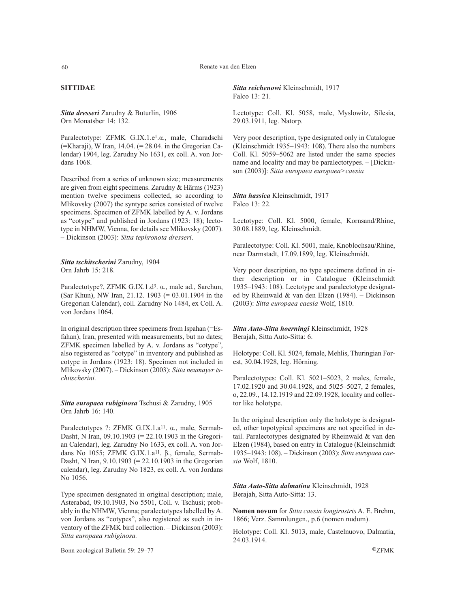# **SITTIDAE**

*Sitta dresseri* Zarudny & Buturlin, 1906 Orn Monatsber 14: 132.

Paralectotype: ZFMK G.IX.1.e1.α., male, Charadschi  $($ =Kharaji), W Iran, 14.04.  $($  = 28.04. in the Gregorian Calendar) 1904, leg. Zarudny No 1631, ex coll. A. von Jordans 1068.

Described from a series of unknown size; measurements are given from eight specimens. Zarudny & Härms (1923) mention twelve specimens collected, so according to Mlikovsky (2007) the syntype series consisted of twelve specimens. Specimen of ZFMK labelled by A. v. Jordans as "cotype" and published in Jordans (1923: 18); lectotype in NHMW, Vienna, for details see Mlikovsky (2007). – Dickinson (2003): *Sitta tephronota dresseri*.

## *Sitta tschitscherini* Zarudny, 1904 Orn Jahrb 15: 218.

Paralectotype?, ZFMK G.IX.1.d3. α., male ad., Sarchun, (Sar Khun), NW Iran, 21.12. 1903 (= 03.01.1904 in the Gregorian Calendar), coll. Zarudny No 1484, ex Coll. A. von Jordans 1064.

In original description three specimens from Ispahan (=Esfahan), Iran, presented with measurements, but no dates; ZFMK specimen labelled by A. v. Jordans as "cotype", also registered as "cotype" in inventory and published as cotype in Jordans (1923: 18). Specimen not included in Mlikovsky (2007). – Dickinson (2003): *Sitta neumayer tschitscherini.*

*Sitta europaea rubiginosa* Tschusi & Zarudny, 1905 Orn Jahrb 16: 140.

Paralectotypes ?: ZFMK G.IX.1.a11. α., male, Sermab-Dasht, N Iran, 09.10.1903 (= 22.10.1903 in the Gregorian Calendar), leg. Zarudny No 1633, ex coll. A. von Jordans No 1055; ZFMK G.IX.1.a<sup>11</sup>. β., female, Sermab-Dasht, N Iran, 9.10.1903 (= 22.10.1903 in the Gregorian calendar), leg. Zarudny No 1823, ex coll. A. von Jordans No 1056.

Type specimen designated in original description; male, Asterabad, 09.10.1903, No 5501, Coll. v. Tschusi; probably in the NHMW, Vienna; paralectotypes labelled by A. von Jordans as "cotypes", also registered as such in inventory of the ZFMK bird collection. – Dickinson (2003): *Sitta europaea rubiginosa.*

Bonn zoological Bulletin 59: 29–77 ©ZFMK

*Sitta reichenowi* Kleinschmidt, 1917 Falco 13: 21.

Lectotype: Coll. Kl. 5058, male, Myslowitz, Silesia, 29.03.1911, leg. Natorp.

Very poor description, type designated only in Catalogue (Kleinschmidt 1935–1943: 108). There also the numbers Coll. Kl. 5059–5062 are listed under the same species name and locality and may be paralectotypes. – [Dickinson (2003)]: *Sitta europaea europaea>caesia* 

*Sitta hassica* Kleinschmidt, 1917 Falco 13: 22.

Lectotype: Coll. Kl. 5000, female, Kornsand/Rhine, 30.08.1889, leg. Kleinschmidt.

Paralectotype: Coll. Kl. 5001, male, Knoblochsau/Rhine, near Darmstadt, 17.09.1899, leg. Kleinschmidt.

Very poor description, no type specimens defined in either description or in Catalogue (Kleinschmidt 1935–1943: 108). Lectotype and paralectotype designated by Rheinwald & van den Elzen (1984). – Dickinson (2003): *Sitta europaea caesia* Wolf, 1810.

*Sitta Auto-Sitta hoerningi* Kleinschmidt, 1928 Berajah, Sitta Auto-Sitta: 6.

Holotype: Coll. Kl. 5024, female, Mehlis, Thuringian Forest, 30.04.1928, leg. Hörning.

Paralectotypes: Coll. Kl. 5021–5023, 2 males, female, 17.02.1920 and 30.04.1928, and 5025–5027, 2 females, o, 22.09., 14.12.1919 and 22.09.1928, locality and collector like holotype.

In the original description only the holotype is designated, other topotypical specimens are not specified in detail. Paralectotypes designated by Rheinwald & van den Elzen (1984), based on entry in Catalogue (Kleinschmidt 1935–1943: 108). – Dickinson (2003): *Sitta europaea caesia* Wolf, 1810.

*Sitta Auto-Sitta dalmatina* Kleinschmidt, 1928 Berajah, Sitta Auto-Sitta: 13.

**Nomen novum** for *Sitta caesia longirostris* A. E. Brehm, 1866; Verz. Sammlungen., p.6 (nomen nudum).

Holotype: Coll. Kl. 5013, male, Castelnuovo, Dalmatia, 24.03.1914.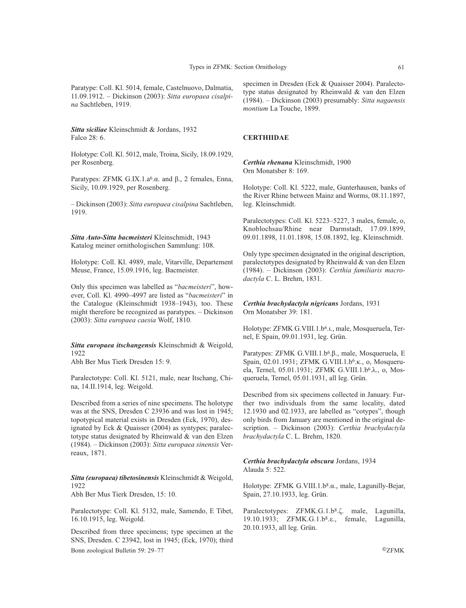Paratype: Coll. Kl. 5014, female, Castelnuovo, Dalmatia, 11.09.1912. – Dickinson (2003): *Sitta europaea cisalpina* Sachtleben, 1919.

*Sitta siciliae* Kleinschmidt & Jordans, 1932 Falco 28: 6.

Holotype: Coll. Kl. 5012, male, Troina, Sicily, 18.09.1929, per Rosenberg.

Paratypes: ZFMK G.IX.1.a<sup>6</sup>.α. and β., 2 females, Enna, Sicily, 10.09.1929, per Rosenberg.

– Dickinson (2003): *Sitta europaea cisalpina* Sachtleben, 1919.

*Sitta Auto-Sitta bacmeisteri* Kleinschmidt, 1943 Katalog meiner ornithologischen Sammlung: 108.

Holotype: Coll. Kl. 4989, male, Vitarville, Departement Meuse, France, 15.09.1916, leg. Bacmeister.

Only this specimen was labelled as "*bacmeisteri*", however, Coll. Kl. 4990–4997 are listed as "*bacmeisteri*" in the Catalogue (Kleinschmidt 1938–1943), too. These might therefore be recognized as paratypes. – Dickinson (2003): *Sitta europaea caesia* Wolf, 1810*.*

# *Sitta europaea itschangensis* Kleinschmidt & Weigold, 1922

Abh Ber Mus Tierk Dresden 15: 9.

Paralectotype: Coll. Kl. 5121, male, near Itschang, China, 14.II.1914, leg. Weigold.

Described from a series of nine specimens. The holotype was at the SNS, Dresden C 23936 and was lost in 1945; topotypical material exists in Dresden (Eck, 1970), designated by Eck & Quaisser (2004) as syntypes; paralectotype status designated by Rheinwald & van den Elzen (1984). – Dickinson (2003): *Sitta europaea sinensis* Verreaux, 1871.

*Sitta (europaea) tibetosinensis* Kleinschmidt & Weigold, 1922

Abh Ber Mus Tierk Dresden, 15: 10.

Paralectotype: Coll. Kl. 5132, male, Samendo, E Tibet, 16.10.1915, leg. Weigold.

Described from three specimens; type specimen at the SNS, Dresden. C 23942, lost in 1945; (Eck, 1970); third

Bonn zoological Bulletin 59: 29–77 ©ZFMK

specimen in Dresden (Eck & Quaisser 2004). Paralectotype status designated by Rheinwald & van den Elzen (1984). – Dickinson (2003) presumably: *Sitta nagaensis montium* La Touche, 1899.

### **CERTHIIDAE**

*Certhia rhenana* Kleinschmidt, 1900 Orn Monatsber 8: 169.

Holotype: Coll. Kl. 5222, male, Gunterhausen, banks of the River Rhine between Mainz and Worms, 08.11.1897, leg. Kleinschmidt.

Paralectotypes: Coll. Kl. 5223–5227, 3 males, female, o, Knoblochsau/Rhine near Darmstadt, 17.09.1899, 09.01.1898, 11.01.1898, 15.08.1892, leg. Kleinschmidt.

Only type specimen designated in the original description, paralectotypes designated by Rheinwald & van den Elzen (1984). – Dickinson (2003): *Certhia familiaris macrodactyla* C. L. Brehm, 1831.

*Certhia brachydactyla nigricans* Jordans, 1931 Orn Monatsber 39: 181.

Holotype: ZFMK G.VIII.1.b6.ι., male, Mosqueruela, Ternel, E Spain, 09.01.1931, leg. Grün.

Paratypes: ZFMK G.VIII.1.b<sup>6</sup>.β., male, Mosqueruela, E Spain, 02.01.1931; ZFMK G.VIII.1.b6.κ., o, Mosqueruela, Ternel, 05.01.1931; ZFMK G.VIII.1.b6.λ., o, Mosqueruela, Ternel, 05.01.1931, all leg. Grün.

Described from six specimens collected in January. Further two individuals from the same locality, dated 12.1930 and 02.1933, are labelled as "cotypes", though only birds from January are mentioned in the original description. – Dickinson (2003): *Certhia brachydactyla brachydactyla* C. L. Brehm, 1820.

### *Certhia brachydactyla obscura* Jordans, 1934 Alauda 5: 522.

Holotype: ZFMK G.VIII.1.b8.α., male, Lagunilly-Bejar, Spain, 27.10.1933, leg. Grün.

Paralectotypes: ZFMK.G.1.b8.ζ. male, Lagunilla, 19.10.1933; ZFMK.G.1.b8.ε., female, Lagunilla, 20.10.1933, all leg. Grün.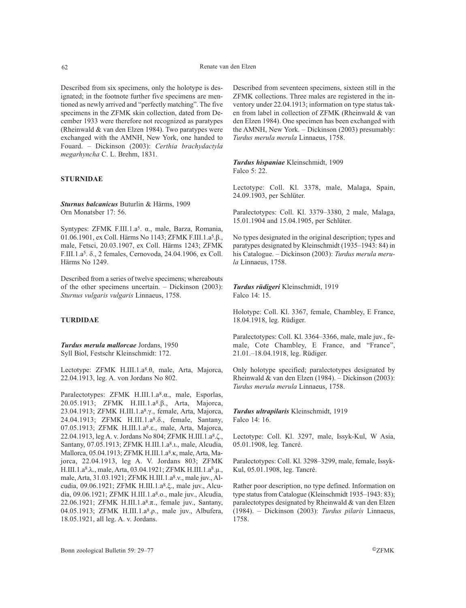Described from six specimens, only the holotype is designated; in the footnote further five specimens are mentioned as newly arrived and "perfectly matching". The five specimens in the ZFMK skin collection, dated from December 1933 were therefore not recognized as paratypes (Rheinwald & van den Elzen 1984). Two paratypes were exchanged with the AMNH, New York, one handed to Fouard. – Dickinson (2003): *Certhia brachydactyla megarhyncha* C. L. Brehm, 1831.

# **STURNIDAE**

*Sturnus balcanicus* Buturlin & Härms, 1909 Orn Monatsber 17: 56.

Syntypes: ZFMK F.III.1.a5. α., male, Barza, Romania, 01.06.1901, ex Coll. Härms No 1143; ZFMK F.III.1.a5.β., male, Fetsci, 20.03.1907, ex Coll. Härms 1243; ZFMK F.III.1.a5. δ., 2 females, Cernovoda, 24.04.1906, ex Coll. Härms No 1249.

Described from a series of twelve specimens; whereabouts of the other specimens uncertain. – Dickinson (2003): *Sturnus vulgaris vulgaris* Linnaeus, 1758.

# **TURDIDAE**

*Turdus merula mallorcae* Jordans, 1950 Syll Biol, Festschr Kleinschmidt: 172.

Lectotype: ZFMK H.III.1.a8.θ, male, Arta, Majorca, 22.04.1913, leg. A. von Jordans No 802.

Paralectotypes: ZFMK H.III.1.a8.α., male, Esporlas, 20.05.1913; ZFMK H.III.1.a8.β., Arta, Majorca, 23.04.1913; ZFMK H.III.1.a8.γ., female, Arta, Majorca, 24.04.1913; ZFMK H.III.1.a8.δ., female, Santany, 07.05.1913; ZFMK H.III.1.a8.ε., male, Arta, Majorca, 22.04.1913, leg A. v. Jordans No 804; ZFMK H.III.1.a8.ζ., Santany, 07.05.1913; ZFMK H.III.1.a8.u., male, Alcudia, Mallorca, 05.04.1913; ZFMK H.III.1.a8.κ, male, Arta, Majorca, 22.04.1913, leg A. V. Jordans 803; ZFMK H.III.1.a8.λ., male, Arta, 03.04.1921; ZFMK H.III.1.a8.µ., male, Arta, 31.03.1921; ZFMK H.III.1.a<sup>8</sup>.ν., male juv., Alcudia, 09.06.1921; ZFMK H.III.1.a8.ξ., male juv., Alcudia, 09.06.1921; ZFMK H.III.1.a8.ο., male juv., Alcudia, 22.06.1921; ZFMK H.III.1.a8.π., female juv., Santany, 04.05.1913; ZFMK H.III.1.a8.ρ., male juv., Albufera, 18.05.1921, all leg. A. v. Jordans.

Described from seventeen specimens, sixteen still in the ZFMK collections. Three males are registered in the inventory under 22.04.1913; information on type status taken from label in collection of ZFMK (Rheinwald & van den Elzen 1984). One specimen has been exchanged with the AMNH, New York. – Dickinson (2003) presumably: *Turdus merula merula* Linnaeus, 1758.

*Turdus hispaniae* Kleinschmidt, 1909 Falco 5: 22.

Lectotype: Coll. Kl. 3378, male, Malaga, Spain, 24.09.1903, per Schlüter.

Paralectotypes: Coll. Kl. 3379–3380, 2 male, Malaga, 15.01.1904 and 15.04.1905, per Schlüter.

No types designated in the original description; types and paratypes designated by Kleinschmidt (1935–1943: 84) in his Catalogue. – Dickinson (2003): *Turdus merula merula* Linnaeus, 1758.

*Turdus rüdigeri* Kleinschmidt, 1919 Falco 14: 15.

Holotype: Coll. Kl. 3367, female, Chambley, E France, 18.04.1918, leg. Rüdiger.

Paralectotypes: Coll. Kl. 3364–3366, male, male juv., female, Cote Chambley, E France, and "France", 21.01.–18.04.1918, leg. Rüdiger.

Only holotype specified; paralectotypes designated by Rheinwald & van den Elzen (1984). – Dickinson (2003): *Turdus merula merula* Linnaeus, 1758.

*Turdus ultrapilaris* Kleinschmidt, 1919 Falco 14: 16.

Lectotype: Coll. Kl. 3297, male, Issyk-Kul, W Asia, 05.01.1908, leg. Tancré.

Paralectotypes: Coll. Kl. 3298–3299, male, female, Issyk-Kul, 05.01.1908, leg. Tancré.

Rather poor description, no type defined. Information on type status from Catalogue (Kleinschmidt 1935–1943: 83); paralectotypes designated by Rheinwald & van den Elzen (1984). – Dickinson (2003): *Turdus pilaris* Linnaeus, 1758.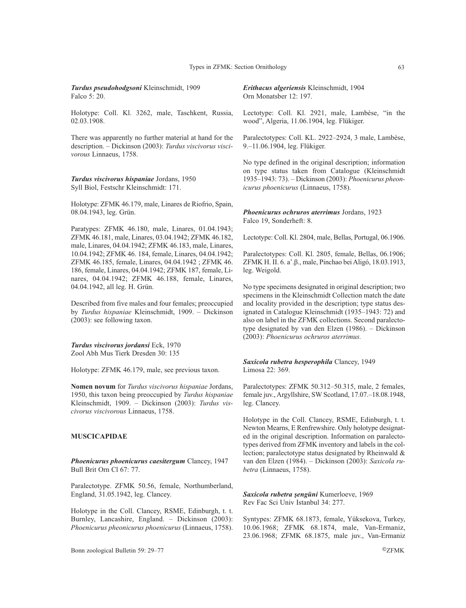*Turdus pseudohodgsoni* Kleinschmidt, 1909 Falco 5: 20.

Holotype: Coll. Kl. 3262, male, Taschkent, Russia, 02.03.1908.

There was apparently no further material at hand for the description. – Dickinson (2003): *Turdus viscivorus viscivorous* Linnaeus, 1758.

*Turdus viscivorus hispaniae* Jordans, 1950 Syll Biol, Festschr Kleinschmidt: 171.

Holotype: ZFMK 46.179, male, Linares de Riofrio, Spain, 08.04.1943, leg. Grün.

Paratypes: ZFMK 46.180, male, Linares, 01.04.1943; ZFMK 46.181, male, Linares, 03.04.1942; ZFMK 46.182, male, Linares, 04.04.1942; ZFMK 46.183, male, Linares, 10.04.1942; ZFMK 46. 184, female, Linares, 04.04.1942; ZFMK 46.185, female, Linares, 04.04.1942 ; ZFMK 46. 186, female, Linares, 04.04.1942; ZFMK 187, female, Linares, 04.04.1942; ZFMK 46.188, female, Linares, 04.04.1942, all leg. H. Grün.

Described from five males and four females; preoccupied by *Turdus hispaniae* Kleinschmidt, 1909. – Dickinson (2003): see following taxon.

*Turdus viscivorus jordansi* Eck, 1970 Zool Abh Mus Tierk Dresden 30: 135

Holotype: ZFMK 46.179, male, see previous taxon.

**Nomen novum** for *Turdus viscivorus hispaniae* Jordans, 1950, this taxon being preoccupied by *Turdus hispaniae* Kleinschmidt, 1909. – Dickinson (2003): *Turdus viscivorus viscivorous* Linnaeus, 1758.

# **MUSCICAPIDAE**

*Phoenicurus phoenicurus caesitergum* Clancey, 1947 Bull Brit Orn Cl 67: 77.

Paralectotype. ZFMK 50.56, female, Northumberland, England, 31.05.1942, leg. Clancey.

Holotype in the Coll. Clancey, RSME, Edinburgh, t. t. Burnley, Lancashire, England. – Dickinson (2003): *Phoenicurus pheonicurus phoenicurus* (Linnaeus, 1758).

Bonn zoological Bulletin 59: 29–77 ©ZFMK

*Erithacus algeriensis* Kleinschmidt, 1904 Orn Monatsber 12: 197.

Lectotype: Coll. Kl. 2921, male, Lambèse, "in the wood", Algeria, 11.06.1904, leg. Flükiger.

Paralectotypes: Coll. KL. 2922–2924, 3 male, Lambèse, 9.–11.06.1904, leg. Flükiger.

No type defined in the original description; information on type status taken from Catalogue (Kleinschmidt 1935–1943: 73). – Dickinson (2003): *Phoenicurus pheonicurus phoenicurus* (Linnaeus, 1758).

*Phoenicurus ochruros aterrimus* Jordans, 1923 Falco 19, Sonderheft: 8.

Lectotype: Coll. Kl. 2804, male, Bellas, Portugal, 06.1906.

Paralectotypes: Coll. Kl. 2805, female, Bellas, 06.1906; ZFMK H. II. 6. a'.β., male, Pinchao bei Aligó, 18.03.1913, leg. Weigold.

No type specimens designated in original description; two specimens in the Kleinschmidt Collection match the date and locality provided in the description; type status designated in Catalogue Kleinschmidt (1935–1943: 72) and also on label in the ZFMK collections. Second paralectotype designated by van den Elzen (1986). – Dickinson (2003): *Phoenicurus ochruros aterrimus.*

*Saxicola rubetra hesperophila* Clancey, 1949 Limosa 22: 369.

Paralectotypes: ZFMK 50.312–50.315, male, 2 females, female juv., Argyllshire, SW Scotland, 17.07.–18.08.1948, leg. Clancey.

Holotype in the Coll. Clancey, RSME, Edinburgh, t. t. Newton Mearns, E Renfrewshire. Only holotype designated in the original description. Information on paralectotypes derived from ZFMK inventory and labels in the collection; paralectotype status designated by Rheinwald & van den Elzen (1984). – Dickinson (2003): *Saxicola rubetra* (Linnaeus, 1758).

*Saxicola rubetra şengüni* Kumerloeve, 1969 Rev Fac Sci Univ Istanbul 34: 277.

Syntypes: ZFMK 68.1873, female, Yüksekova, Turkey, 10.06.1968; ZFMK 68.1874, male, Van-Ermaniz, 23.06.1968; ZFMK 68.1875, male juv., Van-Ermaniz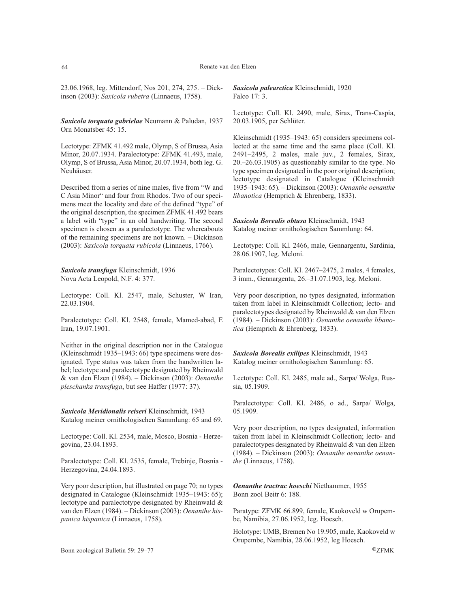23.06.1968, leg. Mittendorf, Nos 201, 274, 275. – Dickinson (2003): *Saxicola rubetra* (Linnaeus, 1758).

*Saxicola torquata gabrielae* Neumann & Paludan, 1937 Orn Monatsber 45: 15.

Lectotype: ZFMK 41.492 male, Olymp, S of Brussa, Asia Minor, 20.07.1934. Paralectotype: ZFMK 41.493, male, Olymp, S of Brussa, Asia Minor, 20.07.1934, both leg. G. Neuhäuser.

Described from a series of nine males, five from "W and C Asia Minor" and four from Rhodos. Two of our specimens meet the locality and date of the defined "type" of the original description, the specimen ZFMK 41.492 bears a label with "type" in an old handwriting. The second specimen is chosen as a paralectotype. The whereabouts of the remaining specimens are not known. – Dickinson (2003): *Saxicola torquata rubicola* (Linnaeus, 1766).

*Saxicola transfuga* Kleinschmidt, 1936 Nova Acta Leopold, N.F. 4: 377.

Lectotype: Coll. Kl. 2547, male, Schuster, W Iran, 22.03.1904.

Paralectotype: Coll. Kl. 2548, female, Mamed-abad, E Iran, 19.07.1901.

Neither in the original description nor in the Catalogue (Kleinschmidt 1935–1943: 66) type specimens were designated. Type status was taken from the handwritten label; lectotype and paralectotype designated by Rheinwald & van den Elzen (1984). – Dickinson (2003): *Oenanthe pleschanka transfuga*, but see Haffer (1977: 37).

*Saxicola Meridionalis reiseri* Kleinschmidt, 1943 Katalog meiner ornithologischen Sammlung: 65 and 69.

Lectotype: Coll. Kl. 2534, male, Mosco, Bosnia - Herzegovina, 23.04.1893.

Paralectotype: Coll. Kl. 2535, female, Trebinje, Bosnia - Herzegovina, 24.04.1893.

Very poor description, but illustrated on page 70; no types designated in Catalogue (Kleinschmidt 1935–1943: 65); lectotype and paralectotype designated by Rheinwald & van den Elzen (1984). – Dickinson (2003): *Oenanthe hispanica hispanica* (Linnaeus, 1758)*.*

*Saxicola palearctica* Kleinschmidt, 1920 Falco 17: 3.

Lectotype: Coll. Kl. 2490, male, Sirax, Trans-Caspia, 20.03.1905, per Schlüter.

Kleinschmidt (1935–1943: 65) considers specimens collected at the same time and the same place (Coll. Kl. 2491–2495, 2 males, male juv., 2 females, Sirax, 20.–26.03.1905) as questionably similar to the type. No type specimen designated in the poor original description; lectotype designated in Catalogue (Kleinschmidt 1935–1943: 65). – Dickinson (2003): *Oenanthe oenanthe libanotica* (Hemprich & Ehrenberg, 1833).

*Saxicola Borealis obtusa* Kleinschmidt, 1943 Katalog meiner ornithologischen Sammlung: 64.

Lectotype: Coll. Kl. 2466, male, Gennargentu, Sardinia, 28.06.1907, leg. Meloni.

Paralectotypes: Coll. Kl. 2467–2475, 2 males, 4 females, 3 imm., Gennargentu, 26.–31.07.1903, leg. Meloni.

Very poor description, no types designated, information taken from label in Kleinschmidt Collection; lecto- and paralectotypes designated by Rheinwald & van den Elzen (1984). – Dickinson (2003): *Oenanthe oenanthe libanotica* (Hemprich & Ehrenberg, 1833).

*Saxicola Borealis exilipes* Kleinschmidt, 1943 Katalog meiner ornithologischen Sammlung: 65.

Lectotype: Coll. Kl. 2485, male ad., Sarpa/ Wolga, Russia, 05.1909.

Paralectotype: Coll. Kl. 2486, o ad., Sarpa/ Wolga, 05.1909.

Very poor description, no types designated, information taken from label in Kleinschmidt Collection; lecto- and paralectotypes designated by Rheinwald & van den Elzen (1984). – Dickinson (2003): *Oenanthe oenanthe oenanthe* (Linnaeus, 1758).

*Oenanthe tractrac hoeschi* Niethammer, 1955 Bonn zool Beitr 6: 188.

Paratype: ZFMK 66.899, female, Kaokoveld w Orupembe, Namibia, 27.06.1952, leg. Hoesch.

Holotype: UMB, Bremen No 19.905, male, Kaokoveld w Orupembe, Namibia, 28.06.1952, leg Hoesch.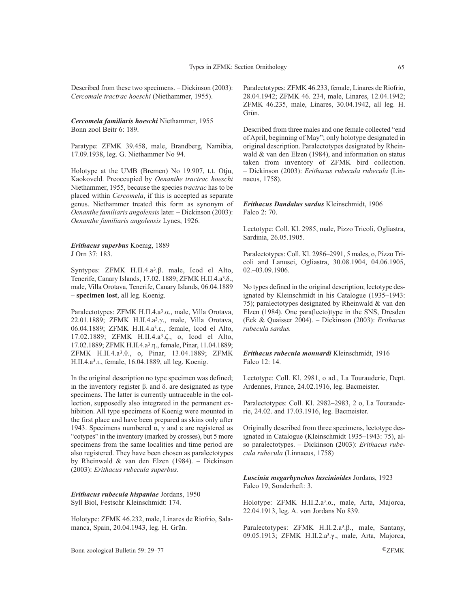Described from these two specimens. – Dickinson (2003): *Cercomale tractrac hoeschi* (Niethammer, 1955).

*Cercomela familiaris hoeschi* Niethammer, 1955 Bonn zool Beitr 6: 189.

Paratype: ZFMK 39.458, male, Brandberg, Namibia, 17.09.1938, leg. G. Niethammer No 94.

Holotype at the UMB (Bremen) No 19.907, t.t. Otju, Kaokoveld. Preoccupied by *Oenanthe tractrac hoeschi* Niethammer, 1955, because the species *tractrac* has to be placed within *Cercomela*, if this is accepted as separate genus. Niethammer treated this form as synonym of *Oenanthe familiaris angolensis* later. – Dickinson (2003): *Oenanthe familiaris angolensis* Lynes, 1926.

### *Erithacus superbus* Koenig, 1889 J Orn 37: 183.

Syntypes: ZFMK H.II.4.a3.β. male, Icod el Alto, Tenerife, Canary Islands, 17.02. 1889; ZFMK H.II.4.a3.δ., male, Villa Orotava, Tenerife, Canary Islands, 06.04.1889 – **specimen lost**, all leg. Koenig.

Paralectotypes: ZFMK H.II.4.a3.α., male, Villa Orotava, 22.01.1889; ZFMK H.II.4.a3.γ., male, Villa Orotava, 06.04.1889; ZFMK H.II.4.a3.ε., female, Icod el Alto, 17.02.1889; ZFMK H.II.4.a3.ζ., o, Icod el Alto, 17.02.1889; ZFMK H.II.4.a3.η., female, Pinar, 11.04.1889; ZFMK H.II.4.a3.θ., o, Pinar, 13.04.1889; ZFMK H.II.4.a3.ι., female, 16.04.1889, all leg. Koenig.

In the original description no type specimen was defined; in the inventory register β. and δ. are designated as type specimens. The latter is currently untraceable in the collection, supposedly also integrated in the permanent exhibition. All type specimens of Koenig were mounted in the first place and have been prepared as skins only after 1943. Specimens numbered α, γ and ε are registered as "cotypes" in the inventory (marked by crosses), but 5 more specimens from the same localities and time period are also registered. They have been chosen as paralectotypes by Rheinwald & van den Elzen (1984). – Dickinson (2003): *Erithacus rubecula superbus*.

*Erithacus rubecula hispaniae* Jordans, 1950 Syll Biol, Festschr Kleinschmidt: 174.

Holotype: ZFMK 46.232, male, Linares de Riofrio, Salamanca, Spain, 20.04.1943, leg. H. Grün.

Bonn zoological Bulletin 59: 29–77 ©ZFMK

Paralectotypes: ZFMK 46.233, female, Linares de Riofrio, 28.04.1942; ZFMK 46. 234, male, Linares, 12.04.1942; ZFMK 46.235, male, Linares, 30.04.1942, all leg. H. Grün.

Described from three males and one female collected "end of April, beginning of May"; only holotype designated in original description. Paralectotypes designated by Rheinwald & van den Elzen (1984), and information on status taken from inventory of ZFMK bird collection. – Dickinson (2003): *Erithacus rubecula rubecula* (Linnaeus, 1758).

### *Erithacus Dandalus sardus* Kleinschmidt, 1906 Falco 2: 70.

Lectotype: Coll. Kl. 2985, male, Pizzo Tricoli, Ogliastra, Sardinia, 26.05.1905.

Paralectotypes: Coll. Kl. 2986–2991, 5 males, o, Pizzo Tricoli and Lanusei, Ogliastra, 30.08.1904, 04.06.1905, 02.–03.09.1906.

No types defined in the original description; lectotype designated by Kleinschmidt in his Catalogue (1935–1943: 75); paralectotypes designated by Rheinwald & van den Elzen (1984). One para(lecto)type in the SNS, Dresden (Eck & Quaisser 2004). – Dickinson (2003): *Erithacus rubecula sardus.*

*Erithacus rubecula monnardi* Kleinschmidt, 1916 Falco 12: 14.

Lectotype: Coll. Kl. 2981, o ad., La Tourauderie, Dept. Ardennes, France, 24.02.1916, leg. Bacmeister.

Paralectotypes: Coll. Kl. 2982–2983, 2 o, La Tourauderie, 24.02. and 17.03.1916, leg. Bacmeister.

Originally described from three specimens, lectotype designated in Catalogue (Kleinschmidt 1935–1943: 75), also paralectotypes. – Dickinson (2003): *Erithacus rubecula rubecula* (Linnaeus, 1758)

*Luscinia megarhynchos luscinioides* Jordans, 1923 Falco 19, Sonderheft: 3.

Holotype: ZFMK H.II.2.a3.α., male, Arta, Majorca, 22.04.1913, leg. A. von Jordans No 839.

Paralectotypes: ZFMK H.II.2.a<sup>3</sup>.β., male, Santany, 09.05.1913; ZFMK H.II.2.a³.γ., male, Arta, Majorca,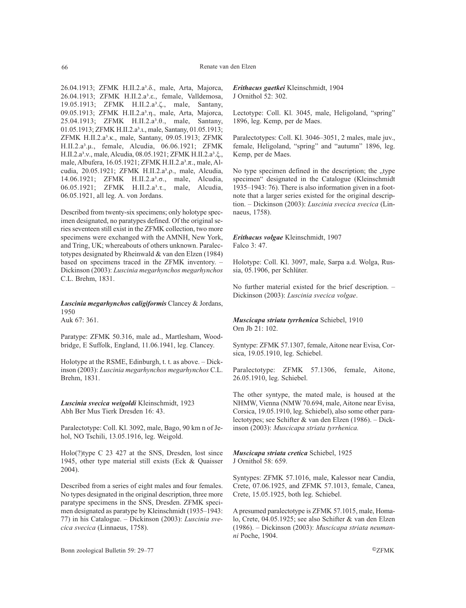26.04.1913; ZFMK H.II.2.a<sup>3</sup>.δ., male, Arta, Majorca, 26.04.1913; ZFMK H.II.2.a<sup>3</sup>.ε., female, Valldemosa, 19.05.1913; ZFMK H.II.2.a³.ζ., male, Santany, 09.05.1913; ZFMK H.II.2.a³.η., male, Arta, Majorca, 25.04.1913; ZFMK H.II.2.a<sup>3</sup>.θ., male, Santany, 01.05.1913; ZFMK H.II.2.a<sup>3</sup>.u., male, Santany, 01.05.1913; ZFMK H.II.2.a³.κ., male, Santany, 09.05.1913; ZFMK H.II.2.a³.µ., female, Alcudia, 06.06.1921; ZFMK H.II.2.a<sup>3</sup>.ν., male, Alcudia, 08.05.1921; ZFMK H.II.2.a<sup>3</sup>.ξ., male, Albufera, 16.05.1921; ZFMK H.II.2.a<sup>3</sup>.π., male, Alcudia, 20.05.1921; ΖFMK H.II.2.a<sup>3</sup>.ρ., male, Alcudia, 14.06.1921; ZFMK H.II.2.a³.σ., male, Alcudia, 06.05.1921; ZFMK H.II.2.a³.τ., male, Alcudia, 06.05.1921, all leg. A. von Jordans.

Described from twenty-six specimens; only holotype specimen designated, no paratypes defined. Of the original series seventeen still exist in the ZFMK collection, two more specimens were exchanged with the AMNH, New York, and Tring, UK; whereabouts of others unknown. Paralectotypes designated by Rheinwald & van den Elzen (1984) based on specimens traced in the ZFMK inventory. – Dickinson (2003): *Luscinia megarhynchos megarhynchos* C.L. Brehm, 1831.

*Luscinia megarhynchos caligiformis* Clancey & Jordans, 1950

Auk 67: 361.

Paratype: ZFMK 50.316, male ad., Martlesham, Woodbridge, E Suffolk, England, 11.06.1941, leg. Clancey.

Holotype at the RSME, Edinburgh, t. t. as above. – Dickinson (2003): *Luscinia megarhynchos megarhynchos* C.L. Brehm, 1831.

*Luscinia svecica weigoldi* Kleinschmidt, 1923 Abh Ber Mus Tierk Dresden 16: 43.

Paralectotype: Coll. Kl. 3092, male, Bago, 90 km n of Jehol, NO Tschili, 13.05.1916, leg. Weigold.

Holo(?)type C 23 427 at the SNS, Dresden, lost since 1945, other type material still exists (Eck & Quaisser 2004).

Described from a series of eight males and four females. No types designated in the original description, three more paratype specimens in the SNS, Dresden. ZFMK specimen designated as paratype by Kleinschmidt (1935–1943: 77) in his Catalogue. – Dickinson (2003): *Luscinia svecica svecica* (Linnaeus, 1758).

*Erithacus gaetkei* Kleinschmidt, 1904 J Ornithol 52: 302.

Lectotype: Coll. Kl. 3045, male, Heligoland, "spring" 1896, leg. Kemp, per de Maes.

Paralectotypes: Coll. Kl. 3046–3051, 2 males, male juv., female, Heligoland, "spring" and "autumn" 1896, leg. Kemp, per de Maes.

No type specimen defined in the description; the "type specimen" designated in the Catalogue (Kleinschmidt 1935–1943: 76). There is also information given in a footnote that a larger series existed for the original description. – Dickinson (2003): *Luscinia svecica svecica* (Linnaeus, 1758).

*Erithacus volgae* Kleinschmidt, 1907 Falco 3: 47.

Holotype: Coll. Kl. 3097, male, Sarpa a.d. Wolga, Russia, 05.1906, per Schlüter.

No further material existed for the brief description. – Dickinson (2003): *Luscinia svecica volgae*.

*Muscicapa striata tyrrhenica* Schiebel, 1910 Orn Jb 21: 102.

Syntype: ZFMK 57.1307, female, Aitone near Evisa, Corsica, 19.05.1910, leg. Schiebel.

Paralectotype: ZFMK 57.1306, female, Aitone, 26.05.1910, leg. Schiebel.

The other syntype, the mated male, is housed at the NHMW, Vienna (NMW 70.694, male, Aitone near Evisa, Corsica, 19.05.1910, leg. Schiebel), also some other paralectotypes; see Schifter & van den Elzen (1986). – Dickinson (2003): *Muscicapa striata tyrrhenica.* 

*Muscicapa striata cretica* Schiebel, 1925 J Ornithol 58: 659.

Syntypes: ZFMK 57.1016, male, Kalessor near Candia, Crete, 07.06.1925, and ZFMK 57.1013, female, Canea, Crete, 15.05.1925, both leg. Schiebel.

A presumed paralectotype is ZFMK 57.1015, male, Homalo, Crete, 04.05.1925; see also Schifter & van den Elzen (1986). – Dickinson (2003): *Muscicapa striata neumanni* Poche, 1904.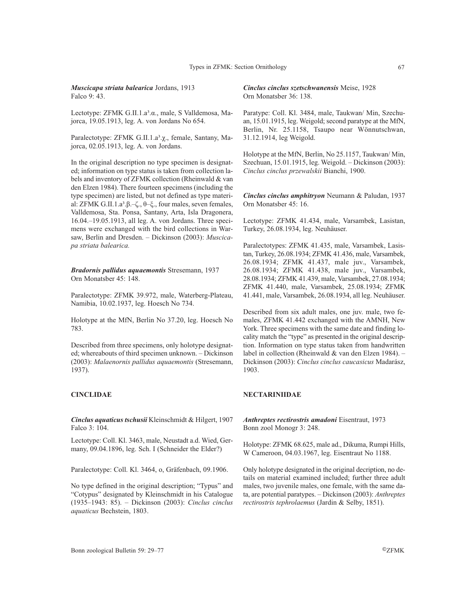*Muscicapa striata balearica* Jordans, 1913 Falco 9: 43.

Lectotype: ZFMK G.II.1.a<sup>3</sup>.α., male, S Valldemosa, Majorca, 19.05.1913, leg. A. von Jordans No 654.

Paralectotype: ZFMK G.II.1.a<sup>3</sup>.χ., female, Santany, Majorca, 02.05.1913, leg. A. von Jordans.

In the original description no type specimen is designated; information on type status is taken from collection labels and inventory of ZFMK collection (Rheinwald & van den Elzen 1984). There fourteen specimens (including the type specimen) are listed, but not defined as type material: ZFMK G.II.1.a<sup>3</sup>.β.–ζ., θ–ξ., four males, seven females, Valldemosa, Sta. Ponsa, Santany, Arta, Isla Dragonera, 16.04.–19.05.1913, all leg. A. von Jordans. Three specimens were exchanged with the bird collections in Warsaw, Berlin and Dresden. – Dickinson (2003): *Muscicapa striata balearica.*

*Bradornis pallidus aquaemontis* Stresemann, 1937 Orn Monatsber 45: 148.

Paralectotype: ZFMK 39.972, male, Waterberg-Plateau, Namibia, 10.02.1937, leg. Hoesch No 734.

Holotype at the MfN, Berlin No 37.20, leg. Hoesch No 783.

Described from three specimens, only holotype designated; whereabouts of third specimen unknown. – Dickinson (2003): *Malaenornis pallidus aquaemontis* (Stresemann, 1937).

# **CINCLIDAE**

*Cinclus aquaticus tschusii* Kleinschmidt & Hilgert, 1907 Falco 3: 104.

Lectotype: Coll. Kl. 3463, male, Neustadt a.d. Wied, Germany, 09.04.1896, leg. Sch. I (Schneider the Elder?)

Paralectotype: Coll. Kl. 3464, o, Gräfenbach, 09.1906.

No type defined in the original description; "Typus" and "Cotypus" designated by Kleinschmidt in his Catalogue (1935–1943: 85). – Dickinson (2003): *Cinclus cinclus aquaticus* Bechstein, 1803.

*Cinclus cinclus szetschwanensis* Meise, 1928 Orn Monatsber 36: 138.

Paratype: Coll. Kl. 3484, male, Taukwan/ Min, Szechuan, 15.01.1915, leg. Weigold; second paratype at the MfN, Berlin, Nr. 25.1158, Tsaupo near Wönnutschwan, 31.12.1914, leg Weigold.

Holotype at the MfN, Berlin, No 25.1157, Taukwan/ Min, Szechuan, 15.01.1915, leg. Weigold. – Dickinson (2003): *Cinclus cinclus przewalskii* Bianchi, 1900.

*Cinclus cinclus amphitryon* Neumann & Paludan, 1937 Orn Monatsber 45: 16.

Lectotype: ZFMK 41.434, male, Varsambek, Lasistan, Turkey, 26.08.1934, leg. Neuhäuser.

Paralectotypes: ZFMK 41.435, male, Varsambek, Lasistan, Turkey, 26.08.1934; ZFMK 41.436, male, Varsambek, 26.08.1934; ZFMK 41.437, male juv., Varsambek, 26.08.1934; ZFMK 41.438, male juv., Varsambek, 28.08.1934; ZFMK 41.439, male, Varsambek, 27.08.1934; ZFMK 41.440, male, Varsambek, 25.08.1934; ZFMK 41.441, male, Varsambek, 26.08.1934, all leg. Neuhäuser.

Described from six adult males, one juv. male, two females, ZFMK 41.442 exchanged with the AMNH, New York. Three specimens with the same date and finding locality match the "type" as presented in the original description. Information on type status taken from handwritten label in collection (Rheinwald & van den Elzen 1984). – Dickinson (2003): *Cinclus cinclus caucasicus* Madarász, 1903.

### **NECTARINIIDAE**

*Anthreptes rectirostris amadoni* Eisentraut, 1973 Bonn zool Monogr 3: 248.

Holotype: ZFMK 68.625, male ad., Dikuma, Rumpi Hills, W Cameroon, 04.03.1967, leg. Eisentraut No 1188.

Only holotype designated in the original decription, no details on material examined included; further three adult males, two juvenile males, one female, with the same data, are potential paratypes. – Dickinson (2003): *Anthreptes rectirostris tephrolaemus* (Jardin & Selby, 1851).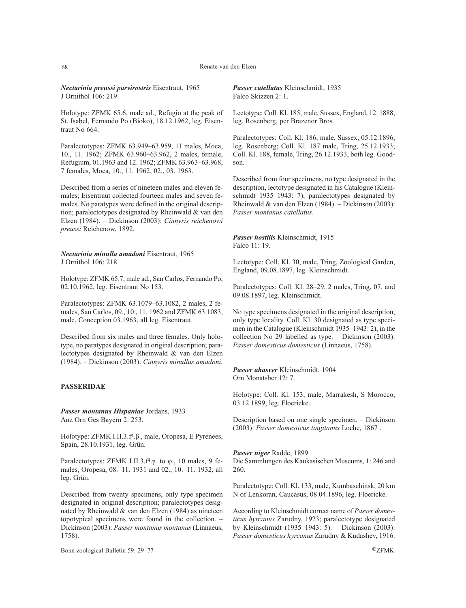68 Renate van den Elzen

*Nectarinia preussi parvirostris* Eisentraut, 1965 J Ornithol 106: 219.

Holotype: ZFMK 65.6, male ad., Refugio at the peak of St. Isabel, Fernando Po (Bioko), 18.12.1962, leg. Eisentraut No 664.

Paralectotypes: ZFMK 63.949–63.959, 11 males, Moca, 10., 11. 1962; ZFMK 63.960–63.962, 2 males, female, Refugium, 01.1963 and 12. 1962; ZFMK 63.963–63.968, 7 females, Moca, 10., 11. 1962, 02., 03. 1963.

Described from a series of nineteen males and eleven females; Eisentraut collected fourteen males and seven females. No paratypes were defined in the original description; paralectotypes designated by Rheinwald & van den Elzen (1984). – Dickinson (2003): *Cinnyris reichenowi preussi* Reichenow, 1892.

*Nectarinia minulla amadoni* Eisentraut, 1965 J Ornithol 106: 218.

Holotype: ZFMK 65.7, male ad., San Carlos, Fernando Po, 02.10.1962, leg. Eisentraut No 153.

Paralectotypes: ZFMK 63.1079–63.1082, 2 males, 2 females, San Carlos, 09., 10., 11. 1962 and ZFMK 63.1083, male, Conception 03.1963, all leg. Eisentraut.

Described from six males and three females. Only holotype, no paratypes designated in original description; paralectotypes designated by Rheinwald & van den Elzen (1984). – Dickinson (2003): *Cinnyris minullus amadoni.*

# **PASSERIDAE**

*Passer montanus Hispaniae* Jordans, 1933 Anz Orn Ges Bayern 2: 253.

Holotype: ZFMK I.II.3.f4.β., male, Oropesa, E Pyrenees, Spain, 28.10.1931, leg. Grün.

Paralectotypes: ZFMK I.II.3.f<sup>4</sup>.γ. to φ., 10 males, 9 females, Oropesa, 08.–11. 1931 and 02., 10.–11. 1932, all leg. Grün.

Described from twenty specimens, only type specimen designated in original description; paralectotypes designated by Rheinwald & van den Elzen (1984) as nineteen topotypical specimens were found in the collection. – Dickinson (2003): *Passer montanus montanus* (Linnaeus, 1758).

Bonn zoological Bulletin 59: 29–77 ©ZFMK

*Passer catellatus* Kleinschmidt, 1935 Falco Skizzen 2: 1.

Lectotype: Coll. Kl. 185, male, Sussex, England, 12. 1888, leg. Rosenberg, per Brazenor Bros.

Paralectotypes: Coll. Kl. 186, male, Sussex, 05.12.1896, leg. Rosenberg; Coll. Kl. 187 male, Tring, 25.12.1933; Coll. Kl. 188, female, Tring, 26.12.1933, both leg. Goodson.

Described from four specimens, no type designated in the description, lectotype designated in his Catalogue (Kleinschmidt 1935–1943: 7), paralectotypes designated by Rheinwald & van den Elzen (1984). – Dickinson (2003): *Passer montanus catellatus*.

*Passer hostilis* Kleinschmidt, 1915 Falco 11: 19.

Lectotype: Coll. Kl. 30, male, Tring, Zoological Garden, England, 09.08.1897, leg. Kleinschmidt.

Paralectotypes: Coll. Kl. 28–29, 2 males, Tring, 07. and 09.08.1897, leg. Kleinschmidt.

No type specimens designated in the original description, only type locality. Coll. Kl. 30 designated as type specimen in the Catalogue (Kleinschmidt 1935–1943: 2), in the collection No 29 labelled as type. – Dickinson (2003): *Passer domesticus domesticus* (Linnaeus, 1758).

*Passer ahasver* Kleinschmidt, 1904 Orn Monatsber 12: 7.

Holotype: Coll. Kl. 153, male, Marrakesh, S Morocco, 03.12.1899, leg. Floericke.

Description based on one single specimen. – Dickinson (2003): *Passer domesticus tingitanus* Loche, 1867 .

*Passer niger* Radde, 1899 Die Sammlungen des Kaukasischen Museums, 1: 246 and 260.

Paralectotype: Coll. Kl. 133, male, Kumbaschinsk, 20 km N of Lenkoran, Caucasus, 08.04.1896, leg. Floericke.

According to Kleinschmidt correct name of *Passer domesticus hyrcanus* Zarudny, 1923; paralectotype designated by Kleinschmidt (1935–1943: 5). – Dickinson (2003): *Passer domesticus hyrcanus* Zarudny & Kudashev, 1916.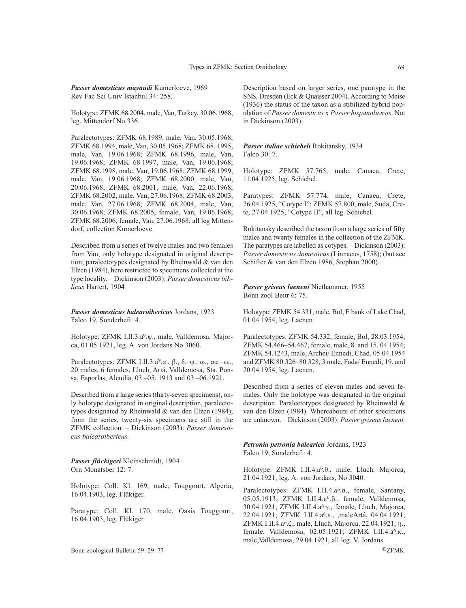*Passer domesticus mayaudi* Kumerloeve, 1969 Rev Fac Sci Univ Istanbul 34: 258.

Holotype: ZFMK 68.2004, male, Van, Turkey, 30.06.1968, leg. Mittendorf No 336.

Paralectotypes: ZFMK 68.1989, male, Van, 30.05.1968; ZFMK 68.1994, male, Van, 30.05.1968; ZFMK 68. 1995, male, Van, 19.06.1968; ZFMK 68.1996, male, Van, 19.06.1968; ZFMK 68.1997, male, Van, 19.06.1968; ZFMK 68.1998, male, Van, 19.06.1968; ZFMK 68.1999, male, Van, 19.06.1968; ZFMK 68.2000, male, Van, 20.06.1968; ZFMK 68.2001, male, Van, 22.06.1968; ZFMK 68.2002, male, Van, 27.06.1968; ZFMK 68.2003, male, Van, 27.06.1968; ZFMK 68.2004, male, Van, 30.06.1968; ZFMK 68.2005, female, Van, 19.06.1968; ZFMK 68.2006, female, Van, 27.06.1968; all leg Mittendorf, collection Kumerloeve.

Described from a series of twelve males and two females from Van; only holotype designated in original description; paralectotypes designated by Rheinwald & van den Elzen (1984), here restricted to specimens collected at the type locality. – Dickinson (2003): *Passer domesticus biblicus* Hartert, 1904

*Passer domesticus balearoibericus* Jordans, 1923 Falco 19, Sonderheft: 4.

Holotype: ZFMK I.II.3.a9.ψ., male, Valldemosa, Majorca, 01.05.1921, leg. A. von Jordans No 3060.

Paralectotypes: ZFMK I.II.3.a9.α., β., δ.–φ., ω., αα.–εε., 20 males, 6 females, Lluch, Artá, Valldemosa, Sta. Ponsa, Esporlas, Alcudia, 03.–05. 1913 and 03.–06.1921.

Described from a large series (thirty-seven specimens), only holotype designated in original description, paralectotypes designated by Rheinwald & van den Elzen (1984); from the series, twenty-six specimens are still in the ZFMK collection. – Dickinson (2003): *Passer domesticus balearoibericus.*

*Passer flückigeri* Kleinschmidt, 1904 Orn Monatsber 12: 7.

Holotype: Coll. Kl. 169, male, Touggourt, Algeria, 16.04.1903, leg. Flükiger.

Paratype: Coll. Kl. 170, male, Oasis Touggourt, 16.04.1903, leg. Flükiger.

Bonn zoological Bulletin 59: 29–77 ©ZFMK

Description based on larger series, one paratype in the SNS, Dresden (Eck & Quaisser 2004). According to Meise (1936) the status of the taxon as a stibilized hybrid population of *Passer domesticus* x *Passer hispanoliensis*. Not in Dickinson (2003).

### *Passer italiae schiebeli* Rokitansky, 1934 Falco 30: 7.

Holotype: ZFMK 57.765, male, Canaea, Crete, 11.04.1925, leg. Schiebel.

Paratypes: ZFMK 57.774, male, Canaea, Crete, 26.04.1925, "Cotype I"; ZFMK 57.800, male, Suda, Crete, 27.04.1925, "Cotype II", all leg. Schiebel.

Rokitansky described the taxon from a large series of fifty males and twenty females in the collection of the ZFMK. The paratypes are labelled as cotypes. – Dickinson (2003): *Passer domesticus domesticus* (Linnaeus, 1758); (but see Schifter & van den Elzen 1986, Stephan 2000).

*Passer griseus laeneni* Niethammer, 1955 Bonn zool Beitr 6: 75.

Holotype: ZFMK 54.331, male, Bol, E bank of Lake Chad, 01.04.1954, leg. Laenen.

Paralectotypes: ZFMK 54.332, female, Bol, 28.03.1954; ZFMK 54.466–54.467, female, male, 8. and 15. 04.1954; ZFMK 54.1243, male, Archei/ Ennedi, Chad, 05.04.1954 and ZFMK 80.326–80.328, 3 male, Fada/ Ennedi, 19. and 20.04.1954, leg. Laenen.

Described from a series of eleven males and seven females. Only the holotype was designated in the original description. Paralectotypes designated by Rheinwald & van den Elzen (1984). Whereabouts of other specimens are unknown. – Dickinson (2003): *Passer griseus laeneni.*

*Petronia petronia balearica* Jordans, 1923 Falco 19, Sonderheft: 4.

Holotype: ZFMK I.II.4.a6.θ., male, Lluch, Majorca, 21.04.1921, leg. A. von Jordans, No 3040.

Paralectotypes: ZFMK I.II.4.a6.α., female, Santany, 05.05.1913; ZFMK I.II.4.a6.β., female, Valldemosa, 30.04.1921; ZFMK I.II.4.a6.γ., female, Lluch, Majorca, 22.04.1921; ZFMK I.II.4.a6.ε., ,maleArtá, 04.04.1921; ZFMK I.II.4.a6.ζ., male, Lluch, Majorca, 22.04.1921; η., female, Valldemosa, 02.05.1921; ZFMK I.II.4.a6.κ., male,Valldemosa, 29.04.1921, all leg. V. Jordans.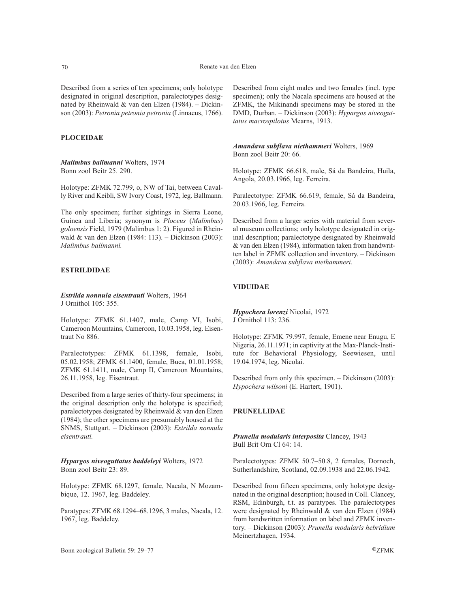Described from a series of ten specimens; only holotype designated in original description, paralectotypes designated by Rheinwald & van den Elzen (1984). – Dickinson (2003): *Petronia petronia petronia* (Linnaeus, 1766).

### **PLOCEIDAE**

*Malimbus ballmanni* Wolters, 1974 Bonn zool Beitr 25. 290.

Holotype: ZFMK 72.799, o, NW of Tai, between Cavally River and Keibli, SW Ivory Coast, 1972, leg. Ballmann.

The only specimen; further sightings in Sierra Leone, Guinea and Liberia; synonym is *Ploceus* (*Malimbus*) *goloensis* Field, 1979 (Malimbus 1: 2). Figured in Rheinwald & van den Elzen (1984: 113). – Dickinson (2003): *Malimbus ballmanni.*

# **ESTRILDIDAE**

*Estrilda nonnula eisentrauti* Wolters, 1964 J Ornithol 105: 355.

Holotype: ZFMK 61.1407, male, Camp VI, Isobi, Cameroon Mountains, Cameroon, 10.03.1958, leg. Eisentraut No 886.

Paralectotypes: ZFMK 61.1398, female, Isobi, 05.02.1958; ZFMK 61.1400, female, Buea, 01.01.1958; ZFMK 61.1411, male, Camp II, Cameroon Mountains, 26.11.1958, leg. Eisentraut.

Described from a large series of thirty-four specimens; in the original description only the holotype is specified; paralectotypes designated by Rheinwald & van den Elzen (1984); the other specimens are presumably housed at the SNMS, Stuttgart. – Dickinson (2003): *Estrilda nonnula eisentrauti.* 

*Hypargos niveoguttatus baddeleyi* Wolters, 1972 Bonn zool Beitr 23: 89.

Holotype: ZFMK 68.1297, female, Nacala, N Mozambique, 12. 1967, leg. Baddeley.

Paratypes: ZFMK 68.1294–68.1296, 3 males, Nacala, 12. 1967, leg. Baddeley.

Described from eight males and two females (incl. type specimen); only the Nacala specimens are housed at the ZFMK, the Mikinandi specimens may be stored in the DMD, Durban. – Dickinson (2003): *Hypargos niveoguttatus macrospilotus* Mearns, 1913.

*Amandava subflava niethammeri* Wolters, 1969 Bonn zool Beitr 20: 66.

Holotype: ZFMK 66.618, male, Sá da Bandeira, Huila, Angola, 20.03.1966, leg. Ferreira.

Paralectotype: ZFMK 66.619, female, Sá da Bandeira, 20.03.1966, leg. Ferreira.

Described from a larger series with material from several museum collections; only holotype designated in original description; paralectotype designated by Rheinwald & van den Elzen (1984), information taken from handwritten label in ZFMK collection and inventory. – Dickinson (2003): *Amandava subflava niethammeri.*

### **VIDUIDAE**

*Hypochera lorenzi* Nicolai, 1972 J Ornithol 113: 236.

Holotype: ZFMK 79.997, female, Emene near Enugu, E Nigeria, 26.11.1971; in captivity at the Max-Planck-Institute for Behavioral Physiology, Seewiesen, until 19.04.1974, leg. Nicolai.

Described from only this specimen. – Dickinson (2003): *Hypochera wilsoni* (E. Hartert, 1901).

### **PRUNELLIDAE**

*Prunella modularis interposita* Clancey, 1943 Bull Brit Orn Cl 64: 14.

Paralectotypes: ZFMK 50.7–50.8, 2 females, Dornoch, Sutherlandshire, Scotland, 02.09.1938 and 22.06.1942.

Described from fifteen specimens, only holotype designated in the original description; housed in Coll. Clancey, RSM, Edinburgh, t.t. as paratypes. The paralectotypes were designated by Rheinwald & van den Elzen (1984) from handwritten information on label and ZFMK inventory. – Dickinson (2003): *Prunella modularis hebridium* Meinertzhagen, 1934.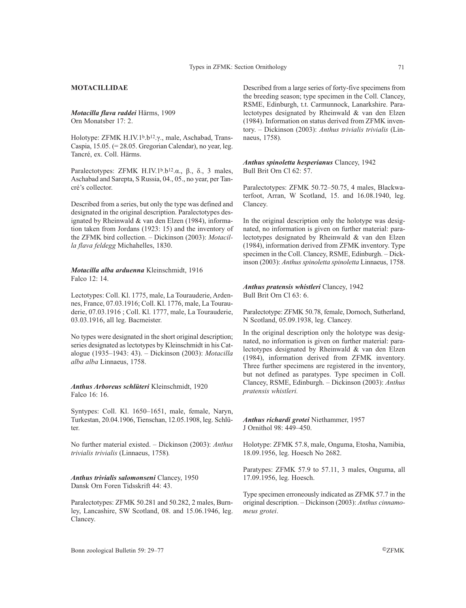# **MOTACILLIDAE**

*Motacilla flava raddei* Härms, 1909 Orn Monatsber 17: 2.

Holotype: ZFMK H.IV.1<sup>b</sup>.b<sup>12</sup>.γ., male, Aschabad, Trans-Caspia, 15.05. (= 28.05. Gregorian Calendar), no year, leg. Tancré, ex. Coll. Härms.

Paralectotypes: ZFMK H.IV.1b.b12.α., β., δ., 3 males, Aschabad and Sarepta, S Russia, 04., 05., no year, per Tancré's collector.

Described from a series, but only the type was defined and designated in the original description. Paralectotypes designated by Rheinwald & van den Elzen (1984), information taken from Jordans (1923: 15) and the inventory of the ZFMK bird collection. – Dickinson (2003): *Motacilla flava feldegg* Michahelles, 1830.

# *Motacilla alba arduenna* Kleinschmidt, 1916 Falco 12: 14.

Lectotypes: Coll. Kl. 1775, male, La Tourauderie, Ardennes, France, 07.03.1916; Coll. Kl. 1776, male, La Tourauderie, 07.03.1916 ; Coll. Kl. 1777, male, La Tourauderie, 03.03.1916, all leg. Bacmeister.

No types were designated in the short original description; series designated as lectotypes by Kleinschmidt in his Catalogue (1935–1943: 43). – Dickinson (2003): *Motacilla alba alba* Linnaeus, 1758.

*Anthus Arboreus schlüteri* Kleinschmidt, 1920 Falco 16: 16.

Syntypes: Coll. Kl. 1650–1651, male, female, Naryn, Turkestan, 20.04.1906, Tienschan, 12.05.1908, leg. Schlüter.

No further material existed. – Dickinson (2003): *Anthus trivialis trivialis* (Linnaeus, 1758)*.*

*Anthus trivialis salomonseni* Clancey, 1950 Dansk Orn Foren Tidsskrift 44: 43.

Paralectotypes: ZFMK 50.281 and 50.282, 2 males, Burnley, Lancashire, SW Scotland, 08. and 15.06.1946, leg. Clancey.

Described from a large series of forty-five specimens from the breeding season; type specimen in the Coll. Clancey, RSME, Edinburgh, t.t. Carmunnock, Lanarkshire. Paralectotypes designated by Rheinwald & van den Elzen (1984). Information on status derived from ZFMK inventory. – Dickinson (2003): *Anthus trivialis trivialis* (Linnaeus, 1758)*.*

*Anthus spinoletta hesperianus* Clancey, 1942 Bull Brit Orn Cl 62: 57.

Paralectotypes: ZFMK 50.72–50.75, 4 males, Blackwaterfoot, Arran, W Scotland, 15. and 16.08.1940, leg. Clancey.

In the original description only the holotype was designated, no information is given on further material: paralectotypes designated by Rheinwald & van den Elzen (1984), information derived from ZFMK inventory. Type specimen in the Coll. Clancey, RSME, Edinburgh. – Dickinson (2003): *Anthus spinoletta spinoletta* Linnaeus, 1758.

*Anthus pratensis whistleri* Clancey, 1942 Bull Brit Orn Cl 63: 6.

Paralectotype: ZFMK 50.78, female, Dornoch, Sutherland, N Scotland, 05.09.1938, leg. Clancey.

In the original description only the holotype was designated, no information is given on further material: paralectotypes designated by Rheinwald & van den Elzen (1984), information derived from ZFMK inventory. Three further specimens are registered in the inventory, but not defined as paratypes. Type specimen in Coll. Clancey, RSME, Edinburgh. – Dickinson (2003): *Anthus pratensis whistleri.*

*Anthus richardi grotei* Niethammer, 1957 J Ornithol 98: 449–450.

Holotype: ZFMK 57.8, male, Onguma, Etosha, Namibia, 18.09.1956, leg. Hoesch No 2682.

Paratypes: ZFMK 57.9 to 57.11, 3 males, Onguma, all 17.09.1956, leg. Hoesch.

Type specimen erroneously indicated as ZFMK 57.7 in the original description. – Dickinson (2003): *Anthus cinnamomeus grotei*.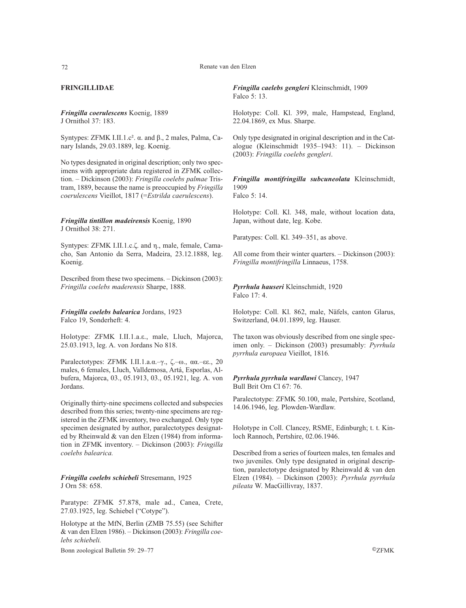# **FRINGILLIDAE**

*Fringilla coerulescens* Koenig, 1889 J Ornithol 37: 183.

Syntypes: ZFMK I.II.1.c². α. and β., 2 males, Palma, Canary Islands, 29.03.1889, leg. Koenig.

No types designated in original description; only two specimens with appropriate data registered in ZFMK collection. – Dickinson (2003): *Fringilla coelebs palmae* Tristram, 1889, because the name is preoccupied by *Fringilla coerulescens* Vieillot, 1817 (=*Estrilda caerulescens*).

### *Fringilla tintillon madeirensis* Koenig, 1890 J Ornithol 38: 271.

Syntypes: ZFMK I.II.1.c.ζ. and η., male, female, Camacho, San Antonio da Serra, Madeira, 23.12.1888, leg. Koenig.

Described from these two specimens. – Dickinson (2003): *Fringilla coelebs maderensis* Sharpe, 1888.

*Fringilla coelebs balearica* Jordans, 1923 Falco 19, Sonderheft: 4.

Holotype: ZFMK I.II.1.a.ε., male, Lluch, Majorca, 25.03.1913, leg. A. von Jordans No 818.

Paralectotypes: ZFMK I.II.1.a.α.–γ., ζ.–ω., αα.–εε., 20 males, 6 females, Lluch, Valldemosa, Artá, Esporlas, Albufera, Majorca, 03., 05.1913, 03., 05.1921, leg. A. von Jordans.

Originally thirty-nine specimens collected and subspecies described from this series; twenty-nine specimens are registered in the ZFMK inventory, two exchanged. Only type specimen designated by author, paralectotypes designated by Rheinwald & van den Elzen (1984) from information in ZFMK inventory. – Dickinson (2003): *Fringilla coelebs balearica.*

*Fringilla coelebs schiebeli* Stresemann, 1925 J Orn 58: 658.

Paratype: ZFMK 57.878, male ad., Canea, Crete, 27.03.1925, leg. Schiebel ("Cotype").

Holotype at the MfN, Berlin (ZMB 75.55) (see Schifter & van den Elzen 1986). – Dickinson (2003): *Fringilla coelebs schiebeli.*

Bonn zoological Bulletin 59: 29–77 ©ZFMK

*Fringilla caelebs gengleri* Kleinschmidt, 1909 Falco 5: 13.

Holotype: Coll. Kl. 399, male, Hampstead, England, 22.04.1869, ex Mus. Sharpe.

Only type designated in original description and in the Catalogue (Kleinschmidt 1935–1943: 11). – Dickinson (2003): *Fringilla coelebs gengleri*.

*Fringilla montifringilla subcuneolata* Kleinschmidt, 1909 Falco 5: 14.

Holotype: Coll. Kl. 348, male, without location data, Japan, without date, leg. Kobe.

Paratypes: Coll. Kl. 349–351, as above.

All come from their winter quarters. – Dickinson (2003): *Fringilla montifringilla* Linnaeus, 1758.

*Pyrrhula hauseri* Kleinschmidt, 1920 Falco 17: 4.

Holotype: Coll. Kl. 862, male, Näfels, canton Glarus, Switzerland, 04.01.1899, leg. Hauser.

The taxon was obviously described from one single specimen only. – Dickinson (2003) presumably: *Pyrrhula pyrrhula europaea* Vieillot, 1816*.*

*Pyrrhula pyrrhula wardlawi* Clancey, 1947 Bull Brit Orn Cl 67: 76.

Paralectotype: ZFMK 50.100, male, Pertshire, Scotland, 14.06.1946, leg. Plowden-Wardlaw.

Holotype in Coll. Clancey, RSME, Edinburgh; t. t. Kinloch Rannoch, Pertshire, 02.06.1946.

Described from a series of fourteen males, ten females and two juveniles. Only type designated in original description, paralectotype designated by Rheinwald & van den Elzen (1984). – Dickinson (2003): *Pyrrhula pyrrhula pileata* W. MacGillivray, 1837.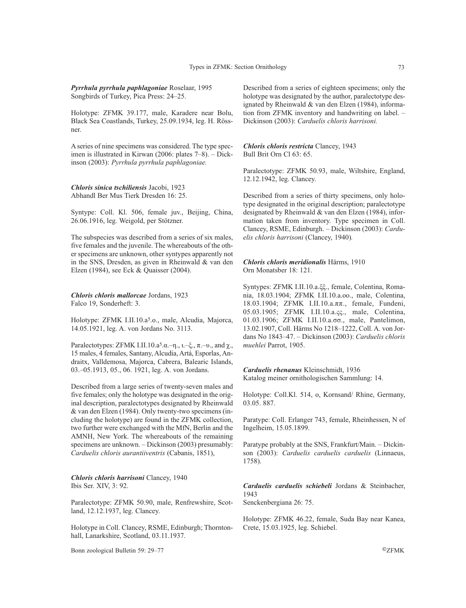# *Pyrrhula pyrrhula paphlagoniae* Roselaar, 1995 Songbirds of Turkey, Pica Press: 24–25.

Holotype: ZFMK 39.177, male, Karadere near Bolu, Black Sea Coastlands, Turkey, 25.09.1934, leg. H. Rössner.

A series of nine specimens was considered. The type specimen is illustrated in Kirwan (2006: plates 7–8). – Dickinson (2003): *Pyrrhula pyrrhula paphlagoniae.* 

### *Chloris sinica tschiliensis* Jacobi, 1923 Abhandl Ber Mus Tierk Dresden 16: 25.

Syntype: Coll. Kl. 506, female juv., Beijing, China, 26.06.1916, leg. Weigold, per Stötzner.

The subspecies was described from a series of six males, five females and the juvenile. The whereabouts of the other specimens are unknown, other syntypes apparently not in the SNS, Dresden, as given in Rheinwald & van den Elzen (1984), see Eck & Quaisser (2004).

*Chloris chloris mallorcae* Jordans, 1923 Falco 19, Sonderheft: 3.

Holotype: ZFMK I.II.10.a5.ο., male, Alcudia, Majorca, 14.05.1921, leg. A. von Jordans No. 3113.

Paralectotypes: ZFMK I.II.10.a<sup>5</sup>.a.–η., ι.–ξ.,  $\pi$ .–υ., and  $\chi$ . 15 males, 4 females, Santany, Alcudia, Artá, Esporlas, Andraitx, Valldemosa, Majorca, Cabrera, Balearic Islands, 03.–05.1913, 05., 06. 1921, leg. A. von Jordans.

Described from a large series of twenty-seven males and five females; only the holotype was designated in the original description, paralectotypes designated by Rheinwald & van den Elzen (1984). Only twenty-two specimens (including the holotype) are found in the ZFMK collection, two further were exchanged with the MfN, Berlin and the AMNH, New York. The whereabouts of the remaining specimens are unknown. – Dickinson (2003) presumably: *Carduelis chloris aurantiiventris* (Cabanis, 1851),

*Chloris chloris harrisoni* Clancey, 1940 Ibis Ser. XIV, 3: 92.

Paralectotype: ZFMK 50.90, male, Renfrewshire, Scotland, 12.12.1937, leg. Clancey.

Holotype in Coll. Clancey, RSME, Edinburgh; Thorntonhall, Lanarkshire, Scotland, 03.11.1937.

Bonn zoological Bulletin 59: 29–77 ©ZFMK

Described from a series of eighteen specimens; only the holotype was designated by the author, paralectotype designated by Rheinwald & van den Elzen (1984), information from ZFMK inventory and handwriting on label. – Dickinson (2003): *Carduelis chloris harrisoni.*

*Chloris chloris restricta* Clancey, 1943 Bull Brit Orn Cl 63: 65.

Paralectotype: ZFMK 50.93, male, Wiltshire, England, 12.12.1942, leg. Clancey.

Described from a series of thirty specimens, only holotype designated in the original description; paralectotype designated by Rheinwald & van den Elzen (1984), information taken from inventory. Type specimen in Coll. Clancey, RSME, Edinburgh. – Dickinson (2003): *Carduelis chloris harrisoni* (Clancey, 1940)*.*

*Chloris chloris meridionalis* Härms, 1910 Orn Monatsber 18: 121.

Syntypes: ZFMK I.II.10.a.ξξ., female, Colentina, Romania, 18.03.1904; ZFMK I.II.10.a.οο., male, Colentina, 18.03.1904; ZFMK I.II.10.a.ππ., female, Fundeni, 05.03.1905; ZFMK I.II.10.a.ςς., male, Colentina, 01.03.1906; ZFMK I.II.10.a.σσ., male, Pantelimon, 13.02.1907, Coll. Härms No 1218–1222, Coll. A. von Jordans No 1843–47. – Dickinson (2003): *Carduelis chloris muehlei* Parrot, 1905.

*Carduelis rhenanus* Kleinschmidt, 1936 Katalog meiner ornithologischen Sammlung: 14.

Holotype: Coll.Kl. 514, o, Kornsand/ Rhine, Germany, 03.05. 887.

Paratype: Coll. Erlanger 743, female, Rheinhessen, N of Ingelheim, 15.05.1899.

Paratype probably at the SNS, Frankfurt/Main. – Dickinson (2003): *Carduelis carduelis carduelis* (Linnaeus, 1758).

*Carduelis carduelis schiebeli* Jordans & Steinbacher, 1943

Senckenbergiana 26: 75.

Holotype: ZFMK 46.22, female, Suda Bay near Kanea, Crete, 15.03.1925, leg. Schiebel.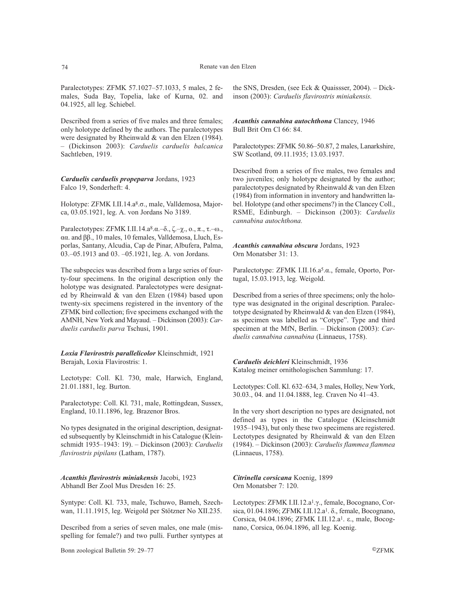Paralectotypes: ZFMK 57.1027–57.1033, 5 males, 2 females, Suda Bay, Topelia, lake of Kurna, 02. and 04.1925, all leg. Schiebel.

Described from a series of five males and three females; only holotype defined by the authors. The paralectotypes were designated by Rheinwald & van den Elzen (1984). – (Dickinson 2003): *Carduelis carduelis balcanica* Sachtleben, 1919.

*Carduelis carduelis propeparva* Jordans, 1923 Falco 19, Sonderheft: 4.

Holotype: ZFMK I.II.14.a<sup>8</sup>.σ., male, Valldemosa, Majorca, 03.05.1921, leg. A. von Jordans No 3189.

Paralectotypes: ZFMK I.II.14.a8.α.–δ., ζ.–χ., ο., π., τ.–ω., αα. and ββ., 10 males, 10 females, Valldemosa, Lluch, Esporlas, Santany, Alcudia, Cap de Pinar, Albufera, Palma, 03.–05.1913 and 03. –05.1921, leg. A. von Jordans.

The subspecies was described from a large series of fourty-four specimens. In the original description only the holotype was designated. Paralectotypes were designated by Rheinwald & van den Elzen (1984) based upon twenty-six specimens registered in the inventory of the ZFMK bird collection; five specimens exchanged with the AMNH, New York and Mayaud. – Dickinson (2003): *Carduelis carduelis parva* Tschusi, 1901.

*Loxia Flavirostris parallelicolor* Kleinschmidt, 1921 Berajah, Loxia Flavirostris: 1.

Lectotype: Coll. Kl. 730, male, Harwich, England, 21.01.1881, leg. Burton.

Paralectotype: Coll. Kl. 731, male, Rottingdean, Sussex, England, 10.11.1896, leg. Brazenor Bros.

No types designated in the original description, designated subsequently by Kleinschmidt in his Catalogue (Kleinschmidt 1935–1943: 19). – Dickinson (2003): *Carduelis flavirostris pipilans* (Latham, 1787).

*Acanthis flavirostris miniakensis* Jacobi, 1923 Abhandl Ber Zool Mus Dresden 16: 25.

Syntype: Coll. Kl. 733, male, Tschuwo, Bameh, Szechwan, 11.11.1915, leg. Weigold per Stötzner No XII.235.

Described from a series of seven males, one male (misspelling for female?) and two pulli. Further syntypes at

Bonn zoological Bulletin 59: 29–77 ©ZFMK

the SNS, Dresden, (see Eck & Quaissser, 2004). – Dickinson (2003): *Carduelis flavirostris miniakensis.*

*Acanthis cannabina autochthona* Clancey, 1946 Bull Brit Orn Cl 66: 84.

Paralectotypes: ZFMK 50.86–50.87, 2 males, Lanarkshire, SW Scotland, 09.11.1935; 13.03.1937.

Described from a series of five males, two females and two juveniles; only holotype designated by the author; paralectotypes designated by Rheinwald & van den Elzen (1984) from information in inventory and handwritten label. Holotype (and other specimens?) in the Clancey Coll., RSME, Edinburgh. – Dickinson (2003): *Carduelis cannabina autochthona.*

### *Acanthis cannabina obscura* Jordans, 1923 Orn Monatsber 31: 13.

Paralectotype: ZFMK I.II.16.a<sup>5</sup>.α., female, Oporto, Portugal, 15.03.1913, leg. Weigold.

Described from a series of three specimens; only the holotype was designated in the original description. Paralectotype designated by Rheinwald & van den Elzen (1984), as specimen was labelled as "Cotype". Type and third specimen at the MfN, Berlin. – Dickinson (2003): *Carduelis cannabina cannabina* (Linnaeus, 1758).

*Carduelis deichleri* Kleinschmidt, 1936 Katalog meiner ornithologischen Sammlung: 17.

Lectotypes: Coll. Kl. 632–634, 3 males, Holley, New York, 30.03., 04. and 11.04.1888, leg. Craven No 41–43.

In the very short description no types are designated, not defined as types in the Catalogue (Kleinschmidt 1935–1943), but only these two specimens are registered. Lectotypes designated by Rheinwald & van den Elzen (1984). – Dickinson (2003): *Carduelis flammea flammea* (Linnaeus, 1758).

*Citrinella corsicana* Koenig, 1899 Orn Monatsber 7: 120.

Lectotypes: ZFMK I.II.12.a1.γ., female, Bocognano, Corsica, 01.04.1896; ZFMK I.II.12.a<sup>1</sup>. δ., female, Bocognano, Corsica, 04.04.1896; ZFMK I.II.12.a1. ε., male, Bocognano, Corsica, 06.04.1896, all leg. Koenig.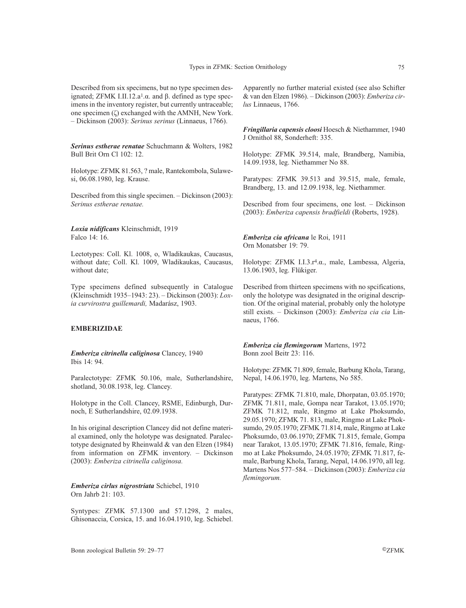Described from six specimens, but no type specimen designated; ZFMK I.II.12.a<sup>1</sup>.α. and β. defined as type specimens in the inventory register, but currently untraceable; one specimen (ζ) exchanged with the AMNH, New York. – Dickinson (2003): *Serinus serinus* (Linnaeus, 1766).

*Serinus estherae renatae* Schuchmann & Wolters, 1982 Bull Brit Orn Cl 102: 12.

Holotype: ZFMK 81.563, ? male, Rantekombola, Sulawesi, 06.08.1980, leg. Krause.

Described from this single specimen. – Dickinson (2003): *Serinus estherae renatae.*

*Loxia nidificans* Kleinschmidt, 1919 Falco 14: 16.

Lectotypes: Coll. Kl. 1008, o, Wladikaukas, Caucasus, without date; Coll. Kl. 1009, Wladikaukas, Caucasus, without date;

Type specimens defined subsequently in Catalogue (Kleinschmidt 1935–1943: 23). – Dickinson (2003): *Loxia curvirostra guillemardi,* Madarász, 1903.

# **EMBERIZIDAE**

*Emberiza citrinella caliginosa* Clancey, 1940 Ibis 14: 94.

Paralectotype: ZFMK 50.106, male, Sutherlandshire, shotland, 30.08.1938, leg. Clancey.

Holotype in the Coll. Clancey, RSME, Edinburgh, Durnoch, E Sutherlandshire, 02.09.1938.

In his original description Clancey did not define material examined, only the holotype was designated. Paralectotype designated by Rheinwald & van den Elzen (1984) from information on ZFMK inventory. – Dickinson (2003): *Emberiza citrinella caliginosa.*

*Emberiza cirlus nigrostriata* Schiebel, 1910 Orn Jahrb 21: 103.

Syntypes: ZFMK 57.1300 and 57.1298, 2 males, Ghisonaccia, Corsica, 15. and 16.04.1910, leg. Schiebel.

Apparently no further material existed (see also Schifter & van den Elzen 1986). – Dickinson (2003): *Emberiza cirlus* Linnaeus, 1766.

*Fringillaria capensis cloosi* Hoesch & Niethammer, 1940 J Ornithol 88, Sonderheft: 335.

Holotype: ZFMK 39.514, male, Brandberg, Namibia, 14.09.1938, leg. Niethammer No 88.

Paratypes: ZFMK 39.513 and 39.515, male, female, Brandberg, 13. and 12.09.1938, leg. Niethammer.

Described from four specimens, one lost. – Dickinson (2003): *Emberiza capensis bradfieldi* (Roberts, 1928).

*Emberiza cia africana* le Roi, 1911 Orn Monatsber 19: 79.

Holotype: ZFMK I.I.3.r4.α., male, Lambessa, Algeria, 13.06.1903, leg. Flükiger.

Described from thirteen specimens with no spcifications, only the holotype was designated in the original description. Of the original material, probably only the holotype still exists. – Dickinson (2003): *Emberiza cia cia* Linnaeus, 1766.

*Emberiza cia flemingorum* Martens, 1972 Bonn zool Beitr 23: 116.

Holotype: ZFMK 71.809, female, Barbung Khola, Tarang, Nepal, 14.06.1970, leg. Martens, No 585.

Paratypes: ZFMK 71.810, male, Dhorpatan, 03.05.1970; ZFMK 71.811, male, Gompa near Tarakot, 13.05.1970; ZFMK 71.812, male, Ringmo at Lake Phoksumdo, 29.05.1970; ZFMK 71. 813, male, Ringmo at Lake Phoksumdo, 29.05.1970; ZFMK 71.814, male, Ringmo at Lake Phoksumdo, 03.06.1970; ZFMK 71.815, female, Gompa near Tarakot, 13.05.1970; ZFMK 71.816, female, Ringmo at Lake Phoksumdo, 24.05.1970; ZFMK 71.817, female, Barbung Khola, Tarang, Nepal, 14.06.1970, all leg. Martens Nos 577–584. – Dickinson (2003): *Emberiza cia flemingorum.*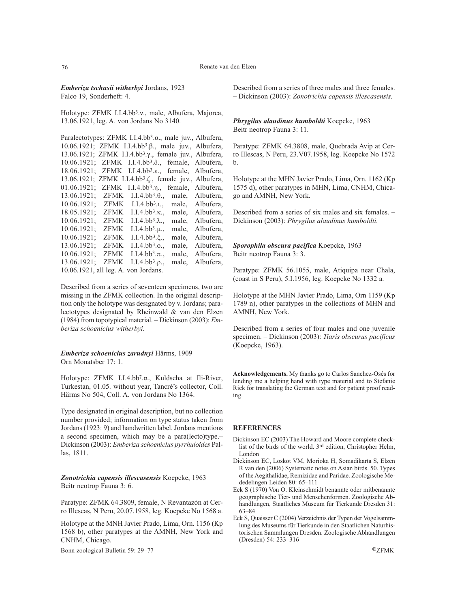#### 76 Renate van den Elzen

*Emberiza tschusii witherbyi* Jordans, 1923 Falco 19, Sonderheft: 4.

Holotype: ZFMK I.I.4.bb3.ν., male, Albufera, Majorca, 13.06.1921, leg. A. von Jordans No 3140.

Paralectotypes: ZFMK I.I.4.bb<sup>3</sup>.α., male juv., Albufera, 10.06.1921; ZFMK I.I.4.bb3.β., male juv., Albufera, 13.06.1921; ZFMK I.I.4.bb3.γ., female juv., Albufera, 10.06.1921; ZFMK I.I.4.bb3.δ., female, Albufera, 18.06.1921; ZFMK I.I.4.bb3.ε., female, Albufera, 13.06.1921; ZFMK I.I.4.bb3.ζ., female juv., Albufera, 01.06.1921; ZFMK I.I.4.bb3.η., female, Albufera, 13.06.1921; ZFMK I.I.4.bb3.θ., male, Albufera, 10.06.1921; ZFMK I.I.4.bb3.ι., male, Albufera, 18.05.1921; ZFMK I.I.4.bb3.κ., male, Albufera, 10.06.1921; ZFMK I.I.4.bb3.λ., male, Albufera, 10.06.1921; ZFMK I.I.4.bb3.µ., male, Albufera, 10.06.1921; ZFMK I.I.4.bb3.ξ., male, Albufera, 13.06.1921; ZFMK I.I.4.bb3.ο., male, Albufera, 10.06.1921; ZFMK I.I.4.bb3.π., male, Albufera, 13.06.1921; ZFMK I.I.4.bb3.ρ., male, Albufera, 10.06.1921, all leg. A. von Jordans.

Described from a series of seventeen specimens, two are missing in the ZFMK collection. In the original description only the holotype was designated by v. Jordans; paralectotypes designated by Rheinwald & van den Elzen (1984) from topotypical material. – Dickinson (2003): *Emberiza schoeniclus witherbyi*.

*Emberiza schoeniclus zarudnyi* Härms, 1909 Orn Monatsber 17: 1.

Holotype: ZFMK I.I.4.bb7.α., Kuldscha at Ili-River, Turkestan, 01.05. without year, Tancré's collector, Coll. Härms No 504, Coll. A. von Jordans No 1364.

Type designated in original description, but no collection number provided; information on type status taken from Jordans (1923: 9) and handwritten label. Jordans mentions a second specimen, which may be a para(lecto)type.– Dickinson (2003): *Emberiza schoeniclus pyrrhuloides* Pallas, 1811.

*Zonotrichia capensis illescasensis* Koepcke, 1963 Beitr neotrop Fauna 3: 6.

Paratype: ZFMK 64.3809, female, N Revantazón at Cerro Illescas, N Peru, 20.07.1958, leg. Koepcke No 1568 a.

Holotype at the MNH Javier Prado, Lima, Orn. 1156 (Kp 1568 b), other paratypes at the AMNH, New York and CNHM, Chicago.

Bonn zoological Bulletin 59: 29–77 ©ZFMK

Described from a series of three males and three females. – Dickinson (2003): *Zonotrichia capensis illescasensis.*

*Phrygilus alaudinus humboldti* Koepcke, 1963 Beitr neotrop Fauna 3: 11.

Paratype: ZFMK 64.3808, male, Quebrada Avip at Cerro Illescas, N Peru, 23.V07.1958, leg. Koepcke No 1572 b.

Holotype at the MHN Javier Prado, Lima, Orn. 1162 (Kp 1575 d), other paratypes in MHN, Lima, CNHM, Chicago and AMNH, New York.

Described from a series of six males and six females. – Dickinson (2003): *Phrygilus alaudinus humboldti.*

*Sporophila obscura pacifica* Koepcke, 1963 Beitr neotrop Fauna 3: 3.

Paratype: ZFMK 56.1055, male, Atiquipa near Chala, (coast in S Peru), 5.I.1956, leg. Koepcke No 1332 a.

Holotype at the MHN Javier Prado, Lima, Orn 1159 (Kp 1789 n), other paratypes in the collections of MHN and AMNH, New York.

Described from a series of four males and one juvenile specimen. – Dickinson (2003): *Tiaris obscurus pacificus* (Koepcke, 1963).

**Acknowledgements.** My thanks go to Carlos Sanchez-Osés for lending me a helping hand with type material and to Stefanie Rick for translating the German text and for patient proof reading.

### **REFERENCES**

- Dickinson EC (2003) The Howard and Moore complete checklist of the birds of the world. 3rd edition, Christopher Helm, London
- Dickinson EC, Loskot VM, Morioka H, Somadikarta S, Elzen R van den (2006) Systematic notes on Asian birds. 50. Types of the Aegithalidae, Remizidae and Paridae. Zoologische Mededelingen Leiden 80: 65–111
- Eck S (1970) Von O. Kleinschmidt benannte oder mitbenannte geographische Tier- und Menschenformen. Zoologische Abhandlungen, Staatliches Museum für Tierkunde Dresden 31: 63–84
- Eck S, Quaisser C (2004) Verzeichnis der Typen der Vogelsammlung des Museums für Tierkunde in den Staatlichen Naturhistorischen Sammlungen Dresden. Zoologische Abhandlungen (Dresden) 54: 233–316